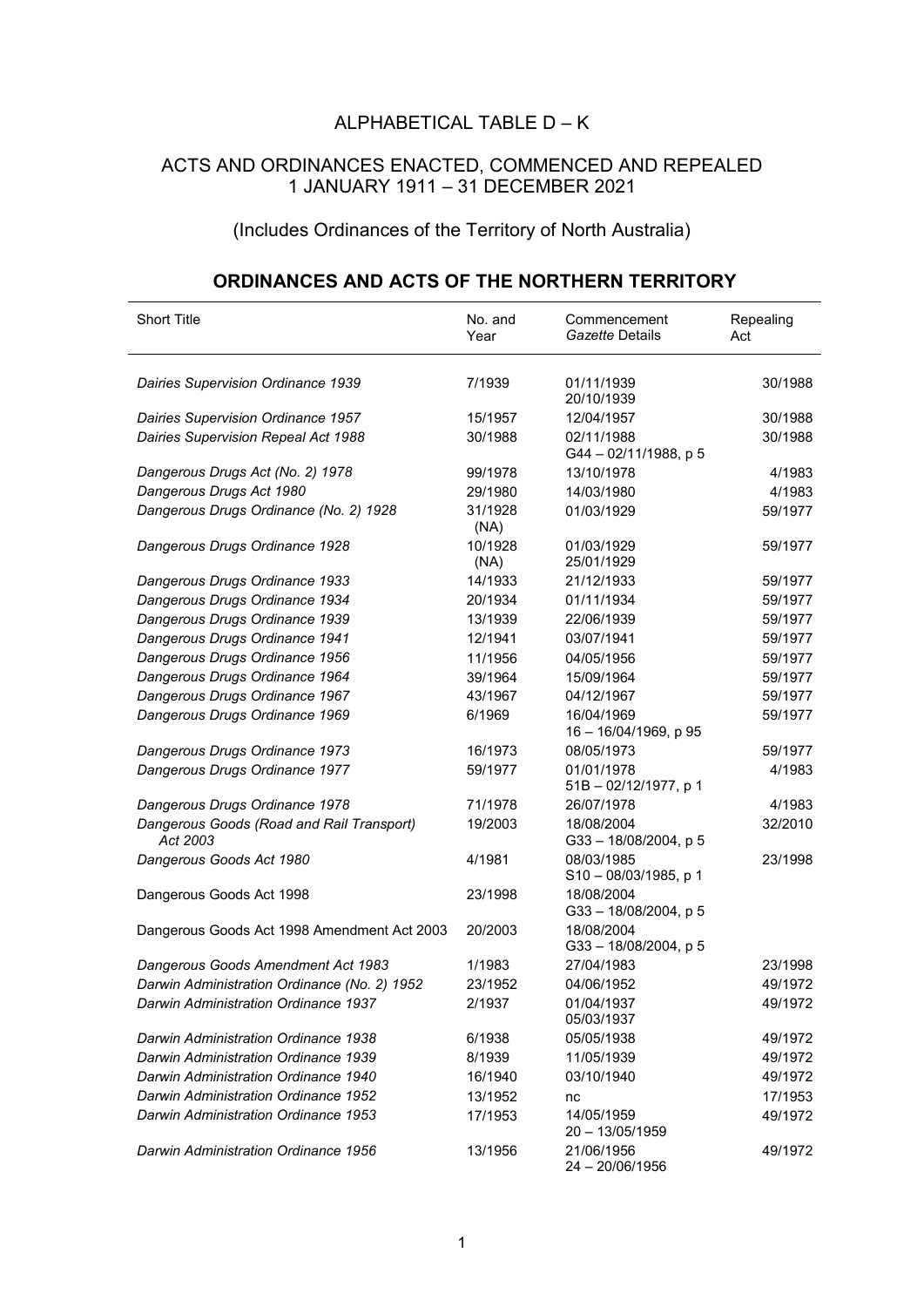## ALPHABETICAL TABLE D – K

## ACTS AND ORDINANCES ENACTED, COMMENCED AND REPEALED 1 JANUARY 1911 – 31 DECEMBER 2021

## (Includes Ordinances of the Territory of North Australia)

## **ORDINANCES AND ACTS OF THE NORTHERN TERRITORY**

| Short Title                                           | No. and<br>Year | Commencement<br>Gazette Details     | Repealing<br>Act |
|-------------------------------------------------------|-----------------|-------------------------------------|------------------|
|                                                       |                 |                                     |                  |
| <b>Dairies Supervision Ordinance 1939</b>             | 7/1939          | 01/11/1939<br>20/10/1939            | 30/1988          |
| Dairies Supervision Ordinance 1957                    | 15/1957         | 12/04/1957                          | 30/1988          |
| Dairies Supervision Repeal Act 1988                   | 30/1988         | 02/11/1988                          | 30/1988          |
|                                                       |                 | G44-02/11/1988, p 5                 |                  |
| Dangerous Drugs Act (No. 2) 1978                      | 99/1978         | 13/10/1978                          | 4/1983           |
| Dangerous Drugs Act 1980                              | 29/1980         | 14/03/1980                          | 4/1983           |
| Dangerous Drugs Ordinance (No. 2) 1928                | 31/1928<br>(NA) | 01/03/1929                          | 59/1977          |
| Dangerous Drugs Ordinance 1928                        | 10/1928<br>(NA) | 01/03/1929<br>25/01/1929            | 59/1977          |
| Dangerous Drugs Ordinance 1933                        | 14/1933         | 21/12/1933                          | 59/1977          |
| Dangerous Drugs Ordinance 1934                        | 20/1934         | 01/11/1934                          | 59/1977          |
| Dangerous Drugs Ordinance 1939                        | 13/1939         | 22/06/1939                          | 59/1977          |
| Dangerous Drugs Ordinance 1941                        | 12/1941         | 03/07/1941                          | 59/1977          |
| Dangerous Drugs Ordinance 1956                        | 11/1956         | 04/05/1956                          | 59/1977          |
| Dangerous Drugs Ordinance 1964                        | 39/1964         | 15/09/1964                          | 59/1977          |
| Dangerous Drugs Ordinance 1967                        | 43/1967         | 04/12/1967                          | 59/1977          |
| Dangerous Drugs Ordinance 1969                        | 6/1969          | 16/04/1969<br>16 - 16/04/1969, p 95 | 59/1977          |
| Dangerous Drugs Ordinance 1973                        | 16/1973         | 08/05/1973                          | 59/1977          |
| Dangerous Drugs Ordinance 1977                        | 59/1977         | 01/01/1978<br>51B - 02/12/1977, p 1 | 4/1983           |
| Dangerous Drugs Ordinance 1978                        | 71/1978         | 26/07/1978                          | 4/1983           |
| Dangerous Goods (Road and Rail Transport)<br>Act 2003 | 19/2003         | 18/08/2004<br>G33-18/08/2004, p 5   | 32/2010          |
| Dangerous Goods Act 1980                              | 4/1981          | 08/03/1985<br>S10-08/03/1985, p 1   | 23/1998          |
| Dangerous Goods Act 1998                              | 23/1998         | 18/08/2004<br>G33-18/08/2004, p 5   |                  |
| Dangerous Goods Act 1998 Amendment Act 2003           | 20/2003         | 18/08/2004<br>G33-18/08/2004, p 5   |                  |
| Dangerous Goods Amendment Act 1983                    | 1/1983          | 27/04/1983                          | 23/1998          |
| Darwin Administration Ordinance (No. 2) 1952          | 23/1952         | 04/06/1952                          | 49/1972          |
| Darwin Administration Ordinance 1937                  | 2/1937          | 01/04/1937<br>05/03/1937            | 49/1972          |
| <b>Darwin Administration Ordinance 1938</b>           | 6/1938          | 05/05/1938                          | 49/1972          |
| <b>Darwin Administration Ordinance 1939</b>           | 8/1939          | 11/05/1939                          | 49/1972          |
| Darwin Administration Ordinance 1940                  | 16/1940         | 03/10/1940                          | 49/1972          |
| Darwin Administration Ordinance 1952                  | 13/1952         | nc                                  | 17/1953          |
| Darwin Administration Ordinance 1953                  | 17/1953         | 14/05/1959<br>$20 - 13/05/1959$     | 49/1972          |
| Darwin Administration Ordinance 1956                  | 13/1956         | 21/06/1956<br>24 - 20/06/1956       | 49/1972          |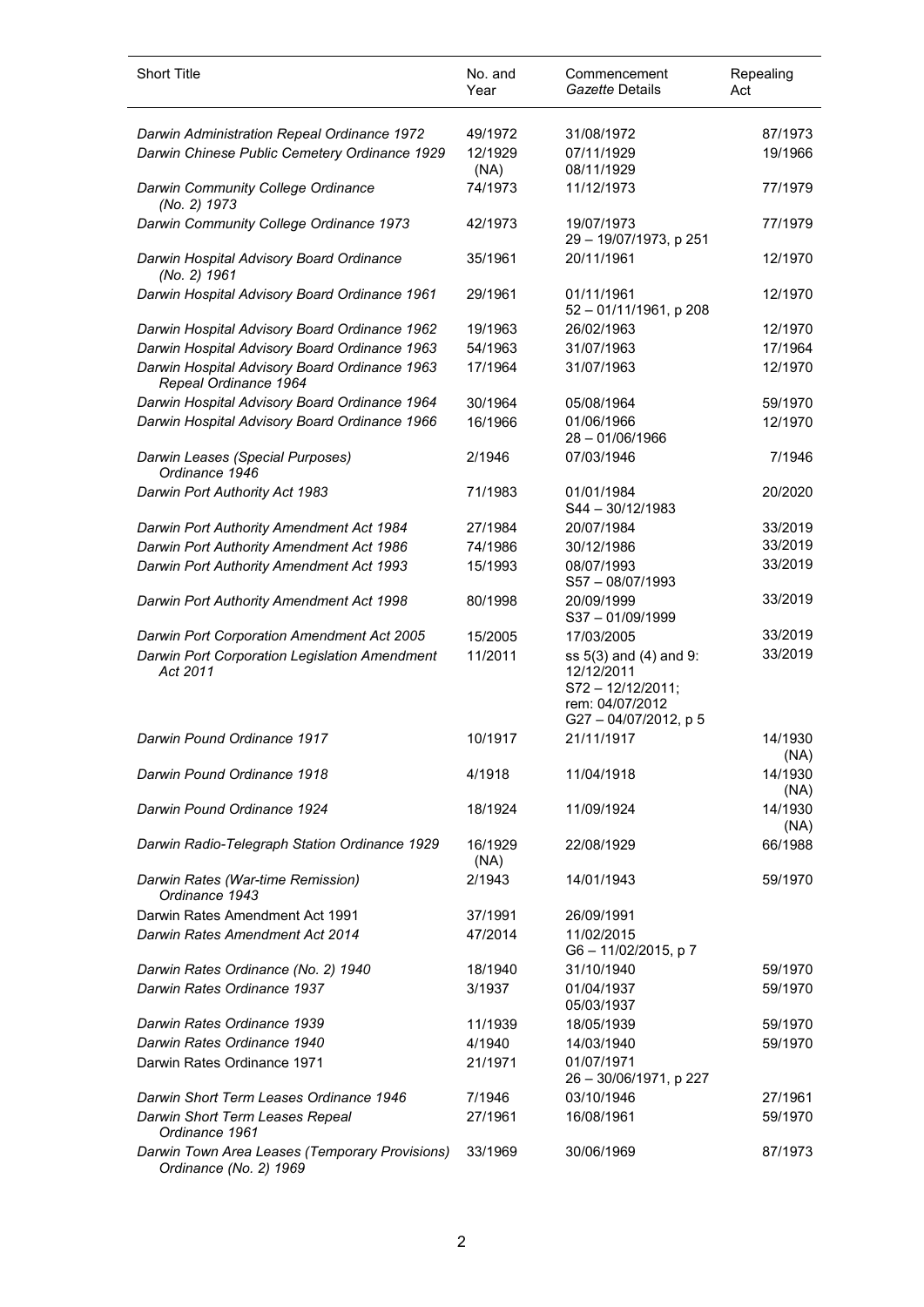| <b>Short Title</b>                                                       | No. and<br>Year | Commencement<br>Gazette Details                                                                        | Repealing<br>Act |
|--------------------------------------------------------------------------|-----------------|--------------------------------------------------------------------------------------------------------|------------------|
| Darwin Administration Repeal Ordinance 1972                              | 49/1972         | 31/08/1972                                                                                             | 87/1973          |
| Darwin Chinese Public Cemetery Ordinance 1929                            | 12/1929<br>(NA) | 07/11/1929<br>08/11/1929                                                                               | 19/1966          |
| Darwin Community College Ordinance<br>(No. 2) 1973                       | 74/1973         | 11/12/1973                                                                                             | 77/1979          |
| Darwin Community College Ordinance 1973                                  | 42/1973         | 19/07/1973<br>29 - 19/07/1973, p 251                                                                   | 77/1979          |
| Darwin Hospital Advisory Board Ordinance<br>(No. 2) 1961                 | 35/1961         | 20/11/1961                                                                                             | 12/1970          |
| Darwin Hospital Advisory Board Ordinance 1961                            | 29/1961         | 01/11/1961<br>52 - 01/11/1961, p 208                                                                   | 12/1970          |
| Darwin Hospital Advisory Board Ordinance 1962                            | 19/1963         | 26/02/1963                                                                                             | 12/1970          |
| Darwin Hospital Advisory Board Ordinance 1963                            | 54/1963         | 31/07/1963                                                                                             | 17/1964          |
| Darwin Hospital Advisory Board Ordinance 1963<br>Repeal Ordinance 1964   | 17/1964         | 31/07/1963                                                                                             | 12/1970          |
| Darwin Hospital Advisory Board Ordinance 1964                            | 30/1964         | 05/08/1964                                                                                             | 59/1970          |
| Darwin Hospital Advisory Board Ordinance 1966                            | 16/1966         | 01/06/1966<br>$28 - 01/06/1966$                                                                        | 12/1970          |
| Darwin Leases (Special Purposes)<br>Ordinance 1946                       | 2/1946          | 07/03/1946                                                                                             | 7/1946           |
| Darwin Port Authority Act 1983                                           | 71/1983         | 01/01/1984<br>S44 - 30/12/1983                                                                         | 20/2020          |
| Darwin Port Authority Amendment Act 1984                                 | 27/1984         | 20/07/1984                                                                                             | 33/2019          |
| Darwin Port Authority Amendment Act 1986                                 | 74/1986         | 30/12/1986                                                                                             | 33/2019          |
| Darwin Port Authority Amendment Act 1993                                 | 15/1993         | 08/07/1993<br>$S57 - 08/07/1993$                                                                       | 33/2019          |
| Darwin Port Authority Amendment Act 1998                                 | 80/1998         | 20/09/1999<br>S37-01/09/1999                                                                           | 33/2019          |
| Darwin Port Corporation Amendment Act 2005                               | 15/2005         | 17/03/2005                                                                                             | 33/2019          |
| Darwin Port Corporation Legislation Amendment<br>Act 2011                | 11/2011         | ss 5(3) and (4) and 9:<br>12/12/2011<br>$S72 - 12/12/2011$ ;<br>rem: 04/07/2012<br>G27-04/07/2012, p 5 | 33/2019          |
| Darwin Pound Ordinance 1917                                              | 10/1917         | 21/11/1917                                                                                             | 14/1930<br>(NA)  |
| Darwin Pound Ordinance 1918                                              | 4/1918          | 11/04/1918                                                                                             | 14/1930<br>(NA)  |
| Darwin Pound Ordinance 1924                                              | 18/1924         | 11/09/1924                                                                                             | 14/1930<br>(NA)  |
| Darwin Radio-Telegraph Station Ordinance 1929                            | 16/1929<br>(NA) | 22/08/1929                                                                                             | 66/1988          |
| Darwin Rates (War-time Remission)<br>Ordinance 1943                      | 2/1943          | 14/01/1943                                                                                             | 59/1970          |
| Darwin Rates Amendment Act 1991                                          | 37/1991         | 26/09/1991                                                                                             |                  |
| Darwin Rates Amendment Act 2014                                          | 47/2014         | 11/02/2015<br>G6-11/02/2015, p 7                                                                       |                  |
| Darwin Rates Ordinance (No. 2) 1940                                      | 18/1940         | 31/10/1940                                                                                             | 59/1970          |
| Darwin Rates Ordinance 1937                                              | 3/1937          | 01/04/1937<br>05/03/1937                                                                               | 59/1970          |
| Darwin Rates Ordinance 1939                                              | 11/1939         | 18/05/1939                                                                                             | 59/1970          |
| Darwin Rates Ordinance 1940                                              | 4/1940          | 14/03/1940                                                                                             | 59/1970          |
| Darwin Rates Ordinance 1971                                              | 21/1971         | 01/07/1971<br>26 - 30/06/1971, p 227                                                                   |                  |
| Darwin Short Term Leases Ordinance 1946                                  | 7/1946          | 03/10/1946                                                                                             | 27/1961          |
| Darwin Short Term Leases Repeal<br>Ordinance 1961                        | 27/1961         | 16/08/1961                                                                                             | 59/1970          |
| Darwin Town Area Leases (Temporary Provisions)<br>Ordinance (No. 2) 1969 | 33/1969         | 30/06/1969                                                                                             | 87/1973          |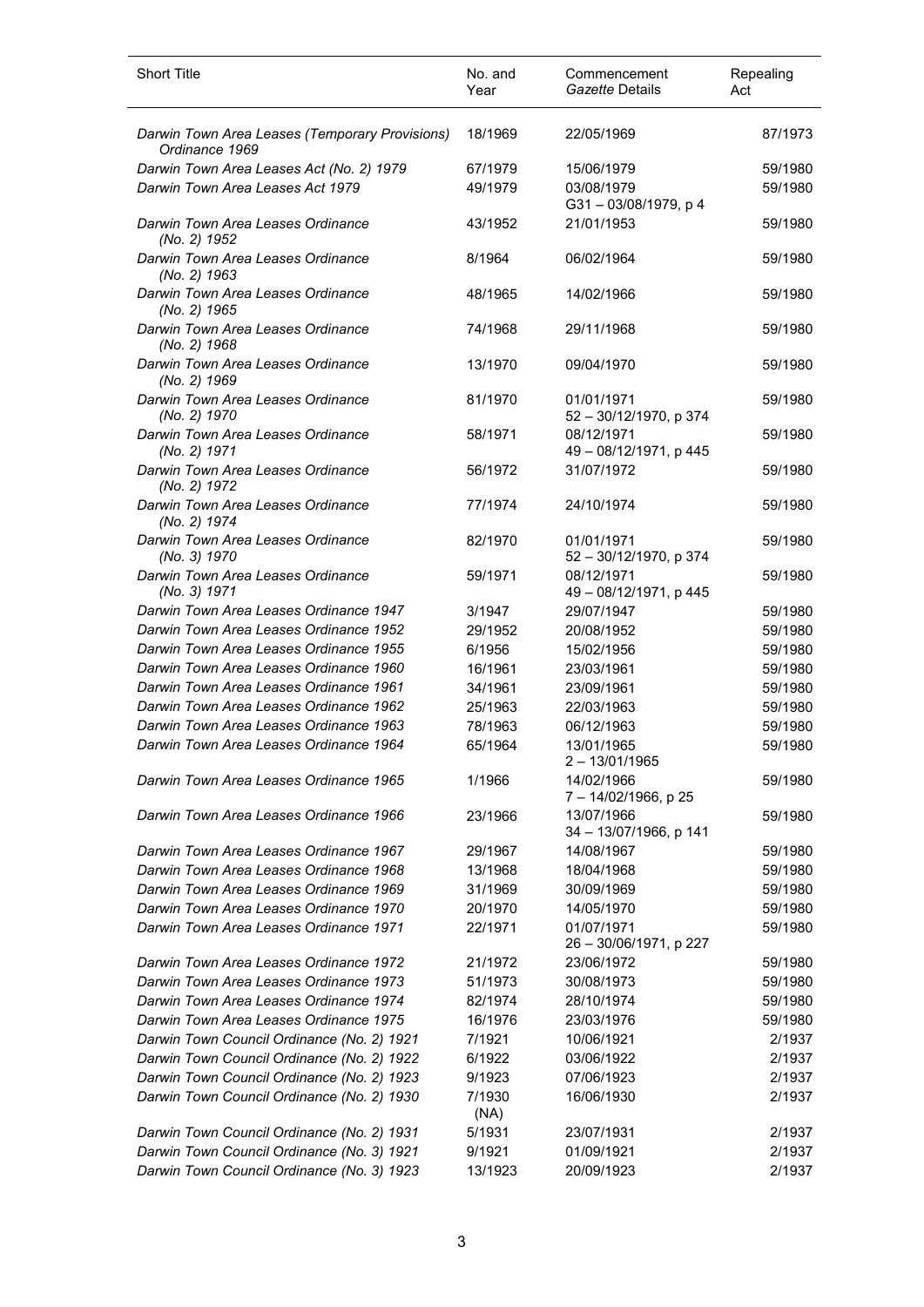| <b>Short Title</b>                                                               | No. and<br>Year    | Commencement<br>Gazette Details                    | Repealing<br>Act   |
|----------------------------------------------------------------------------------|--------------------|----------------------------------------------------|--------------------|
| Darwin Town Area Leases (Temporary Provisions)<br>Ordinance 1969                 | 18/1969            | 22/05/1969                                         | 87/1973            |
| Darwin Town Area Leases Act (No. 2) 1979                                         | 67/1979            | 15/06/1979                                         | 59/1980            |
| Darwin Town Area Leases Act 1979                                                 | 49/1979            | 03/08/1979                                         | 59/1980            |
| Darwin Town Area Leases Ordinance<br>(No. 2) 1952                                | 43/1952            | G31-03/08/1979, p 4<br>21/01/1953                  | 59/1980            |
| Darwin Town Area Leases Ordinance<br>(No. 2) 1963                                | 8/1964             | 06/02/1964                                         | 59/1980            |
| Darwin Town Area Leases Ordinance<br>(No. 2) 1965                                | 48/1965            | 14/02/1966                                         | 59/1980            |
| Darwin Town Area Leases Ordinance<br>(No. 2) 1968                                | 74/1968            | 29/11/1968                                         | 59/1980            |
| Darwin Town Area Leases Ordinance<br>(No. 2) 1969                                | 13/1970            | 09/04/1970                                         | 59/1980            |
| Darwin Town Area Leases Ordinance<br>(No. 2) 1970                                | 81/1970            | 01/01/1971<br>52 - 30/12/1970, p 374               | 59/1980            |
| Darwin Town Area Leases Ordinance<br>(No. 2) 1971                                | 58/1971            | 08/12/1971<br>49 - 08/12/1971, p 445               | 59/1980            |
| Darwin Town Area Leases Ordinance<br>(No. 2) 1972                                | 56/1972            | 31/07/1972                                         | 59/1980            |
| Darwin Town Area Leases Ordinance<br>(No. 2) 1974                                | 77/1974            | 24/10/1974                                         | 59/1980            |
| Darwin Town Area Leases Ordinance<br>(No. 3) 1970                                | 82/1970            | 01/01/1971<br>52 - 30/12/1970, p 374               | 59/1980            |
| Darwin Town Area Leases Ordinance<br>(No. 3) 1971                                | 59/1971            | 08/12/1971<br>49 - 08/12/1971, p 445               | 59/1980            |
| Darwin Town Area Leases Ordinance 1947                                           | 3/1947             | 29/07/1947                                         | 59/1980            |
| Darwin Town Area Leases Ordinance 1952                                           | 29/1952            | 20/08/1952                                         | 59/1980            |
| Darwin Town Area Leases Ordinance 1955                                           | 6/1956             | 15/02/1956                                         | 59/1980            |
| Darwin Town Area Leases Ordinance 1960                                           | 16/1961            | 23/03/1961                                         | 59/1980            |
| Darwin Town Area Leases Ordinance 1961                                           | 34/1961            | 23/09/1961                                         | 59/1980            |
| Darwin Town Area Leases Ordinance 1962                                           | 25/1963            | 22/03/1963                                         | 59/1980            |
| Darwin Town Area Leases Ordinance 1963                                           | 78/1963            | 06/12/1963                                         | 59/1980            |
| Darwin Town Area Leases Ordinance 1964                                           | 65/1964            | 13/01/1965<br>$2 - 13/01/1965$                     | 59/1980            |
| Darwin Town Area Leases Ordinance 1965                                           | 1/1966             | 14/02/1966<br>7 - 14/02/1966, p 25                 | 59/1980            |
| Darwin Town Area Leases Ordinance 1966                                           | 23/1966            | 13/07/1966<br>34 - 13/07/1966, p 141               | 59/1980            |
| Darwin Town Area Leases Ordinance 1967                                           | 29/1967            | 14/08/1967                                         | 59/1980            |
| Darwin Town Area Leases Ordinance 1968                                           | 13/1968            | 18/04/1968                                         | 59/1980            |
| Darwin Town Area Leases Ordinance 1969                                           | 31/1969            | 30/09/1969                                         | 59/1980            |
| Darwin Town Area Leases Ordinance 1970<br>Darwin Town Area Leases Ordinance 1971 | 20/1970<br>22/1971 | 14/05/1970<br>01/07/1971<br>26 - 30/06/1971, p 227 | 59/1980<br>59/1980 |
| Darwin Town Area Leases Ordinance 1972                                           | 21/1972            | 23/06/1972                                         | 59/1980            |
| Darwin Town Area Leases Ordinance 1973                                           | 51/1973            | 30/08/1973                                         | 59/1980            |
| Darwin Town Area Leases Ordinance 1974                                           | 82/1974            | 28/10/1974                                         | 59/1980            |
| Darwin Town Area Leases Ordinance 1975                                           | 16/1976            | 23/03/1976                                         | 59/1980            |
| Darwin Town Council Ordinance (No. 2) 1921                                       | 7/1921             | 10/06/1921                                         | 2/1937             |
| Darwin Town Council Ordinance (No. 2) 1922                                       | 6/1922             | 03/06/1922                                         | 2/1937             |
| Darwin Town Council Ordinance (No. 2) 1923                                       | 9/1923             | 07/06/1923                                         | 2/1937             |
| Darwin Town Council Ordinance (No. 2) 1930                                       | 7/1930             | 16/06/1930                                         | 2/1937             |
| Darwin Town Council Ordinance (No. 2) 1931                                       | (NA)<br>5/1931     | 23/07/1931                                         | 2/1937             |
| Darwin Town Council Ordinance (No. 3) 1921                                       | 9/1921             | 01/09/1921                                         | 2/1937             |
| Darwin Town Council Ordinance (No. 3) 1923                                       | 13/1923            | 20/09/1923                                         | 2/1937             |
|                                                                                  |                    |                                                    |                    |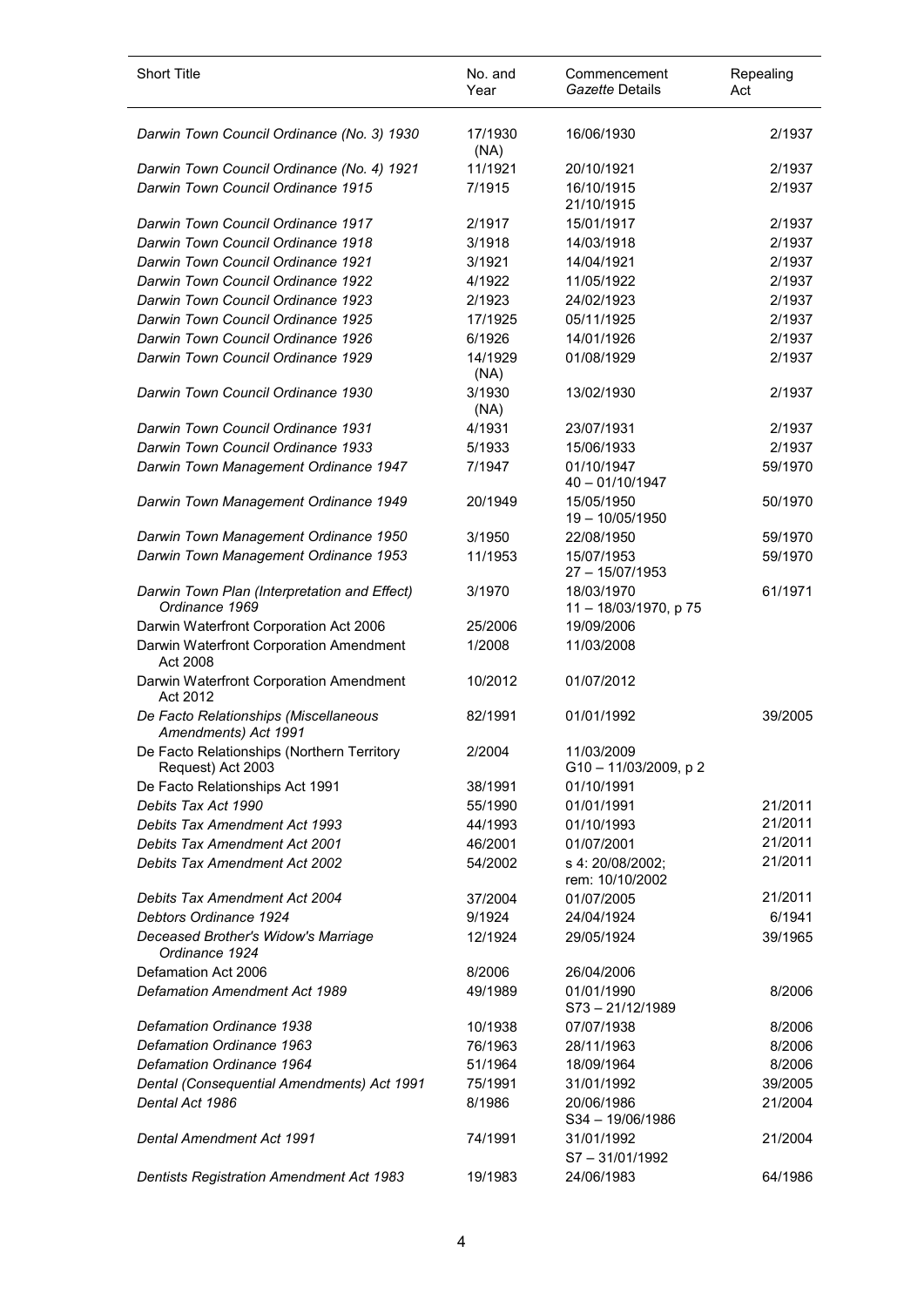| <b>Short Title</b>                                              | No. and<br>Year | Commencement<br>Gazette Details     | Repealing<br>Act |
|-----------------------------------------------------------------|-----------------|-------------------------------------|------------------|
| Darwin Town Council Ordinance (No. 3) 1930                      | 17/1930<br>(NA) | 16/06/1930                          | 2/1937           |
| Darwin Town Council Ordinance (No. 4) 1921                      | 11/1921         | 20/10/1921                          | 2/1937           |
| Darwin Town Council Ordinance 1915                              | 7/1915          | 16/10/1915<br>21/10/1915            | 2/1937           |
| Darwin Town Council Ordinance 1917                              | 2/1917          | 15/01/1917                          | 2/1937           |
| Darwin Town Council Ordinance 1918                              | 3/1918          | 14/03/1918                          | 2/1937           |
| Darwin Town Council Ordinance 1921                              | 3/1921          | 14/04/1921                          | 2/1937           |
| Darwin Town Council Ordinance 1922                              | 4/1922          | 11/05/1922                          | 2/1937           |
| Darwin Town Council Ordinance 1923                              | 2/1923          | 24/02/1923                          | 2/1937           |
| Darwin Town Council Ordinance 1925                              | 17/1925         | 05/11/1925                          | 2/1937           |
| Darwin Town Council Ordinance 1926                              | 6/1926          | 14/01/1926                          | 2/1937           |
| Darwin Town Council Ordinance 1929                              | 14/1929<br>(NA) | 01/08/1929                          | 2/1937           |
| Darwin Town Council Ordinance 1930                              | 3/1930<br>(NA)  | 13/02/1930                          | 2/1937           |
| Darwin Town Council Ordinance 1931                              | 4/1931          | 23/07/1931                          | 2/1937           |
| Darwin Town Council Ordinance 1933                              | 5/1933          | 15/06/1933                          | 2/1937           |
| Darwin Town Management Ordinance 1947                           | 7/1947          | 01/10/1947<br>$40 - 01/10/1947$     | 59/1970          |
| Darwin Town Management Ordinance 1949                           | 20/1949         | 15/05/1950<br>19 - 10/05/1950       | 50/1970          |
| Darwin Town Management Ordinance 1950                           | 3/1950          | 22/08/1950                          | 59/1970          |
| Darwin Town Management Ordinance 1953                           | 11/1953         | 15/07/1953<br>27 - 15/07/1953       | 59/1970          |
| Darwin Town Plan (Interpretation and Effect)<br>Ordinance 1969  | 3/1970          | 18/03/1970<br>11-18/03/1970, p 75   | 61/1971          |
| Darwin Waterfront Corporation Act 2006                          | 25/2006         | 19/09/2006                          |                  |
| Darwin Waterfront Corporation Amendment<br>Act 2008             | 1/2008          | 11/03/2008                          |                  |
| Darwin Waterfront Corporation Amendment<br>Act 2012             | 10/2012         | 01/07/2012                          |                  |
| De Facto Relationships (Miscellaneous<br>Amendments) Act 1991   | 82/1991         | 01/01/1992                          | 39/2005          |
| De Facto Relationships (Northern Territory<br>Request) Act 2003 | 2/2004          | 11/03/2009<br>G10 - 11/03/2009, p 2 |                  |
| De Facto Relationships Act 1991                                 | 38/1991         | 01/10/1991                          |                  |
| Debits Tax Act 1990                                             | 55/1990         | 01/01/1991                          | 21/2011          |
| Debits Tax Amendment Act 1993                                   | 44/1993         | 01/10/1993                          | 21/2011          |
| Debits Tax Amendment Act 2001                                   | 46/2001         | 01/07/2001                          | 21/2011          |
| <b>Debits Tax Amendment Act 2002</b>                            | 54/2002         | s 4: 20/08/2002;<br>rem: 10/10/2002 | 21/2011          |
| <b>Debits Tax Amendment Act 2004</b>                            | 37/2004         | 01/07/2005                          | 21/2011          |
| Debtors Ordinance 1924                                          | 9/1924          | 24/04/1924                          | 6/1941           |
| Deceased Brother's Widow's Marriage<br>Ordinance 1924           | 12/1924         | 29/05/1924                          | 39/1965          |
| Defamation Act 2006                                             | 8/2006          | 26/04/2006                          |                  |
| <b>Defamation Amendment Act 1989</b>                            | 49/1989         | 01/01/1990<br>S73-21/12/1989        | 8/2006           |
| Defamation Ordinance 1938                                       | 10/1938         | 07/07/1938                          | 8/2006           |
| Defamation Ordinance 1963                                       | 76/1963         | 28/11/1963                          | 8/2006           |
| Defamation Ordinance 1964                                       | 51/1964         | 18/09/1964                          | 8/2006           |
| Dental (Consequential Amendments) Act 1991                      | 75/1991         | 31/01/1992                          | 39/2005          |
| Dental Act 1986                                                 | 8/1986          | 20/06/1986<br>S34 - 19/06/1986      | 21/2004          |
| Dental Amendment Act 1991                                       | 74/1991         | 31/01/1992<br>$S7 - 31/01/1992$     | 21/2004          |
| <b>Dentists Registration Amendment Act 1983</b>                 | 19/1983         | 24/06/1983                          | 64/1986          |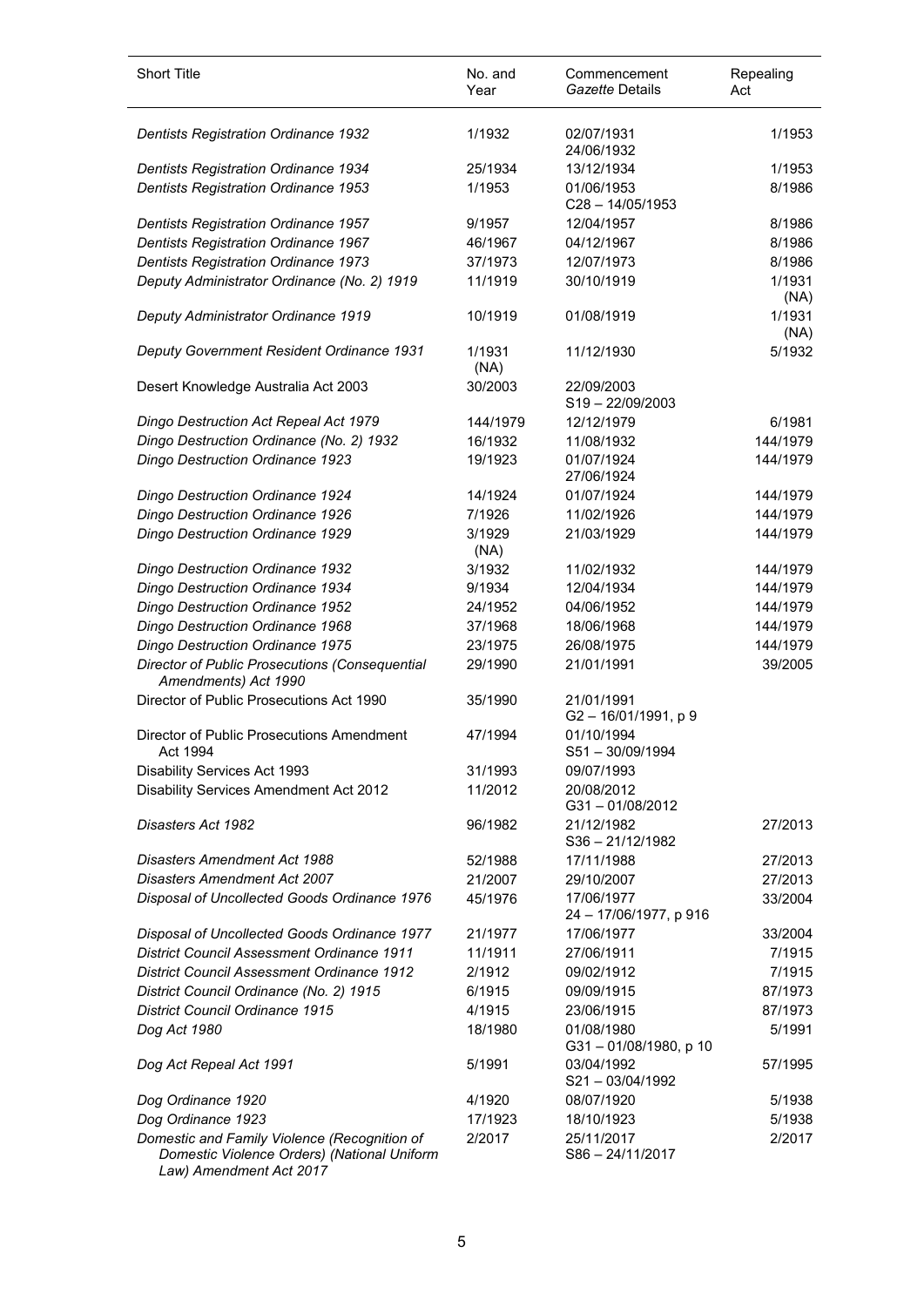| <b>Short Title</b>                                                                          | No. and<br>Year | Commencement<br>Gazette Details      | Repealing<br>Act |
|---------------------------------------------------------------------------------------------|-----------------|--------------------------------------|------------------|
| <b>Dentists Registration Ordinance 1932</b>                                                 | 1/1932          | 02/07/1931<br>24/06/1932             | 1/1953           |
| <b>Dentists Registration Ordinance 1934</b>                                                 | 25/1934         | 13/12/1934                           | 1/1953           |
| Dentists Registration Ordinance 1953                                                        | 1/1953          | 01/06/1953<br>$C28 - 14/05/1953$     | 8/1986           |
| Dentists Registration Ordinance 1957                                                        | 9/1957          | 12/04/1957                           | 8/1986           |
| Dentists Registration Ordinance 1967                                                        | 46/1967         | 04/12/1967                           | 8/1986           |
| <b>Dentists Registration Ordinance 1973</b>                                                 | 37/1973         | 12/07/1973                           | 8/1986           |
| Deputy Administrator Ordinance (No. 2) 1919                                                 | 11/1919         | 30/10/1919                           | 1/1931<br>(NA)   |
| Deputy Administrator Ordinance 1919                                                         | 10/1919         | 01/08/1919                           | 1/1931<br>(NA)   |
| Deputy Government Resident Ordinance 1931                                                   | 1/1931<br>(NA)  | 11/12/1930                           | 5/1932           |
| Desert Knowledge Australia Act 2003                                                         | 30/2003         | 22/09/2003<br>S19-22/09/2003         |                  |
| Dingo Destruction Act Repeal Act 1979                                                       | 144/1979        | 12/12/1979                           | 6/1981           |
| Dingo Destruction Ordinance (No. 2) 1932                                                    | 16/1932         | 11/08/1932                           | 144/1979         |
| Dingo Destruction Ordinance 1923                                                            | 19/1923         | 01/07/1924<br>27/06/1924             | 144/1979         |
| <b>Dingo Destruction Ordinance 1924</b>                                                     | 14/1924         | 01/07/1924                           | 144/1979         |
| Dingo Destruction Ordinance 1926                                                            | 7/1926          | 11/02/1926                           | 144/1979         |
| Dingo Destruction Ordinance 1929                                                            | 3/1929<br>(NA)  | 21/03/1929                           | 144/1979         |
| Dingo Destruction Ordinance 1932                                                            | 3/1932          | 11/02/1932                           | 144/1979         |
| <b>Dingo Destruction Ordinance 1934</b>                                                     | 9/1934          | 12/04/1934                           | 144/1979         |
| Dingo Destruction Ordinance 1952                                                            | 24/1952         | 04/06/1952                           | 144/1979         |
| Dingo Destruction Ordinance 1968                                                            | 37/1968         | 18/06/1968                           | 144/1979         |
| Dingo Destruction Ordinance 1975                                                            | 23/1975         | 26/08/1975                           | 144/1979         |
| <b>Director of Public Prosecutions (Consequential</b><br>Amendments) Act 1990               | 29/1990         | 21/01/1991                           | 39/2005          |
| Director of Public Prosecutions Act 1990                                                    | 35/1990         | 21/01/1991<br>G2-16/01/1991, p9      |                  |
| Director of Public Prosecutions Amendment<br>Act 1994                                       | 47/1994         | 01/10/1994<br>S51-30/09/1994         |                  |
| Disability Services Act 1993                                                                | 31/1993         | 09/07/1993                           |                  |
| Disability Services Amendment Act 2012                                                      | 11/2012         | 20/08/2012<br>$G31 - 01/08/2012$     |                  |
| Disasters Act 1982                                                                          | 96/1982         | 21/12/1982<br>$S36 - 21/12/1982$     | 27/2013          |
| Disasters Amendment Act 1988                                                                | 52/1988         | 17/11/1988                           | 27/2013          |
| <b>Disasters Amendment Act 2007</b>                                                         | 21/2007         | 29/10/2007                           | 27/2013          |
| Disposal of Uncollected Goods Ordinance 1976                                                | 45/1976         | 17/06/1977<br>24 - 17/06/1977, p 916 | 33/2004          |
| Disposal of Uncollected Goods Ordinance 1977                                                | 21/1977         | 17/06/1977                           | 33/2004          |
| <b>District Council Assessment Ordinance 1911</b>                                           | 11/1911         | 27/06/1911                           | 7/1915           |
| <b>District Council Assessment Ordinance 1912</b>                                           | 2/1912          | 09/02/1912                           | 7/1915           |
| District Council Ordinance (No. 2) 1915                                                     | 6/1915          | 09/09/1915                           | 87/1973          |
| <b>District Council Ordinance 1915</b>                                                      | 4/1915          | 23/06/1915                           | 87/1973          |
| Dog Act 1980                                                                                | 18/1980         | 01/08/1980<br>G31-01/08/1980, p 10   | 5/1991           |
| Dog Act Repeal Act 1991                                                                     | 5/1991          | 03/04/1992<br>$S21 - 03/04/1992$     | 57/1995          |
| Dog Ordinance 1920                                                                          | 4/1920          | 08/07/1920                           | 5/1938           |
| Dog Ordinance 1923                                                                          | 17/1923         | 18/10/1923                           | 5/1938           |
| Domestic and Family Violence (Recognition of<br>Domestic Violence Orders) (National Uniform | 2/2017          | 25/11/2017<br>S86-24/11/2017         | 2/2017           |

*Law) Amendment Act 2017*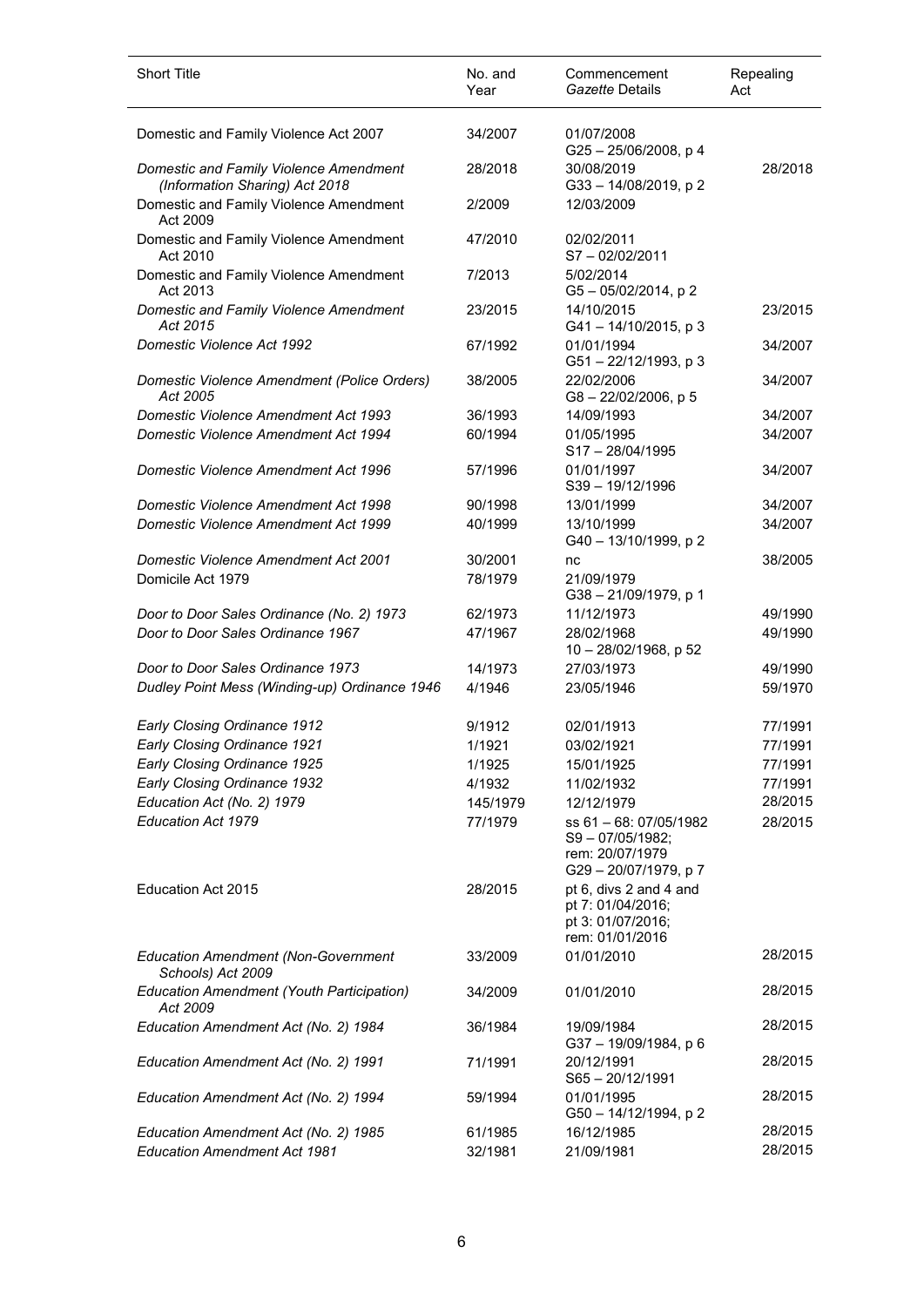| <b>Short Title</b>                                                          | No. and<br>Year    | Commencement<br>Gazette Details                                                     | Repealing<br>Act   |
|-----------------------------------------------------------------------------|--------------------|-------------------------------------------------------------------------------------|--------------------|
| Domestic and Family Violence Act 2007                                       | 34/2007            | 01/07/2008<br>$G25 - 25/06/2008$ , p 4                                              |                    |
| Domestic and Family Violence Amendment<br>(Information Sharing) Act 2018    | 28/2018            | 30/08/2019<br>G33-14/08/2019, p2                                                    | 28/2018            |
| Domestic and Family Violence Amendment<br>Act 2009                          | 2/2009             | 12/03/2009                                                                          |                    |
| Domestic and Family Violence Amendment<br>Act 2010                          | 47/2010            | 02/02/2011<br>$S7 - 02/02/2011$                                                     |                    |
| Domestic and Family Violence Amendment<br>Act 2013                          | 7/2013             | 5/02/2014<br>$G5 - 05/02/2014$ , p 2                                                |                    |
| Domestic and Family Violence Amendment<br>Act 2015                          | 23/2015            | 14/10/2015<br>$G41 - 14/10/2015$ , p 3                                              | 23/2015            |
| Domestic Violence Act 1992                                                  | 67/1992            | 01/01/1994<br>G51-22/12/1993, p 3                                                   | 34/2007            |
| Domestic Violence Amendment (Police Orders)<br>Act 2005                     | 38/2005            | 22/02/2006<br>$G8 - 22/02/2006$ , p 5                                               | 34/2007            |
| <b>Domestic Violence Amendment Act 1993</b>                                 | 36/1993            | 14/09/1993                                                                          | 34/2007            |
| Domestic Violence Amendment Act 1994                                        | 60/1994            | 01/05/1995<br>S17-28/04/1995                                                        | 34/2007            |
| Domestic Violence Amendment Act 1996                                        | 57/1996            | 01/01/1997<br>S39-19/12/1996                                                        | 34/2007            |
| <b>Domestic Violence Amendment Act 1998</b>                                 | 90/1998            | 13/01/1999                                                                          | 34/2007            |
| <b>Domestic Violence Amendment Act 1999</b>                                 | 40/1999            | 13/10/1999<br>G40 - 13/10/1999, p 2                                                 | 34/2007            |
| <b>Domestic Violence Amendment Act 2001</b>                                 | 30/2001            | nc                                                                                  | 38/2005            |
| Domicile Act 1979                                                           | 78/1979            | 21/09/1979<br>G38 - 21/09/1979, p 1                                                 |                    |
| Door to Door Sales Ordinance (No. 2) 1973                                   | 62/1973            | 11/12/1973                                                                          | 49/1990            |
| Door to Door Sales Ordinance 1967                                           | 47/1967            | 28/02/1968<br>10 - 28/02/1968, p 52                                                 | 49/1990            |
| Door to Door Sales Ordinance 1973                                           | 14/1973            | 27/03/1973                                                                          | 49/1990            |
| Dudley Point Mess (Winding-up) Ordinance 1946                               | 4/1946             | 23/05/1946                                                                          | 59/1970            |
| Early Closing Ordinance 1912                                                | 9/1912             | 02/01/1913                                                                          | 77/1991            |
| <b>Early Closing Ordinance 1921</b>                                         | 1/1921             | 03/02/1921                                                                          | 77/1991            |
| Early Closing Ordinance 1925                                                | 1/1925             | 15/01/1925                                                                          | 77/1991            |
| Early Closing Ordinance 1932                                                | 4/1932             | 11/02/1932                                                                          | 77/1991            |
| Education Act (No. 2) 1979                                                  | 145/1979           | 12/12/1979                                                                          | 28/2015            |
| <b>Education Act 1979</b>                                                   | 77/1979            | ss 61 - 68: 07/05/1982<br>S9-07/05/1982;<br>rem: 20/07/1979<br>G29-20/07/1979, p7   | 28/2015            |
| <b>Education Act 2015</b>                                                   | 28/2015            | pt 6, divs 2 and 4 and<br>pt 7: 01/04/2016;<br>pt 3: 01/07/2016;<br>rem: 01/01/2016 |                    |
| <b>Education Amendment (Non-Government</b><br>Schools) Act 2009             | 33/2009            | 01/01/2010                                                                          | 28/2015            |
| <b>Education Amendment (Youth Participation)</b><br>Act 2009                | 34/2009            | 01/01/2010                                                                          | 28/2015            |
| Education Amendment Act (No. 2) 1984                                        | 36/1984            | 19/09/1984<br>G37-19/09/1984, p 6                                                   | 28/2015            |
| Education Amendment Act (No. 2) 1991                                        | 71/1991            | 20/12/1991<br>$S65 - 20/12/1991$                                                    | 28/2015            |
| Education Amendment Act (No. 2) 1994                                        | 59/1994            | 01/01/1995<br>G50 - 14/12/1994, p 2                                                 | 28/2015            |
| Education Amendment Act (No. 2) 1985<br><b>Education Amendment Act 1981</b> | 61/1985<br>32/1981 | 16/12/1985<br>21/09/1981                                                            | 28/2015<br>28/2015 |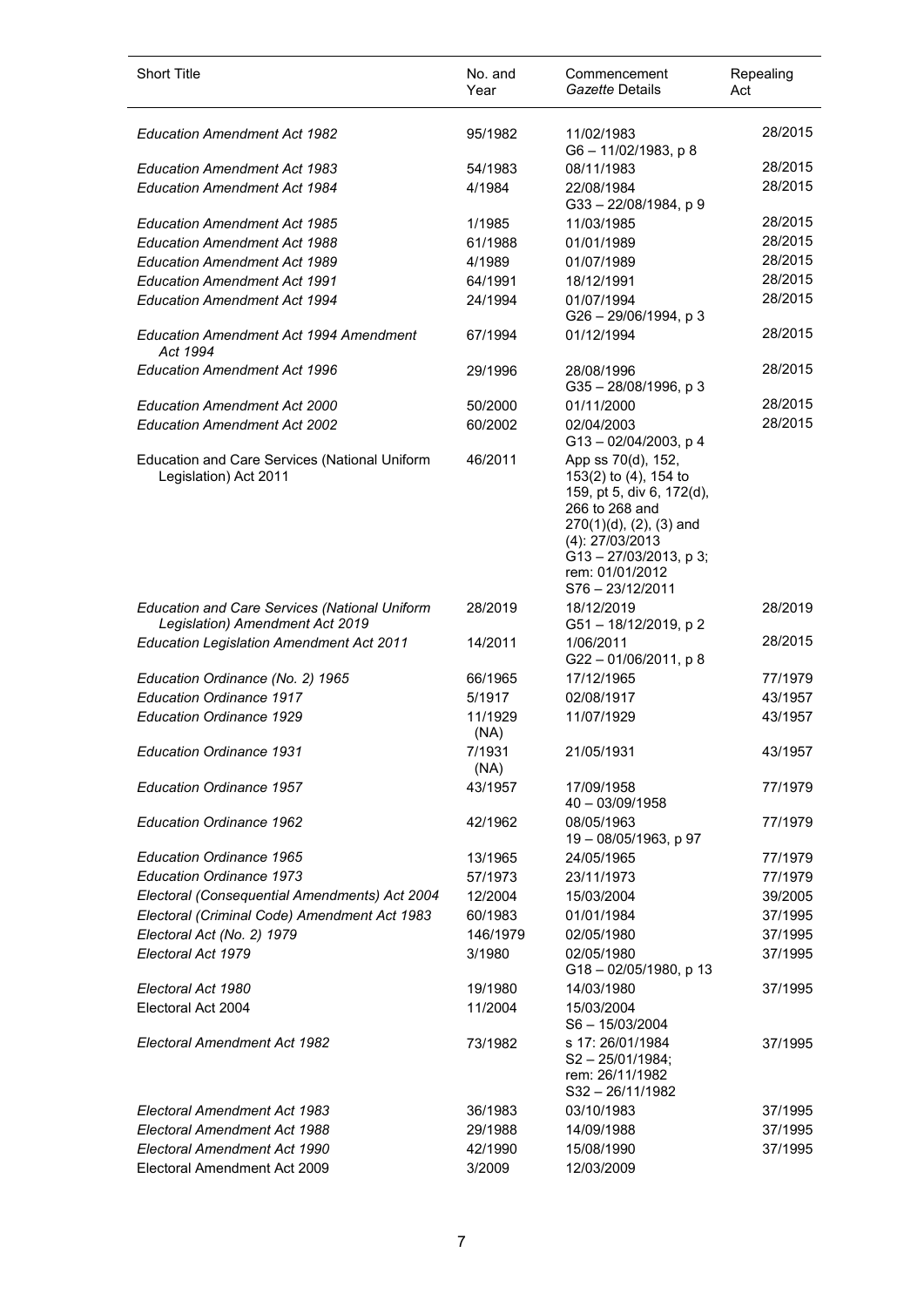| Repealing<br>Act | Commencement<br>Gazette Details                                                                                                                                                                            | No. and<br>Year | <b>Short Title</b>                                                                      |
|------------------|------------------------------------------------------------------------------------------------------------------------------------------------------------------------------------------------------------|-----------------|-----------------------------------------------------------------------------------------|
| 28/2015          | 11/02/1983<br>G6-11/02/1983, p8                                                                                                                                                                            | 95/1982         | <b>Education Amendment Act 1982</b>                                                     |
| 28/2015          | 08/11/1983                                                                                                                                                                                                 | 54/1983         | <b>Education Amendment Act 1983</b>                                                     |
| 28/2015          | 22/08/1984<br>G33-22/08/1984, p9                                                                                                                                                                           | 4/1984          | <b>Education Amendment Act 1984</b>                                                     |
| 28/2015          | 11/03/1985                                                                                                                                                                                                 | 1/1985          | <b>Education Amendment Act 1985</b>                                                     |
| 28/2015          | 01/01/1989                                                                                                                                                                                                 | 61/1988         | <b>Education Amendment Act 1988</b>                                                     |
| 28/2015          | 01/07/1989                                                                                                                                                                                                 | 4/1989          | <b>Education Amendment Act 1989</b>                                                     |
| 28/2015          | 18/12/1991                                                                                                                                                                                                 | 64/1991         | <b>Education Amendment Act 1991</b>                                                     |
| 28/2015          | 01/07/1994<br>G26 - 29/06/1994, p 3                                                                                                                                                                        | 24/1994         | <b>Education Amendment Act 1994</b>                                                     |
| 28/2015          | 01/12/1994                                                                                                                                                                                                 | 67/1994         | <b>Education Amendment Act 1994 Amendment</b><br>Act 1994                               |
| 28/2015          | 28/08/1996<br>$G35 - 28/08/1996$ , p 3                                                                                                                                                                     | 29/1996         | <b>Education Amendment Act 1996</b>                                                     |
| 28/2015          | 01/11/2000                                                                                                                                                                                                 | 50/2000         | <b>Education Amendment Act 2000</b>                                                     |
| 28/2015          | 02/04/2003<br>$G13 - 02/04/2003$ , p 4                                                                                                                                                                     | 60/2002         | <b>Education Amendment Act 2002</b>                                                     |
|                  | App ss 70(d), 152,<br>153(2) to (4), 154 to<br>159, pt 5, div 6, 172(d),<br>266 to 268 and<br>270(1)(d), (2), (3) and<br>(4): 27/03/2013<br>$G$ 13 - 27/03/2013, p 3;<br>rem: 01/01/2012<br>S76-23/12/2011 | 46/2011         | Education and Care Services (National Uniform<br>Legislation) Act 2011                  |
| 28/2019          | 18/12/2019<br>G51-18/12/2019, p 2                                                                                                                                                                          | 28/2019         | <b>Education and Care Services (National Uniform</b><br>Legislation) Amendment Act 2019 |
| 28/2015          | 1/06/2011<br>$G22 - 01/06/2011$ , p 8                                                                                                                                                                      | 14/2011         | <b>Education Legislation Amendment Act 2011</b>                                         |
| 77/1979          | 17/12/1965                                                                                                                                                                                                 | 66/1965         | Education Ordinance (No. 2) 1965                                                        |
| 43/1957          | 02/08/1917                                                                                                                                                                                                 | 5/1917          | Education Ordinance 1917                                                                |
| 43/1957          | 11/07/1929                                                                                                                                                                                                 | 11/1929<br>(NA) | <b>Education Ordinance 1929</b>                                                         |
| 43/1957          | 21/05/1931                                                                                                                                                                                                 | 7/1931<br>(NA)  | <b>Education Ordinance 1931</b>                                                         |
| 77/1979          | 17/09/1958<br>40 - 03/09/1958                                                                                                                                                                              | 43/1957         | <b>Education Ordinance 1957</b>                                                         |
| 77/1979          | 08/05/1963<br>19 - 08/05/1963, p 97                                                                                                                                                                        | 42/1962         | <b>Education Ordinance 1962</b>                                                         |
| 77/1979          | 24/05/1965                                                                                                                                                                                                 | 13/1965         | <b>Education Ordinance 1965</b>                                                         |
| 77/1979          | 23/11/1973                                                                                                                                                                                                 | 57/1973         | <b>Education Ordinance 1973</b>                                                         |
| 39/2005          | 15/03/2004                                                                                                                                                                                                 | 12/2004         | Electoral (Consequential Amendments) Act 2004                                           |
| 37/1995          | 01/01/1984                                                                                                                                                                                                 | 60/1983         | Electoral (Criminal Code) Amendment Act 1983                                            |
| 37/1995          | 02/05/1980                                                                                                                                                                                                 | 146/1979        | Electoral Act (No. 2) 1979                                                              |
| 37/1995          | 02/05/1980<br>G18-02/05/1980, p 13                                                                                                                                                                         | 3/1980          | Electoral Act 1979                                                                      |
| 37/1995          | 14/03/1980                                                                                                                                                                                                 | 19/1980         | Electoral Act 1980                                                                      |
|                  | 15/03/2004<br>S6-15/03/2004                                                                                                                                                                                | 11/2004         | Electoral Act 2004                                                                      |
| 37/1995          | s 17: 26/01/1984<br>$S2 - 25/01/1984$ ;<br>rem: 26/11/1982<br>S32-26/11/1982                                                                                                                               | 73/1982         | Electoral Amendment Act 1982                                                            |
| 37/1995          | 03/10/1983                                                                                                                                                                                                 | 36/1983         | Electoral Amendment Act 1983                                                            |
| 37/1995          | 14/09/1988                                                                                                                                                                                                 | 29/1988         | Electoral Amendment Act 1988                                                            |
| 37/1995          | 15/08/1990                                                                                                                                                                                                 | 42/1990         | Electoral Amendment Act 1990                                                            |
|                  | 12/03/2009                                                                                                                                                                                                 | 3/2009          | Electoral Amendment Act 2009                                                            |
|                  |                                                                                                                                                                                                            |                 |                                                                                         |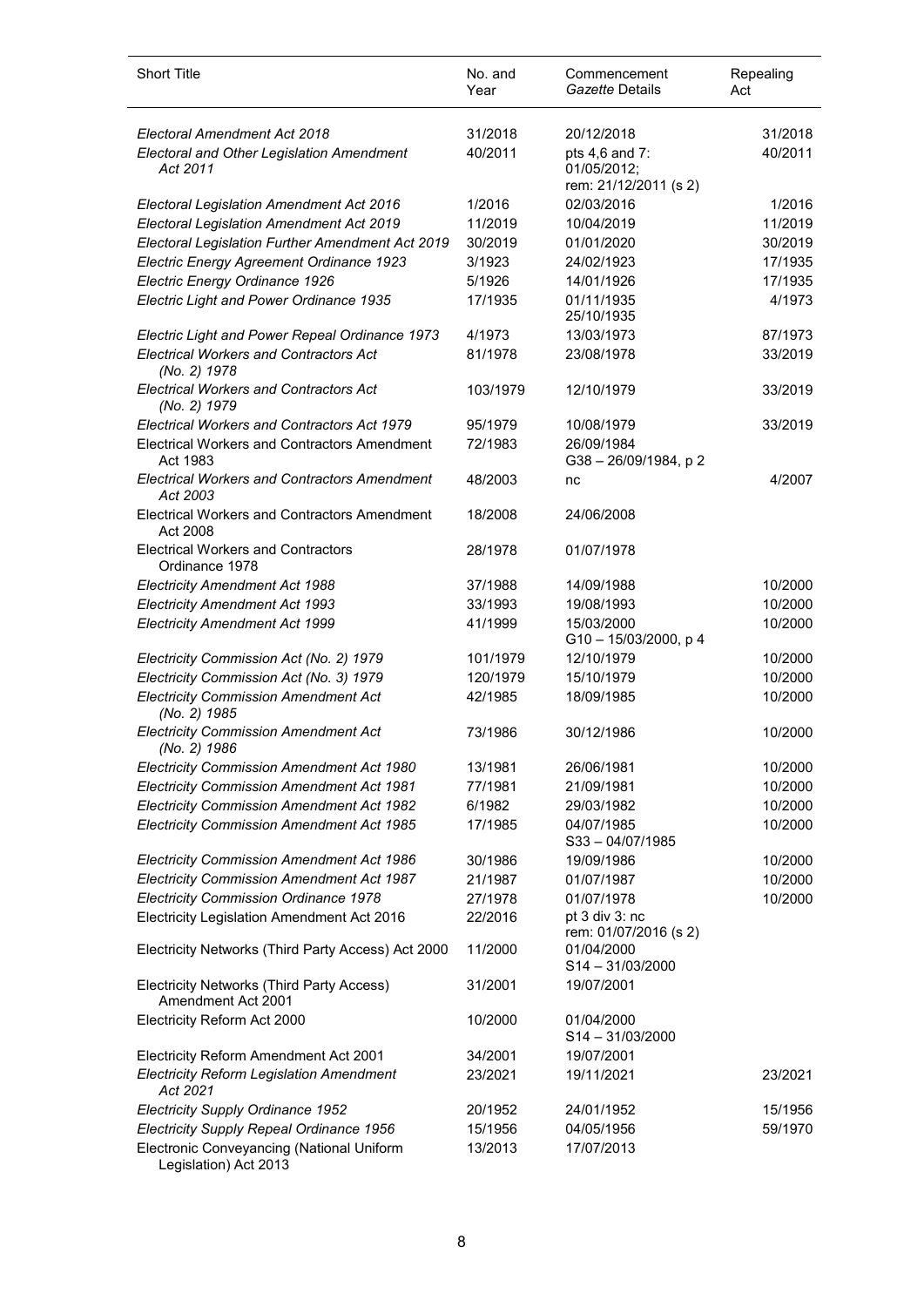| <b>Short Title</b>                                                 | No. and<br>Year | Commencement<br>Gazette Details                        | Repealing<br>Act |
|--------------------------------------------------------------------|-----------------|--------------------------------------------------------|------------------|
| Electoral Amendment Act 2018                                       | 31/2018         | 20/12/2018                                             | 31/2018          |
| <b>Electoral and Other Legislation Amendment</b><br>Act 2011       | 40/2011         | pts 4,6 and 7:<br>01/05/2012:<br>rem: 21/12/2011 (s 2) | 40/2011          |
| Electoral Legislation Amendment Act 2016                           | 1/2016          | 02/03/2016                                             | 1/2016           |
| Electoral Legislation Amendment Act 2019                           | 11/2019         | 10/04/2019                                             | 11/2019          |
| Electoral Legislation Further Amendment Act 2019                   | 30/2019         | 01/01/2020                                             | 30/2019          |
| Electric Energy Agreement Ordinance 1923                           | 3/1923          | 24/02/1923                                             | 17/1935          |
| Electric Energy Ordinance 1926                                     | 5/1926          | 14/01/1926                                             | 17/1935          |
| Electric Light and Power Ordinance 1935                            | 17/1935         | 01/11/1935<br>25/10/1935                               | 4/1973           |
| Electric Light and Power Repeal Ordinance 1973                     | 4/1973          | 13/03/1973                                             | 87/1973          |
| <b>Electrical Workers and Contractors Act</b><br>(No. 2) 1978      | 81/1978         | 23/08/1978                                             | 33/2019          |
| <b>Electrical Workers and Contractors Act</b><br>(No. 2) 1979      | 103/1979        | 12/10/1979                                             | 33/2019          |
| <b>Electrical Workers and Contractors Act 1979</b>                 | 95/1979         | 10/08/1979                                             | 33/2019          |
| <b>Electrical Workers and Contractors Amendment</b><br>Act 1983    | 72/1983         | 26/09/1984<br>G38 - 26/09/1984, p 2                    |                  |
| <b>Electrical Workers and Contractors Amendment</b><br>Act 2003    | 48/2003         | nc                                                     | 4/2007           |
| <b>Electrical Workers and Contractors Amendment</b><br>Act 2008    | 18/2008         | 24/06/2008                                             |                  |
| <b>Electrical Workers and Contractors</b><br>Ordinance 1978        | 28/1978         | 01/07/1978                                             |                  |
| <b>Electricity Amendment Act 1988</b>                              | 37/1988         | 14/09/1988                                             | 10/2000          |
| <b>Electricity Amendment Act 1993</b>                              | 33/1993         | 19/08/1993                                             | 10/2000          |
| <b>Electricity Amendment Act 1999</b>                              | 41/1999         | 15/03/2000<br>G10-15/03/2000, p 4                      | 10/2000          |
| Electricity Commission Act (No. 2) 1979                            | 101/1979        | 12/10/1979                                             | 10/2000          |
| Electricity Commission Act (No. 3) 1979                            | 120/1979        | 15/10/1979                                             | 10/2000          |
| <b>Electricity Commission Amendment Act</b><br>(No. 2) 1985        | 42/1985         | 18/09/1985                                             | 10/2000          |
| <b>Electricity Commission Amendment Act</b><br>(No. 2) 1986        | 73/1986         | 30/12/1986                                             | 10/2000          |
| Electricity Commission Amendment Act 1980                          | 13/1981         | 26/06/1981                                             | 10/2000          |
| Electricity Commission Amendment Act 1981                          | 77/1981         | 21/09/1981                                             | 10/2000          |
| Electricity Commission Amendment Act 1982                          | 6/1982          | 29/03/1982                                             | 10/2000          |
| Electricity Commission Amendment Act 1985                          | 17/1985         | 04/07/1985<br>$S33 - 04/07/1985$                       | 10/2000          |
| Electricity Commission Amendment Act 1986                          | 30/1986         | 19/09/1986                                             | 10/2000          |
| <b>Electricity Commission Amendment Act 1987</b>                   | 21/1987         | 01/07/1987                                             | 10/2000          |
| <b>Electricity Commission Ordinance 1978</b>                       | 27/1978         | 01/07/1978                                             | 10/2000          |
| Electricity Legislation Amendment Act 2016                         | 22/2016         | pt 3 div 3: nc<br>rem: 01/07/2016 (s 2)                |                  |
| Electricity Networks (Third Party Access) Act 2000                 | 11/2000         | 01/04/2000<br>$S14 - 31/03/2000$                       |                  |
| Electricity Networks (Third Party Access)<br>Amendment Act 2001    | 31/2001         | 19/07/2001                                             |                  |
| Electricity Reform Act 2000                                        | 10/2000         | 01/04/2000<br>S14-31/03/2000                           |                  |
| Electricity Reform Amendment Act 2001                              | 34/2001         | 19/07/2001                                             |                  |
| <b>Electricity Reform Legislation Amendment</b><br>Act 2021        | 23/2021         | 19/11/2021                                             | 23/2021          |
| Electricity Supply Ordinance 1952                                  | 20/1952         | 24/01/1952                                             | 15/1956          |
| Electricity Supply Repeal Ordinance 1956                           | 15/1956         | 04/05/1956                                             | 59/1970          |
| Electronic Conveyancing (National Uniform<br>Legislation) Act 2013 | 13/2013         | 17/07/2013                                             |                  |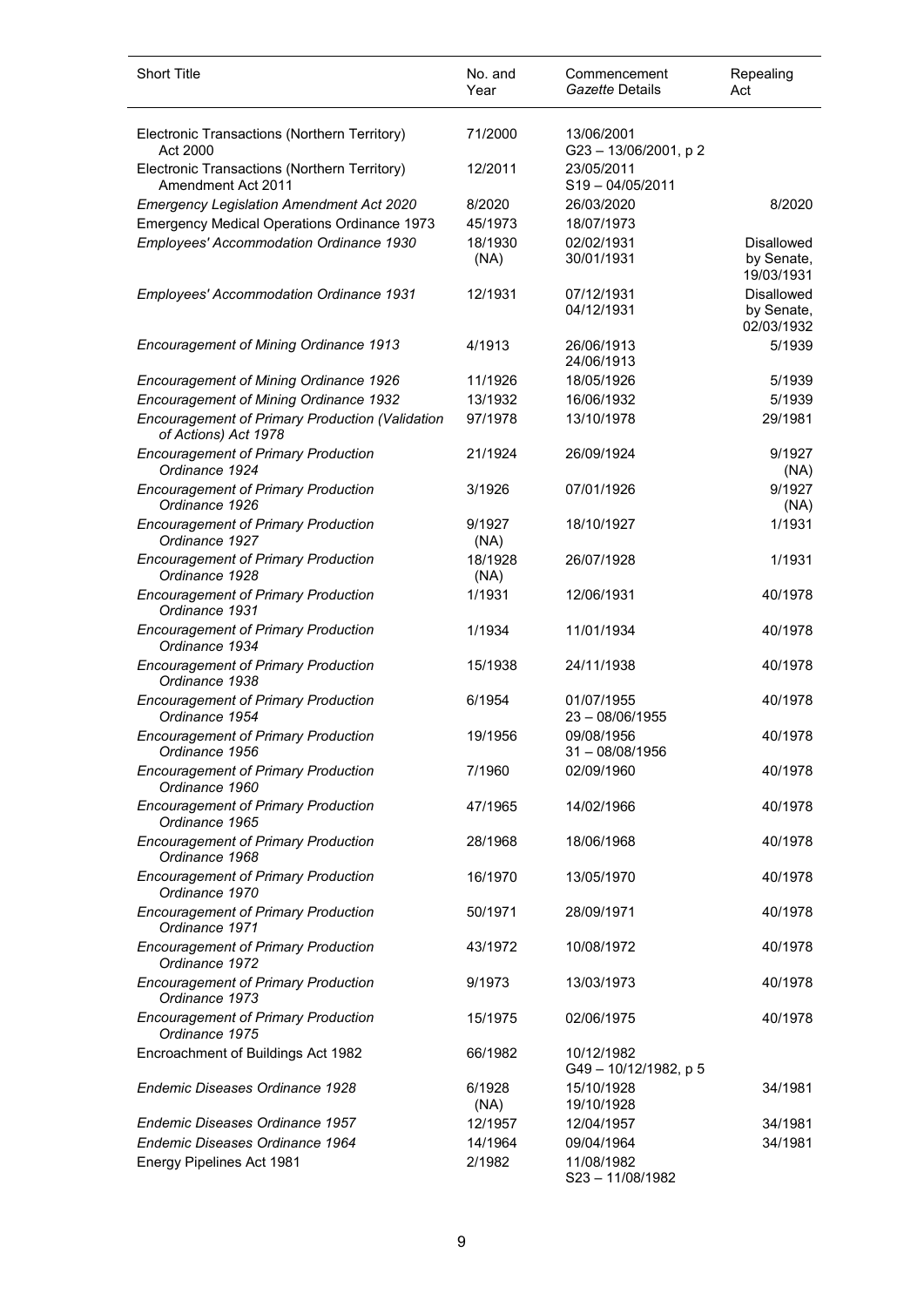| <b>Short Title</b>                                                             | No. and<br>Year | Commencement<br>Gazette Details   | Repealing<br>Act                              |
|--------------------------------------------------------------------------------|-----------------|-----------------------------------|-----------------------------------------------|
| Electronic Transactions (Northern Territory)<br>Act 2000                       | 71/2000         | 13/06/2001<br>G23-13/06/2001, p2  |                                               |
| Electronic Transactions (Northern Territory)<br>Amendment Act 2011             | 12/2011         | 23/05/2011<br>S19-04/05/2011      |                                               |
| <b>Emergency Legislation Amendment Act 2020</b>                                | 8/2020          | 26/03/2020                        | 8/2020                                        |
| <b>Emergency Medical Operations Ordinance 1973</b>                             | 45/1973         | 18/07/1973                        |                                               |
| Employees' Accommodation Ordinance 1930                                        | 18/1930<br>(NA) | 02/02/1931<br>30/01/1931          | <b>Disallowed</b><br>by Senate,<br>19/03/1931 |
| Employees' Accommodation Ordinance 1931                                        | 12/1931         | 07/12/1931<br>04/12/1931          | <b>Disallowed</b><br>by Senate,<br>02/03/1932 |
| Encouragement of Mining Ordinance 1913                                         | 4/1913          | 26/06/1913<br>24/06/1913          | 5/1939                                        |
| <b>Encouragement of Mining Ordinance 1926</b>                                  | 11/1926         | 18/05/1926                        | 5/1939                                        |
| Encouragement of Mining Ordinance 1932                                         | 13/1932         | 16/06/1932                        | 5/1939                                        |
| <b>Encouragement of Primary Production (Validation</b><br>of Actions) Act 1978 | 97/1978         | 13/10/1978                        | 29/1981                                       |
| <b>Encouragement of Primary Production</b><br>Ordinance 1924                   | 21/1924         | 26/09/1924                        | 9/1927<br>(NA)                                |
| <b>Encouragement of Primary Production</b><br>Ordinance 1926                   | 3/1926          | 07/01/1926                        | 9/1927<br>(NA)                                |
| <b>Encouragement of Primary Production</b><br>Ordinance 1927                   | 9/1927<br>(NA)  | 18/10/1927                        | 1/1931                                        |
| <b>Encouragement of Primary Production</b><br>Ordinance 1928                   | 18/1928<br>(NA) | 26/07/1928                        | 1/1931                                        |
| <b>Encouragement of Primary Production</b><br>Ordinance 1931                   | 1/1931          | 12/06/1931                        | 40/1978                                       |
| <b>Encouragement of Primary Production</b><br>Ordinance 1934                   | 1/1934          | 11/01/1934                        | 40/1978                                       |
| <b>Encouragement of Primary Production</b><br>Ordinance 1938                   | 15/1938         | 24/11/1938                        | 40/1978                                       |
| <b>Encouragement of Primary Production</b><br>Ordinance 1954                   | 6/1954          | 01/07/1955<br>$23 - 08/06/1955$   | 40/1978                                       |
| <b>Encouragement of Primary Production</b><br>Ordinance 1956                   | 19/1956         | 09/08/1956<br>$31 - 08/08/1956$   | 40/1978                                       |
| <b>Encouragement of Primary Production</b><br>Ordinance 1960                   | 7/1960          | 02/09/1960                        | 40/1978                                       |
| <b>Encouragement of Primary Production</b><br>Ordinance 1965                   | 47/1965         | 14/02/1966                        | 40/1978                                       |
| <b>Encouragement of Primary Production</b><br>Ordinance 1968                   | 28/1968         | 18/06/1968                        | 40/1978                                       |
| <b>Encouragement of Primary Production</b><br>Ordinance 1970                   | 16/1970         | 13/05/1970                        | 40/1978                                       |
| <b>Encouragement of Primary Production</b><br>Ordinance 1971                   | 50/1971         | 28/09/1971                        | 40/1978                                       |
| <b>Encouragement of Primary Production</b><br>Ordinance 1972                   | 43/1972         | 10/08/1972                        | 40/1978                                       |
| <b>Encouragement of Primary Production</b><br>Ordinance 1973                   | 9/1973          | 13/03/1973                        | 40/1978                                       |
| <b>Encouragement of Primary Production</b><br>Ordinance 1975                   | 15/1975         | 02/06/1975                        | 40/1978                                       |
| Encroachment of Buildings Act 1982                                             | 66/1982         | 10/12/1982<br>G49-10/12/1982, p 5 |                                               |
| Endemic Diseases Ordinance 1928                                                | 6/1928<br>(NA)  | 15/10/1928<br>19/10/1928          | 34/1981                                       |
| Endemic Diseases Ordinance 1957                                                | 12/1957         | 12/04/1957                        | 34/1981                                       |
| Endemic Diseases Ordinance 1964                                                | 14/1964         | 09/04/1964                        | 34/1981                                       |
| Energy Pipelines Act 1981                                                      | 2/1982          | 11/08/1982<br>S23-11/08/1982      |                                               |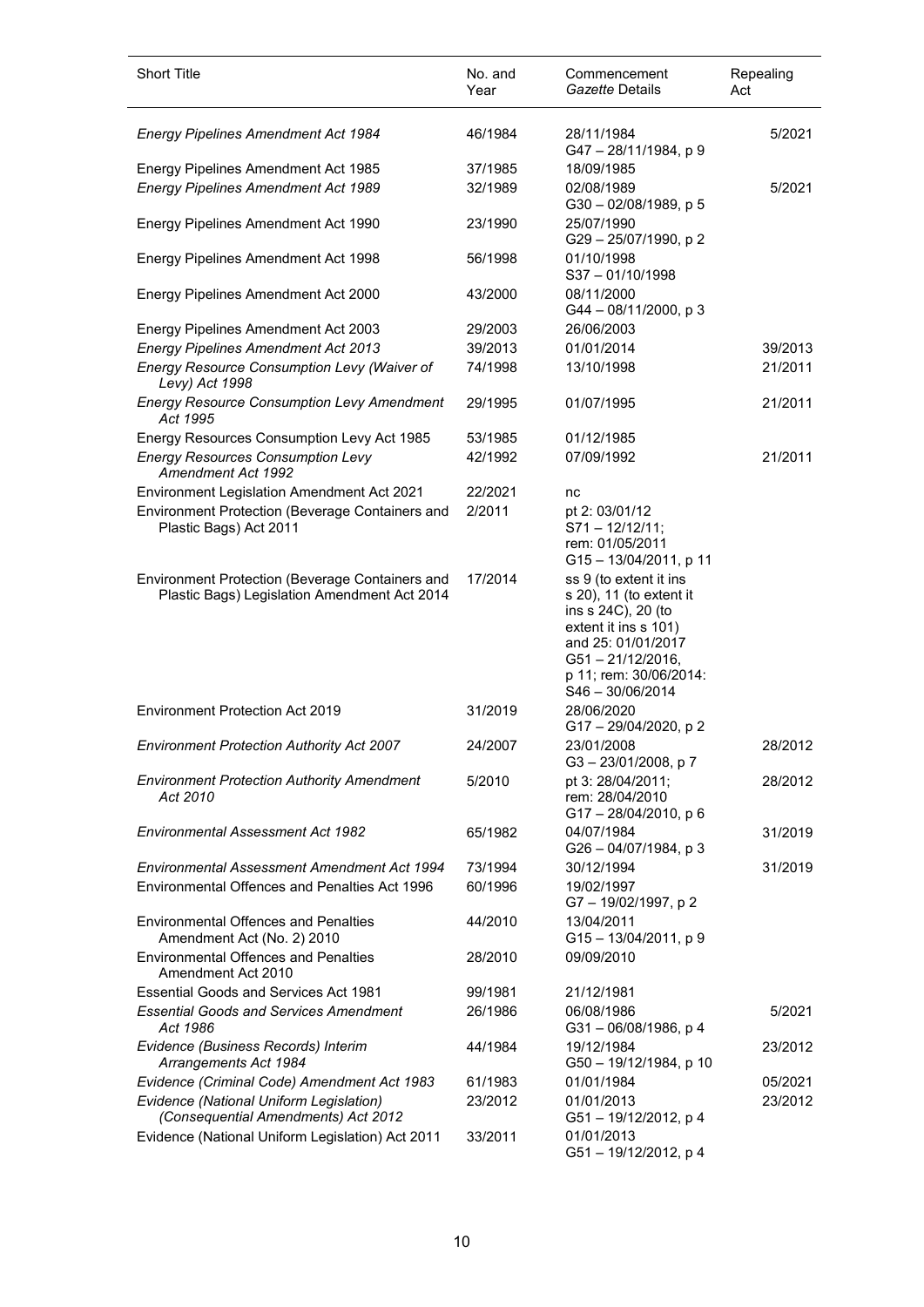| <b>Short Title</b>                                                                              | No. and<br>Year | Commencement<br>Gazette Details                                                                                                                                                             | Repealing<br>Act |
|-------------------------------------------------------------------------------------------------|-----------------|---------------------------------------------------------------------------------------------------------------------------------------------------------------------------------------------|------------------|
| <b>Energy Pipelines Amendment Act 1984</b>                                                      | 46/1984         | 28/11/1984<br>G47-28/11/1984, p 9                                                                                                                                                           | 5/2021           |
| Energy Pipelines Amendment Act 1985                                                             | 37/1985         | 18/09/1985                                                                                                                                                                                  |                  |
| <b>Energy Pipelines Amendment Act 1989</b>                                                      | 32/1989         | 02/08/1989<br>G30-02/08/1989, p 5                                                                                                                                                           | 5/2021           |
| Energy Pipelines Amendment Act 1990                                                             | 23/1990         | 25/07/1990<br>G29-25/07/1990, p2                                                                                                                                                            |                  |
| Energy Pipelines Amendment Act 1998                                                             | 56/1998         | 01/10/1998<br>S37-01/10/1998                                                                                                                                                                |                  |
| Energy Pipelines Amendment Act 2000                                                             | 43/2000         | 08/11/2000<br>G44 - 08/11/2000, p 3                                                                                                                                                         |                  |
| Energy Pipelines Amendment Act 2003                                                             | 29/2003         | 26/06/2003                                                                                                                                                                                  |                  |
| <b>Energy Pipelines Amendment Act 2013</b>                                                      | 39/2013         | 01/01/2014                                                                                                                                                                                  | 39/2013          |
| Energy Resource Consumption Levy (Waiver of<br>Levy) Act 1998                                   | 74/1998         | 13/10/1998                                                                                                                                                                                  | 21/2011          |
| <b>Energy Resource Consumption Levy Amendment</b><br>Act 1995                                   | 29/1995         | 01/07/1995                                                                                                                                                                                  | 21/2011          |
| Energy Resources Consumption Levy Act 1985                                                      | 53/1985         | 01/12/1985                                                                                                                                                                                  |                  |
| <b>Energy Resources Consumption Levy</b><br><b>Amendment Act 1992</b>                           | 42/1992         | 07/09/1992                                                                                                                                                                                  | 21/2011          |
| Environment Legislation Amendment Act 2021                                                      | 22/2021         | nc                                                                                                                                                                                          |                  |
| Environment Protection (Beverage Containers and<br>Plastic Bags) Act 2011                       | 2/2011          | pt 2: 03/01/12<br>$S71 - 12/12/11;$                                                                                                                                                         |                  |
|                                                                                                 |                 | rem: 01/05/2011<br>G15 - 13/04/2011, p 11                                                                                                                                                   |                  |
| Environment Protection (Beverage Containers and<br>Plastic Bags) Legislation Amendment Act 2014 | 17/2014         | ss 9 (to extent it ins<br>s 20), 11 (to extent it<br>ins s 24C), 20 (to<br>extent it ins s 101)<br>and 25: 01/01/2017<br>$G51 - 21/12/2016$ ,<br>p 11; rem: 30/06/2014:<br>S46 - 30/06/2014 |                  |
| Environment Protection Act 2019                                                                 | 31/2019         | 28/06/2020<br>G17-29/04/2020, p2                                                                                                                                                            |                  |
| <b>Environment Protection Authority Act 2007</b>                                                | 24/2007         | 23/01/2008<br>G3-23/01/2008, p7                                                                                                                                                             | 28/2012          |
| <b>Environment Protection Authority Amendment</b><br>Act 2010                                   | 5/2010          | pt 3: 28/04/2011;<br>rem: 28/04/2010<br>G17-28/04/2010, p 6                                                                                                                                 | 28/2012          |
| <b>Environmental Assessment Act 1982</b>                                                        | 65/1982         | 04/07/1984<br>G26 - 04/07/1984, p 3                                                                                                                                                         | 31/2019          |
| <b>Environmental Assessment Amendment Act 1994</b>                                              | 73/1994         | 30/12/1994                                                                                                                                                                                  | 31/2019          |
| <b>Environmental Offences and Penalties Act 1996</b>                                            | 60/1996         | 19/02/1997<br>G7-19/02/1997, p2                                                                                                                                                             |                  |
| <b>Environmental Offences and Penalties</b><br>Amendment Act (No. 2) 2010                       | 44/2010         | 13/04/2011<br>G15-13/04/2011, p 9                                                                                                                                                           |                  |
| <b>Environmental Offences and Penalties</b><br>Amendment Act 2010                               | 28/2010         | 09/09/2010                                                                                                                                                                                  |                  |
| Essential Goods and Services Act 1981                                                           | 99/1981         | 21/12/1981                                                                                                                                                                                  |                  |
| <b>Essential Goods and Services Amendment</b><br>Act 1986                                       | 26/1986         | 06/08/1986<br>G31-06/08/1986, p 4                                                                                                                                                           | 5/2021           |
| Evidence (Business Records) Interim<br>Arrangements Act 1984                                    | 44/1984         | 19/12/1984<br>G50 - 19/12/1984, p 10                                                                                                                                                        | 23/2012          |
| Evidence (Criminal Code) Amendment Act 1983                                                     | 61/1983         | 01/01/1984                                                                                                                                                                                  | 05/2021          |
| Evidence (National Uniform Legislation)<br>(Consequential Amendments) Act 2012                  | 23/2012         | 01/01/2013<br>G51-19/12/2012, p 4                                                                                                                                                           | 23/2012          |
| Evidence (National Uniform Legislation) Act 2011                                                | 33/2011         | 01/01/2013<br>G51-19/12/2012, p 4                                                                                                                                                           |                  |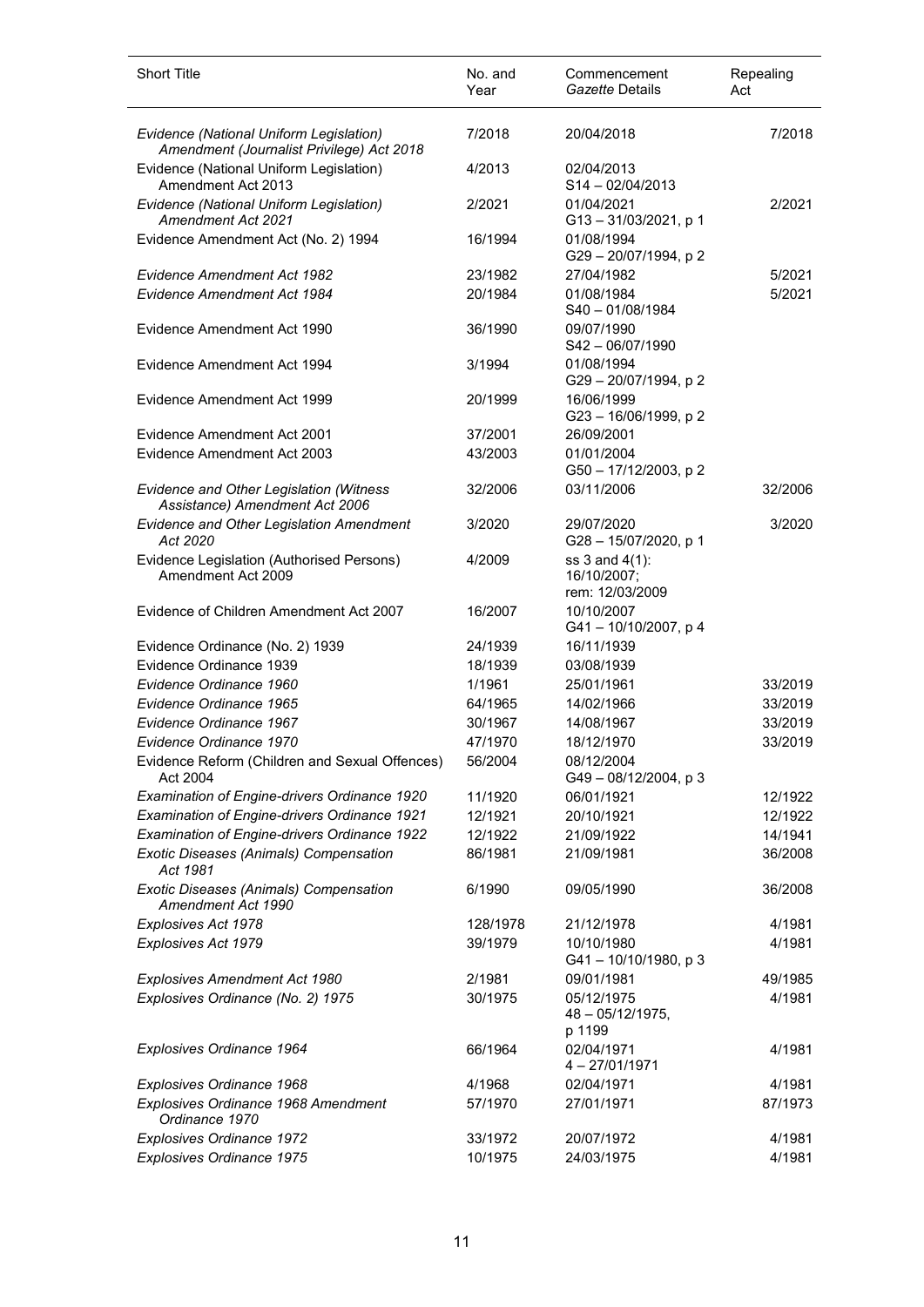| <b>Short Title</b>                                                                   | No. and<br>Year | Commencement<br>Gazette Details                  | Repealing<br>Act |
|--------------------------------------------------------------------------------------|-----------------|--------------------------------------------------|------------------|
| Evidence (National Uniform Legislation)<br>Amendment (Journalist Privilege) Act 2018 | 7/2018          | 20/04/2018                                       | 7/2018           |
| Evidence (National Uniform Legislation)<br>Amendment Act 2013                        | 4/2013          | 02/04/2013<br>S14-02/04/2013                     |                  |
| Evidence (National Uniform Legislation)<br>Amendment Act 2021                        | 2/2021          | 01/04/2021<br>$G13 - 31/03/2021$ , p 1           | 2/2021           |
| Evidence Amendment Act (No. 2) 1994                                                  | 16/1994         | 01/08/1994<br>G29 - 20/07/1994, p 2              |                  |
| <b>Evidence Amendment Act 1982</b>                                                   | 23/1982         | 27/04/1982                                       | 5/2021           |
| <b>Evidence Amendment Act 1984</b>                                                   | 20/1984         | 01/08/1984<br>$S40 - 01/08/1984$                 | 5/2021           |
| Evidence Amendment Act 1990                                                          | 36/1990         | 09/07/1990<br>$S42 - 06/07/1990$                 |                  |
| Evidence Amendment Act 1994                                                          | 3/1994          | 01/08/1994<br>G29 - 20/07/1994, p 2              |                  |
| Evidence Amendment Act 1999                                                          | 20/1999         | 16/06/1999<br>G23-16/06/1999, p2                 |                  |
| Evidence Amendment Act 2001                                                          | 37/2001         | 26/09/2001                                       |                  |
| Evidence Amendment Act 2003                                                          | 43/2003         | 01/01/2004<br>G50 - 17/12/2003, p 2              |                  |
| Evidence and Other Legislation (Witness<br>Assistance) Amendment Act 2006            | 32/2006         | 03/11/2006                                       | 32/2006          |
| Evidence and Other Legislation Amendment<br>Act 2020                                 | 3/2020          | 29/07/2020<br>G28-15/07/2020, p 1                | 3/2020           |
| Evidence Legislation (Authorised Persons)<br>Amendment Act 2009                      | 4/2009          | ss 3 and 4(1):<br>16/10/2007;<br>rem: 12/03/2009 |                  |
| Evidence of Children Amendment Act 2007                                              | 16/2007         | 10/10/2007<br>G41-10/10/2007, p 4                |                  |
| Evidence Ordinance (No. 2) 1939                                                      | 24/1939         | 16/11/1939                                       |                  |
| Evidence Ordinance 1939                                                              | 18/1939         | 03/08/1939                                       |                  |
| Evidence Ordinance 1960                                                              | 1/1961          | 25/01/1961                                       | 33/2019          |
| Evidence Ordinance 1965                                                              | 64/1965         | 14/02/1966                                       | 33/2019          |
| Evidence Ordinance 1967                                                              | 30/1967         | 14/08/1967                                       | 33/2019          |
| Evidence Ordinance 1970                                                              | 47/1970         | 18/12/1970                                       | 33/2019          |
| Evidence Reform (Children and Sexual Offences)<br>Act 2004                           | 56/2004         | 08/12/2004<br>G49-08/12/2004, p 3                |                  |
| Examination of Engine-drivers Ordinance 1920                                         | 11/1920         | 06/01/1921                                       | 12/1922          |
| <b>Examination of Engine-drivers Ordinance 1921</b>                                  | 12/1921         | 20/10/1921                                       | 12/1922          |
| Examination of Engine-drivers Ordinance 1922                                         | 12/1922         | 21/09/1922                                       | 14/1941          |
| Exotic Diseases (Animals) Compensation<br>Act 1981                                   | 86/1981         | 21/09/1981                                       | 36/2008          |
| Exotic Diseases (Animals) Compensation<br>Amendment Act 1990                         | 6/1990          | 09/05/1990                                       | 36/2008          |
| Explosives Act 1978                                                                  | 128/1978        | 21/12/1978                                       | 4/1981           |
| Explosives Act 1979                                                                  | 39/1979         | 10/10/1980<br>G41-10/10/1980, p 3                | 4/1981           |
| Explosives Amendment Act 1980                                                        | 2/1981          | 09/01/1981                                       | 49/1985          |
| Explosives Ordinance (No. 2) 1975                                                    | 30/1975         | 05/12/1975<br>$48 - 05/12/1975$ ,<br>p 1199      | 4/1981           |
| Explosives Ordinance 1964                                                            | 66/1964         | 02/04/1971<br>$4 - 27/01/1971$                   | 4/1981           |
| Explosives Ordinance 1968                                                            | 4/1968          | 02/04/1971                                       | 4/1981           |
| Explosives Ordinance 1968 Amendment<br>Ordinance 1970                                | 57/1970         | 27/01/1971                                       | 87/1973          |
| <b>Explosives Ordinance 1972</b>                                                     | 33/1972         | 20/07/1972                                       | 4/1981           |
| Explosives Ordinance 1975                                                            | 10/1975         | 24/03/1975                                       | 4/1981           |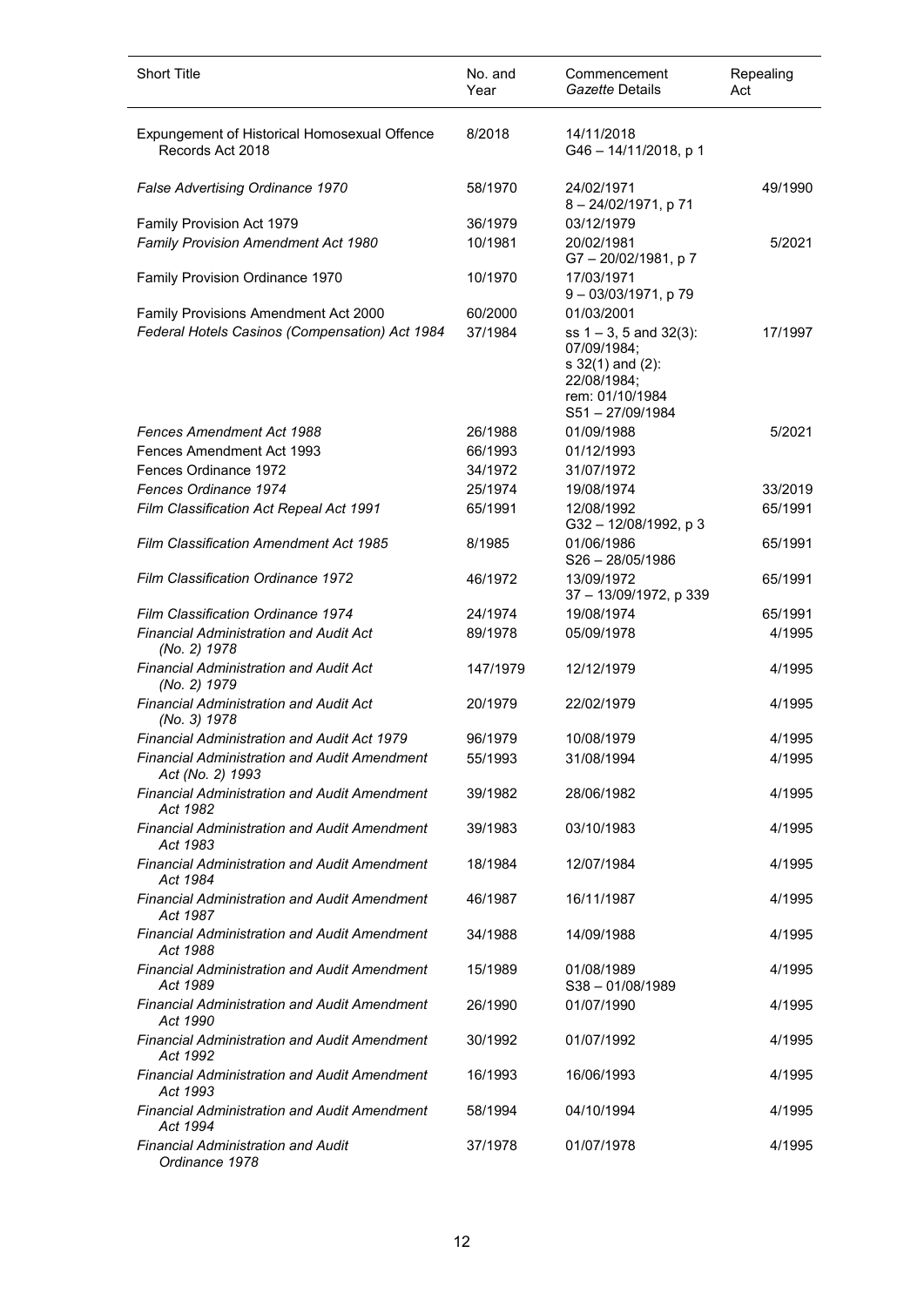| <b>Short Title</b>                                                      | No. and<br>Year | Commencement<br>Gazette Details                                                                                     | Repealing<br>Act |
|-------------------------------------------------------------------------|-----------------|---------------------------------------------------------------------------------------------------------------------|------------------|
| Expungement of Historical Homosexual Offence<br>Records Act 2018        | 8/2018          | 14/11/2018<br>G46 - 14/11/2018, p 1                                                                                 |                  |
| False Advertising Ordinance 1970                                        | 58/1970         | 24/02/1971<br>8 - 24/02/1971, p 71                                                                                  | 49/1990          |
| Family Provision Act 1979                                               | 36/1979         | 03/12/1979                                                                                                          |                  |
| Family Provision Amendment Act 1980                                     | 10/1981         | 20/02/1981<br>G7-20/02/1981, p7                                                                                     | 5/2021           |
| Family Provision Ordinance 1970                                         | 10/1970         | 17/03/1971<br>9-03/03/1971, p 79                                                                                    |                  |
| Family Provisions Amendment Act 2000                                    | 60/2000         | 01/03/2001                                                                                                          |                  |
| Federal Hotels Casinos (Compensation) Act 1984                          | 37/1984         | ss $1 - 3$ , 5 and $32(3)$ :<br>07/09/1984;<br>s 32(1) and (2):<br>22/08/1984;<br>rem: 01/10/1984<br>S51-27/09/1984 | 17/1997          |
| <b>Fences Amendment Act 1988</b>                                        | 26/1988         | 01/09/1988                                                                                                          | 5/2021           |
| Fences Amendment Act 1993                                               | 66/1993         | 01/12/1993                                                                                                          |                  |
| Fences Ordinance 1972                                                   | 34/1972         | 31/07/1972                                                                                                          |                  |
| Fences Ordinance 1974                                                   | 25/1974         | 19/08/1974                                                                                                          | 33/2019          |
| Film Classification Act Repeal Act 1991                                 | 65/1991         | 12/08/1992<br>G32-12/08/1992, p3                                                                                    | 65/1991          |
| <b>Film Classification Amendment Act 1985</b>                           | 8/1985          | 01/06/1986<br>$S26 - 28/05/1986$                                                                                    | 65/1991          |
| Film Classification Ordinance 1972                                      | 46/1972         | 13/09/1972<br>37 - 13/09/1972, p 339                                                                                | 65/1991          |
| Film Classification Ordinance 1974                                      | 24/1974         | 19/08/1974                                                                                                          | 65/1991          |
| <b>Financial Administration and Audit Act</b><br>(No. 2) 1978           | 89/1978         | 05/09/1978                                                                                                          | 4/1995           |
| Financial Administration and Audit Act<br>(No. 2) 1979                  | 147/1979        | 12/12/1979                                                                                                          | 4/1995           |
| <b>Financial Administration and Audit Act</b><br>(No. 3) 1978           | 20/1979         | 22/02/1979                                                                                                          | 4/1995           |
| Financial Administration and Audit Act 1979                             | 96/1979         | 10/08/1979                                                                                                          | 4/1995           |
| <b>Financial Administration and Audit Amendment</b><br>Act (No. 2) 1993 | 55/1993         | 31/08/1994                                                                                                          | 4/1995           |
| <b>Financial Administration and Audit Amendment</b><br>Act 1982         | 39/1982         | 28/06/1982                                                                                                          | 4/1995           |
| <b>Financial Administration and Audit Amendment</b><br>Act 1983         | 39/1983         | 03/10/1983                                                                                                          | 4/1995           |
| <b>Financial Administration and Audit Amendment</b><br>Act 1984         | 18/1984         | 12/07/1984                                                                                                          | 4/1995           |
| <b>Financial Administration and Audit Amendment</b><br>Act 1987         | 46/1987         | 16/11/1987                                                                                                          | 4/1995           |
| <b>Financial Administration and Audit Amendment</b><br>Act 1988         | 34/1988         | 14/09/1988                                                                                                          | 4/1995           |
| <b>Financial Administration and Audit Amendment</b><br>Act 1989         | 15/1989         | 01/08/1989<br>$S38 - 01/08/1989$                                                                                    | 4/1995           |
| <b>Financial Administration and Audit Amendment</b><br>Act 1990         | 26/1990         | 01/07/1990                                                                                                          | 4/1995           |
| <b>Financial Administration and Audit Amendment</b><br>Act 1992         | 30/1992         | 01/07/1992                                                                                                          | 4/1995           |
| <b>Financial Administration and Audit Amendment</b><br>Act 1993         | 16/1993         | 16/06/1993                                                                                                          | 4/1995           |
| <b>Financial Administration and Audit Amendment</b><br>Act 1994         | 58/1994         | 04/10/1994                                                                                                          | 4/1995           |
| Financial Administration and Audit<br>Ordinance 1978                    | 37/1978         | 01/07/1978                                                                                                          | 4/1995           |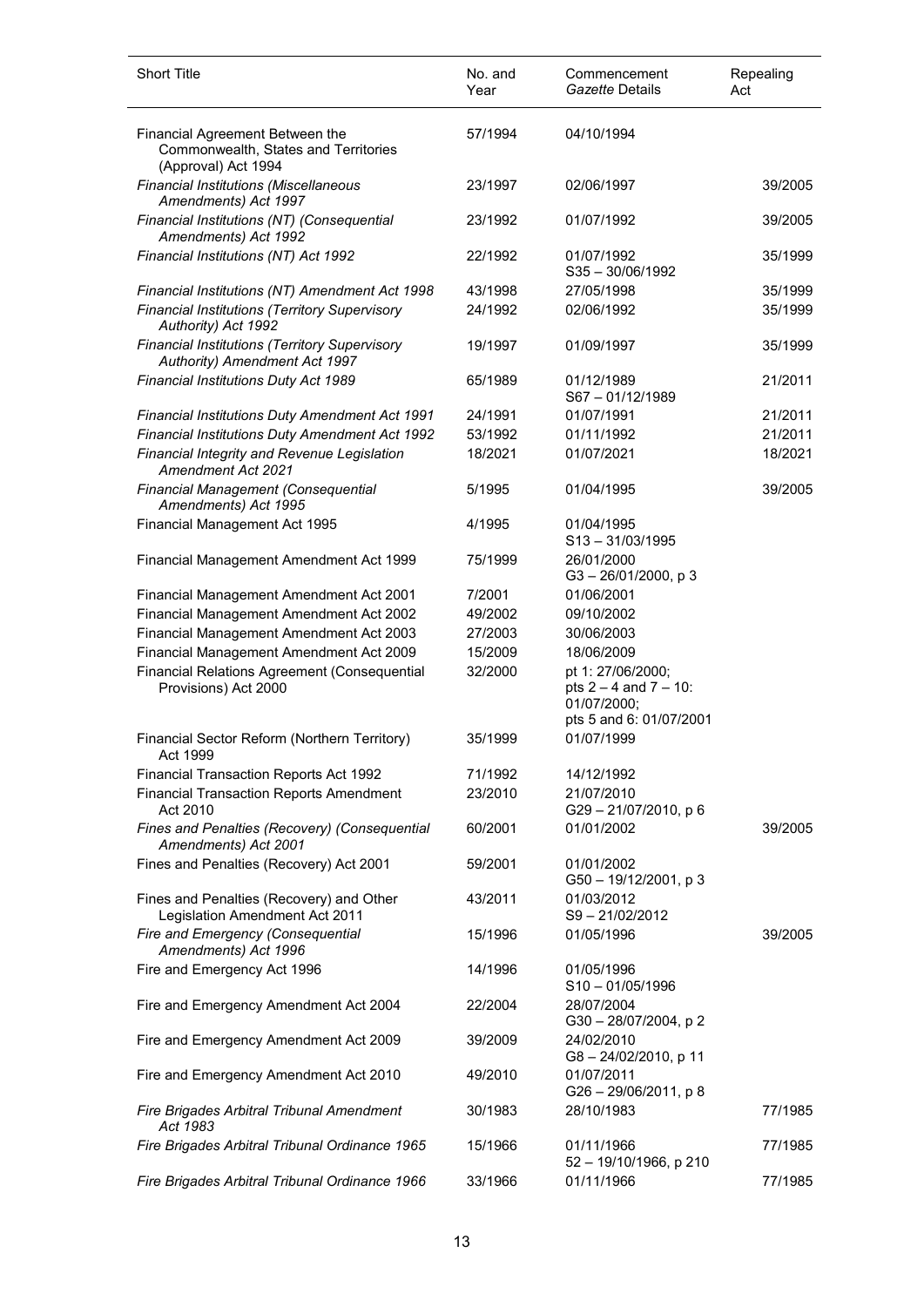| <b>Short Title</b>                                                                             | No. and<br>Year | Commencement<br>Gazette Details                                                           | Repealing<br>Act |
|------------------------------------------------------------------------------------------------|-----------------|-------------------------------------------------------------------------------------------|------------------|
| Financial Agreement Between the<br>Commonwealth, States and Territories<br>(Approval) Act 1994 | 57/1994         | 04/10/1994                                                                                |                  |
| <b>Financial Institutions (Miscellaneous</b><br>Amendments) Act 1997                           | 23/1997         | 02/06/1997                                                                                | 39/2005          |
| Financial Institutions (NT) (Consequential<br>Amendments) Act 1992                             | 23/1992         | 01/07/1992                                                                                | 39/2005          |
| Financial Institutions (NT) Act 1992                                                           | 22/1992         | 01/07/1992<br>$S35 - 30/06/1992$                                                          | 35/1999          |
| Financial Institutions (NT) Amendment Act 1998                                                 | 43/1998         | 27/05/1998                                                                                | 35/1999          |
| Financial Institutions (Territory Supervisory<br>Authority) Act 1992                           | 24/1992         | 02/06/1992                                                                                | 35/1999          |
| Financial Institutions (Territory Supervisory<br>Authority) Amendment Act 1997                 | 19/1997         | 01/09/1997                                                                                | 35/1999          |
| Financial Institutions Duty Act 1989                                                           | 65/1989         | 01/12/1989<br>S67-01/12/1989                                                              | 21/2011          |
| Financial Institutions Duty Amendment Act 1991                                                 | 24/1991         | 01/07/1991                                                                                | 21/2011          |
| Financial Institutions Duty Amendment Act 1992                                                 | 53/1992         | 01/11/1992                                                                                | 21/2011          |
| Financial Integrity and Revenue Legislation<br>Amendment Act 2021                              | 18/2021         | 01/07/2021                                                                                | 18/2021          |
| Financial Management (Consequential<br>Amendments) Act 1995                                    | 5/1995          | 01/04/1995                                                                                | 39/2005          |
| Financial Management Act 1995                                                                  | 4/1995          | 01/04/1995<br>$S13 - 31/03/1995$                                                          |                  |
| Financial Management Amendment Act 1999                                                        | 75/1999         | 26/01/2000<br>$G3 - 26/01/2000$ , p 3                                                     |                  |
| Financial Management Amendment Act 2001                                                        | 7/2001          | 01/06/2001                                                                                |                  |
| Financial Management Amendment Act 2002                                                        | 49/2002         | 09/10/2002                                                                                |                  |
| Financial Management Amendment Act 2003                                                        | 27/2003         | 30/06/2003                                                                                |                  |
| Financial Management Amendment Act 2009                                                        | 15/2009         | 18/06/2009                                                                                |                  |
| Financial Relations Agreement (Consequential<br>Provisions) Act 2000                           | 32/2000         | pt 1: 27/06/2000;<br>pts $2 - 4$ and $7 - 10$ :<br>01/07/2000;<br>pts 5 and 6: 01/07/2001 |                  |
| Financial Sector Reform (Northern Territory)<br>Act 1999                                       | 35/1999         | 01/07/1999                                                                                |                  |
| Financial Transaction Reports Act 1992                                                         | 71/1992         | 14/12/1992                                                                                |                  |
| <b>Financial Transaction Reports Amendment</b><br>Act 2010                                     | 23/2010         | 21/07/2010<br>G29-21/07/2010, p 6                                                         |                  |
| Fines and Penalties (Recovery) (Consequential<br>Amendments) Act 2001                          | 60/2001         | 01/01/2002                                                                                | 39/2005          |
| Fines and Penalties (Recovery) Act 2001                                                        | 59/2001         | 01/01/2002<br>G50 - 19/12/2001, p 3                                                       |                  |
| Fines and Penalties (Recovery) and Other<br>Legislation Amendment Act 2011                     | 43/2011         | 01/03/2012<br>$S9 - 21/02/2012$                                                           |                  |
| Fire and Emergency (Consequential<br>Amendments) Act 1996                                      | 15/1996         | 01/05/1996                                                                                | 39/2005          |
| Fire and Emergency Act 1996                                                                    | 14/1996         | 01/05/1996<br>$S10 - 01/05/1996$                                                          |                  |
| Fire and Emergency Amendment Act 2004                                                          | 22/2004         | 28/07/2004<br>G30-28/07/2004, p2                                                          |                  |
| Fire and Emergency Amendment Act 2009                                                          | 39/2009         | 24/02/2010<br>G8-24/02/2010, p 11                                                         |                  |
| Fire and Emergency Amendment Act 2010                                                          | 49/2010         | 01/07/2011<br>$G26 - 29/06/2011$ , p 8                                                    |                  |
| Fire Brigades Arbitral Tribunal Amendment<br>Act 1983                                          | 30/1983         | 28/10/1983                                                                                | 77/1985          |
| Fire Brigades Arbitral Tribunal Ordinance 1965                                                 | 15/1966         | 01/11/1966<br>52 - 19/10/1966, p 210                                                      | 77/1985          |
| Fire Brigades Arbitral Tribunal Ordinance 1966                                                 | 33/1966         | 01/11/1966                                                                                | 77/1985          |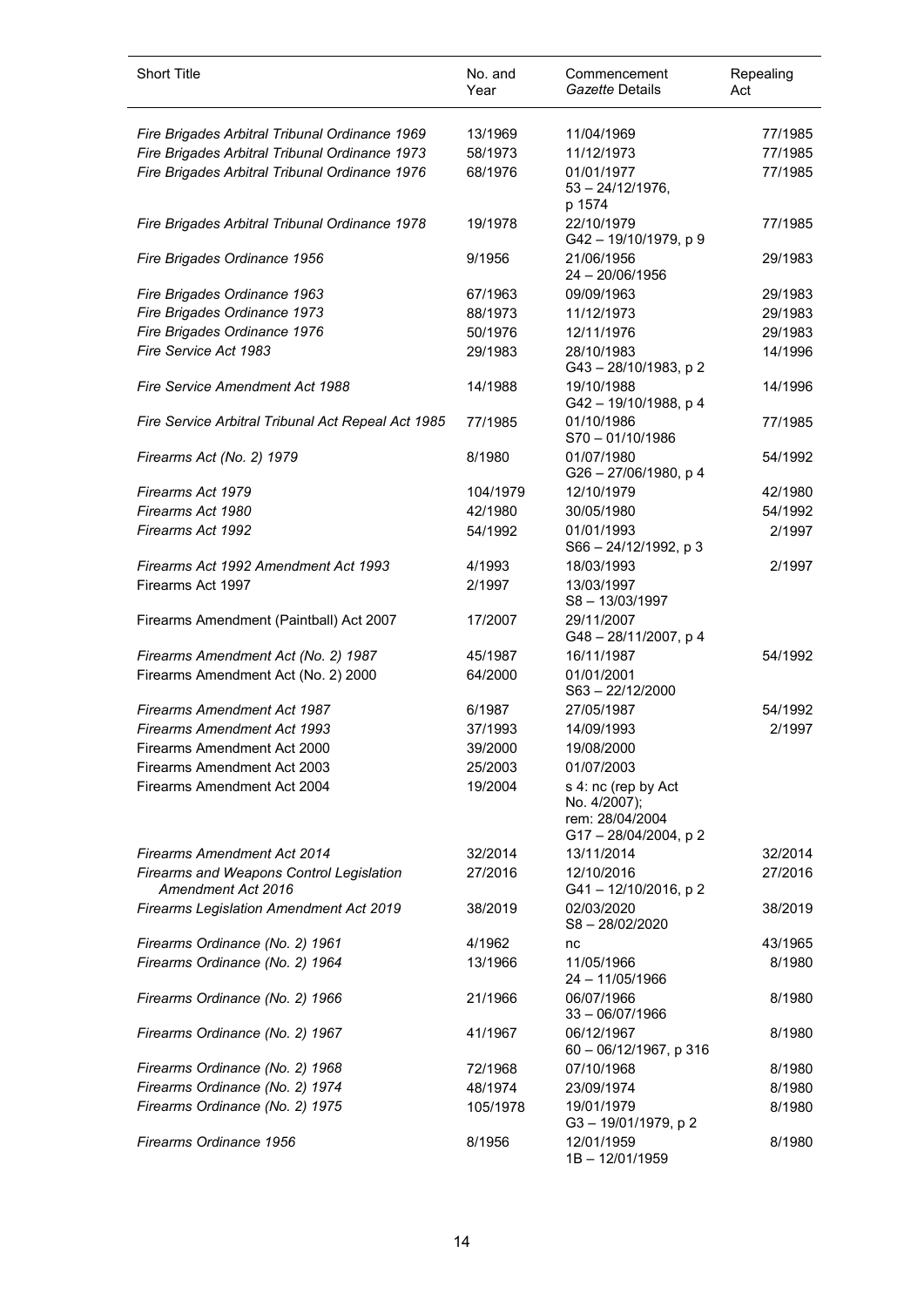| <b>Short Title</b>                                             | No. and<br>Year | Commencement<br>Gazette Details                                              | Repealing<br>Act |
|----------------------------------------------------------------|-----------------|------------------------------------------------------------------------------|------------------|
| Fire Brigades Arbitral Tribunal Ordinance 1969                 | 13/1969         | 11/04/1969                                                                   | 77/1985          |
| Fire Brigades Arbitral Tribunal Ordinance 1973                 | 58/1973         | 11/12/1973                                                                   | 77/1985          |
| Fire Brigades Arbitral Tribunal Ordinance 1976                 | 68/1976         | 01/01/1977<br>$53 - 24/12/1976$ ,<br>p 1574                                  | 77/1985          |
| Fire Brigades Arbitral Tribunal Ordinance 1978                 | 19/1978         | 22/10/1979<br>G42-19/10/1979, p 9                                            | 77/1985          |
| Fire Brigades Ordinance 1956                                   | 9/1956          | 21/06/1956<br>24 - 20/06/1956                                                | 29/1983          |
| Fire Brigades Ordinance 1963                                   | 67/1963         | 09/09/1963                                                                   | 29/1983          |
| Fire Brigades Ordinance 1973                                   | 88/1973         | 11/12/1973                                                                   | 29/1983          |
| Fire Brigades Ordinance 1976                                   | 50/1976         | 12/11/1976                                                                   | 29/1983          |
| Fire Service Act 1983                                          | 29/1983         | 28/10/1983<br>G43-28/10/1983, p2                                             | 14/1996          |
| <b>Fire Service Amendment Act 1988</b>                         | 14/1988         | 19/10/1988<br>G42-19/10/1988, p 4                                            | 14/1996          |
| Fire Service Arbitral Tribunal Act Repeal Act 1985             | 77/1985         | 01/10/1986<br>$S70 - 01/10/1986$                                             | 77/1985          |
| Firearms Act (No. 2) 1979                                      | 8/1980          | 01/07/1980<br>G26 - 27/06/1980, p 4                                          | 54/1992          |
| Firearms Act 1979                                              | 104/1979        | 12/10/1979                                                                   | 42/1980          |
| Firearms Act 1980                                              | 42/1980         | 30/05/1980                                                                   | 54/1992          |
| Firearms Act 1992                                              | 54/1992         | 01/01/1993<br>$S66 - 24/12/1992$ , p 3                                       | 2/1997           |
| Firearms Act 1992 Amendment Act 1993                           | 4/1993          | 18/03/1993                                                                   | 2/1997           |
| Firearms Act 1997                                              | 2/1997          | 13/03/1997<br>$S8 - 13/03/1997$                                              |                  |
| Firearms Amendment (Paintball) Act 2007                        | 17/2007         | 29/11/2007<br>G48-28/11/2007, p4                                             |                  |
| Firearms Amendment Act (No. 2) 1987                            | 45/1987         | 16/11/1987                                                                   | 54/1992          |
| Firearms Amendment Act (No. 2) 2000                            | 64/2000         | 01/01/2001<br>S63-22/12/2000                                                 |                  |
| <b>Firearms Amendment Act 1987</b>                             | 6/1987          | 27/05/1987                                                                   | 54/1992          |
| <b>Firearms Amendment Act 1993</b>                             | 37/1993         | 14/09/1993                                                                   | 2/1997           |
| Firearms Amendment Act 2000                                    | 39/2000         | 19/08/2000                                                                   |                  |
| Firearms Amendment Act 2003                                    | 25/2003         | 01/07/2003                                                                   |                  |
| Firearms Amendment Act 2004                                    | 19/2004         | s 4: nc (rep by Act<br>No. 4/2007);<br>rem: 28/04/2004<br>G17-28/04/2004, p2 |                  |
| <b>Firearms Amendment Act 2014</b>                             | 32/2014         | 13/11/2014                                                                   | 32/2014          |
| Firearms and Weapons Control Legislation<br>Amendment Act 2016 | 27/2016         | 12/10/2016<br>G41-12/10/2016, p2                                             | 27/2016          |
| <b>Firearms Legislation Amendment Act 2019</b>                 | 38/2019         | 02/03/2020<br>S8-28/02/2020                                                  | 38/2019          |
| Firearms Ordinance (No. 2) 1961                                | 4/1962          | nc                                                                           | 43/1965          |
| Firearms Ordinance (No. 2) 1964                                | 13/1966         | 11/05/1966<br>24 - 11/05/1966                                                | 8/1980           |
| Firearms Ordinance (No. 2) 1966                                | 21/1966         | 06/07/1966<br>$33 - 06/07/1966$                                              | 8/1980           |
| Firearms Ordinance (No. 2) 1967                                | 41/1967         | 06/12/1967<br>60 - 06/12/1967, p 316                                         | 8/1980           |
| Firearms Ordinance (No. 2) 1968                                | 72/1968         | 07/10/1968                                                                   | 8/1980           |
| Firearms Ordinance (No. 2) 1974                                | 48/1974         | 23/09/1974                                                                   | 8/1980           |
| Firearms Ordinance (No. 2) 1975                                | 105/1978        | 19/01/1979<br>G3-19/01/1979, p2                                              | 8/1980           |
| Firearms Ordinance 1956                                        | 8/1956          | 12/01/1959<br>1B-12/01/1959                                                  | 8/1980           |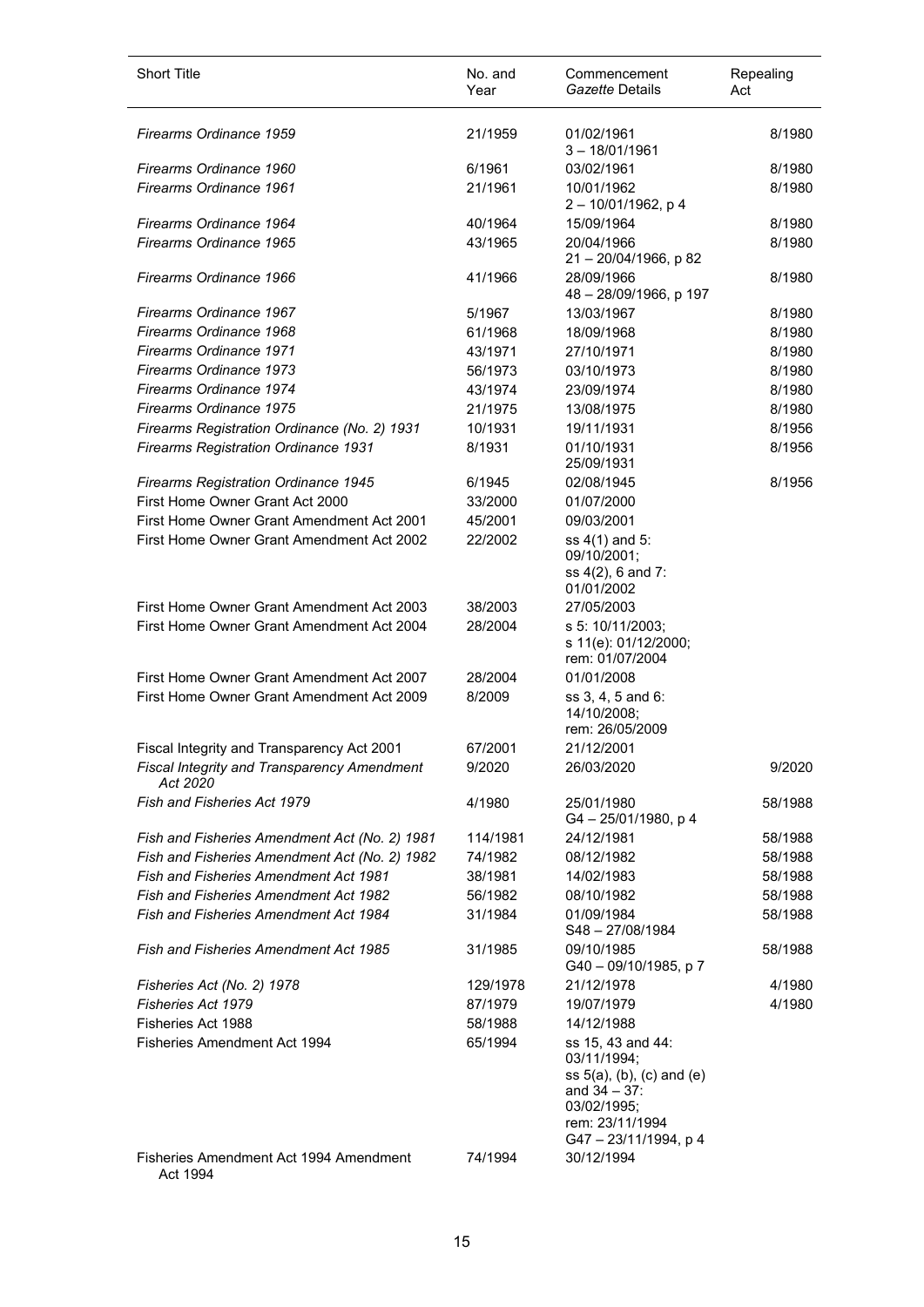| <b>Short Title</b>                                      | No. and<br>Year | Commencement<br>Gazette Details                                                                                                             | Repealing<br>Act |
|---------------------------------------------------------|-----------------|---------------------------------------------------------------------------------------------------------------------------------------------|------------------|
| Firearms Ordinance 1959                                 | 21/1959         | 01/02/1961<br>$3 - 18/01/1961$                                                                                                              | 8/1980           |
| Firearms Ordinance 1960                                 | 6/1961          | 03/02/1961                                                                                                                                  | 8/1980           |
| Firearms Ordinance 1961                                 | 21/1961         | 10/01/1962<br>2-10/01/1962, p 4                                                                                                             | 8/1980           |
| Firearms Ordinance 1964                                 | 40/1964         | 15/09/1964                                                                                                                                  | 8/1980           |
| Firearms Ordinance 1965                                 | 43/1965         | 20/04/1966<br>21 - 20/04/1966, p 82                                                                                                         | 8/1980           |
| Firearms Ordinance 1966                                 | 41/1966         | 28/09/1966<br>48 - 28/09/1966, p 197                                                                                                        | 8/1980           |
| Firearms Ordinance 1967                                 | 5/1967          | 13/03/1967                                                                                                                                  | 8/1980           |
| Firearms Ordinance 1968                                 | 61/1968         | 18/09/1968                                                                                                                                  | 8/1980           |
| Firearms Ordinance 1971                                 | 43/1971         | 27/10/1971                                                                                                                                  | 8/1980           |
| Firearms Ordinance 1973                                 | 56/1973         | 03/10/1973                                                                                                                                  | 8/1980           |
| Firearms Ordinance 1974                                 | 43/1974         | 23/09/1974                                                                                                                                  | 8/1980           |
| Firearms Ordinance 1975                                 | 21/1975         | 13/08/1975                                                                                                                                  | 8/1980           |
| Firearms Registration Ordinance (No. 2) 1931            | 10/1931         | 19/11/1931                                                                                                                                  | 8/1956           |
| <b>Firearms Registration Ordinance 1931</b>             | 8/1931          | 01/10/1931<br>25/09/1931                                                                                                                    | 8/1956           |
| <b>Firearms Registration Ordinance 1945</b>             | 6/1945          | 02/08/1945                                                                                                                                  | 8/1956           |
| First Home Owner Grant Act 2000                         | 33/2000         | 01/07/2000                                                                                                                                  |                  |
| First Home Owner Grant Amendment Act 2001               | 45/2001         | 09/03/2001                                                                                                                                  |                  |
| First Home Owner Grant Amendment Act 2002               | 22/2002         | ss 4(1) and 5:<br>09/10/2001;<br>ss 4(2), 6 and 7:<br>01/01/2002                                                                            |                  |
| First Home Owner Grant Amendment Act 2003               | 38/2003         | 27/05/2003                                                                                                                                  |                  |
| First Home Owner Grant Amendment Act 2004               | 28/2004         | s 5: 10/11/2003;<br>s 11(e): 01/12/2000;<br>rem: 01/07/2004                                                                                 |                  |
| First Home Owner Grant Amendment Act 2007               | 28/2004         | 01/01/2008                                                                                                                                  |                  |
| First Home Owner Grant Amendment Act 2009               | 8/2009          | ss 3, 4, 5 and 6:<br>14/10/2008;<br>rem: 26/05/2009                                                                                         |                  |
| Fiscal Integrity and Transparency Act 2001              | 67/2001         | 21/12/2001                                                                                                                                  |                  |
| Fiscal Integrity and Transparency Amendment<br>Act 2020 | 9/2020          | 26/03/2020                                                                                                                                  | 9/2020           |
| Fish and Fisheries Act 1979                             | 4/1980          | 25/01/1980<br>G4-25/01/1980, p4                                                                                                             | 58/1988          |
| Fish and Fisheries Amendment Act (No. 2) 1981           | 114/1981        | 24/12/1981                                                                                                                                  | 58/1988          |
| Fish and Fisheries Amendment Act (No. 2) 1982           | 74/1982         | 08/12/1982                                                                                                                                  | 58/1988          |
| Fish and Fisheries Amendment Act 1981                   | 38/1981         | 14/02/1983                                                                                                                                  | 58/1988          |
| <b>Fish and Fisheries Amendment Act 1982</b>            | 56/1982         | 08/10/1982                                                                                                                                  | 58/1988          |
| Fish and Fisheries Amendment Act 1984                   | 31/1984         | 01/09/1984<br>S48-27/08/1984                                                                                                                | 58/1988          |
| Fish and Fisheries Amendment Act 1985                   | 31/1985         | 09/10/1985<br>G40 - 09/10/1985, p 7                                                                                                         | 58/1988          |
| Fisheries Act (No. 2) 1978                              | 129/1978        | 21/12/1978                                                                                                                                  | 4/1980           |
| <b>Fisheries Act 1979</b>                               | 87/1979         | 19/07/1979                                                                                                                                  | 4/1980           |
| Fisheries Act 1988                                      | 58/1988         | 14/12/1988                                                                                                                                  |                  |
| Fisheries Amendment Act 1994                            | 65/1994         | ss 15, 43 and 44:<br>03/11/1994;<br>$ss 5(a)$ , (b), (c) and (e)<br>and $34 - 37$ :<br>03/02/1995;<br>rem: 23/11/1994<br>G47-23/11/1994, p4 |                  |
| Fisheries Amendment Act 1994 Amendment<br>Act 1994      | 74/1994         | 30/12/1994                                                                                                                                  |                  |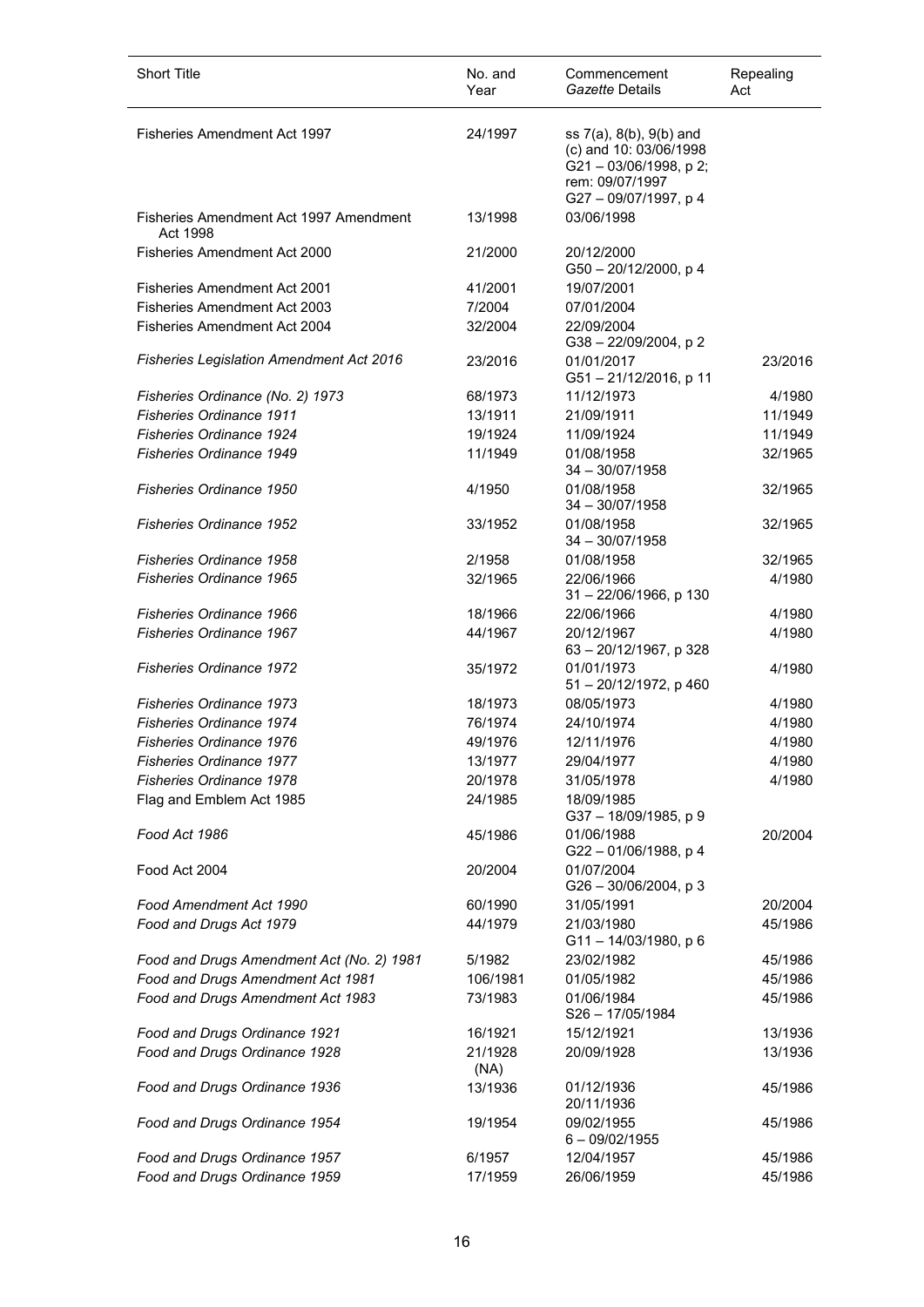| <b>Short Title</b>                                 | No. and<br>Year | Commencement<br>Gazette Details                                                                                            | Repealing<br>Act |
|----------------------------------------------------|-----------------|----------------------------------------------------------------------------------------------------------------------------|------------------|
| Fisheries Amendment Act 1997                       | 24/1997         | ss 7(a), 8(b), 9(b) and<br>(c) and 10: 03/06/1998<br>$G$ 21 - 03/06/1998, p 2;<br>rem: 09/07/1997<br>G27 - 09/07/1997, p 4 |                  |
| Fisheries Amendment Act 1997 Amendment<br>Act 1998 | 13/1998         | 03/06/1998                                                                                                                 |                  |
| Fisheries Amendment Act 2000                       | 21/2000         | 20/12/2000<br>G50 - 20/12/2000, p 4                                                                                        |                  |
| <b>Fisheries Amendment Act 2001</b>                | 41/2001         | 19/07/2001                                                                                                                 |                  |
| <b>Fisheries Amendment Act 2003</b>                | 7/2004          | 07/01/2004                                                                                                                 |                  |
| Fisheries Amendment Act 2004                       | 32/2004         | 22/09/2004<br>G38 - 22/09/2004, p 2                                                                                        |                  |
| <b>Fisheries Legislation Amendment Act 2016</b>    | 23/2016         | 01/01/2017<br>G51-21/12/2016, p 11                                                                                         | 23/2016          |
| Fisheries Ordinance (No. 2) 1973                   | 68/1973         | 11/12/1973                                                                                                                 | 4/1980           |
| <b>Fisheries Ordinance 1911</b>                    | 13/1911         | 21/09/1911                                                                                                                 | 11/1949          |
| <b>Fisheries Ordinance 1924</b>                    | 19/1924         | 11/09/1924                                                                                                                 | 11/1949          |
| <b>Fisheries Ordinance 1949</b>                    | 11/1949         | 01/08/1958<br>$34 - 30/07/1958$                                                                                            | 32/1965          |
| <b>Fisheries Ordinance 1950</b>                    | 4/1950          | 01/08/1958<br>$34 - 30/07/1958$                                                                                            | 32/1965          |
| <b>Fisheries Ordinance 1952</b>                    | 33/1952         | 01/08/1958<br>$34 - 30/07/1958$                                                                                            | 32/1965          |
| <b>Fisheries Ordinance 1958</b>                    | 2/1958          | 01/08/1958                                                                                                                 | 32/1965          |
| <b>Fisheries Ordinance 1965</b>                    | 32/1965         | 22/06/1966<br>31 - 22/06/1966, p 130                                                                                       | 4/1980           |
| <b>Fisheries Ordinance 1966</b>                    | 18/1966         | 22/06/1966                                                                                                                 | 4/1980           |
| <b>Fisheries Ordinance 1967</b>                    | 44/1967         | 20/12/1967<br>63 - 20/12/1967, p 328                                                                                       | 4/1980           |
| <b>Fisheries Ordinance 1972</b>                    | 35/1972         | 01/01/1973<br>51-20/12/1972, p 460                                                                                         | 4/1980           |
| <b>Fisheries Ordinance 1973</b>                    | 18/1973         | 08/05/1973                                                                                                                 | 4/1980           |
| <b>Fisheries Ordinance 1974</b>                    | 76/1974         | 24/10/1974                                                                                                                 | 4/1980           |
| Fisheries Ordinance 1976                           | 49/1976         | 12/11/1976                                                                                                                 | 4/1980           |
| <b>Fisheries Ordinance 1977</b>                    | 13/1977         | 29/04/1977                                                                                                                 | 4/1980           |
| <b>Fisheries Ordinance 1978</b>                    | 20/1978         | 31/05/1978                                                                                                                 | 4/1980           |
| Flag and Emblem Act 1985                           | 24/1985         | 18/09/1985<br>G37-18/09/1985, p 9                                                                                          |                  |
| Food Act 1986                                      | 45/1986         | 01/06/1988<br>G22-01/06/1988, p 4                                                                                          | 20/2004          |
| Food Act 2004                                      | 20/2004         | 01/07/2004<br>$G26 - 30/06/2004$ , p 3                                                                                     |                  |
| Food Amendment Act 1990                            | 60/1990         | 31/05/1991                                                                                                                 | 20/2004          |
| Food and Drugs Act 1979                            | 44/1979         | 21/03/1980<br>G11-14/03/1980, p 6                                                                                          | 45/1986          |
| Food and Drugs Amendment Act (No. 2) 1981          | 5/1982          | 23/02/1982                                                                                                                 | 45/1986          |
| Food and Drugs Amendment Act 1981                  | 106/1981        | 01/05/1982                                                                                                                 | 45/1986          |
| Food and Drugs Amendment Act 1983                  | 73/1983         | 01/06/1984<br>S26-17/05/1984                                                                                               | 45/1986          |
| Food and Drugs Ordinance 1921                      | 16/1921         | 15/12/1921                                                                                                                 | 13/1936          |
| Food and Drugs Ordinance 1928                      | 21/1928<br>(NA) | 20/09/1928                                                                                                                 | 13/1936          |
| Food and Drugs Ordinance 1936                      | 13/1936         | 01/12/1936<br>20/11/1936                                                                                                   | 45/1986          |
| Food and Drugs Ordinance 1954                      | 19/1954         | 09/02/1955<br>$6 - 09/02/1955$                                                                                             | 45/1986          |
| Food and Drugs Ordinance 1957                      | 6/1957          | 12/04/1957                                                                                                                 | 45/1986          |
| Food and Drugs Ordinance 1959                      | 17/1959         | 26/06/1959                                                                                                                 | 45/1986          |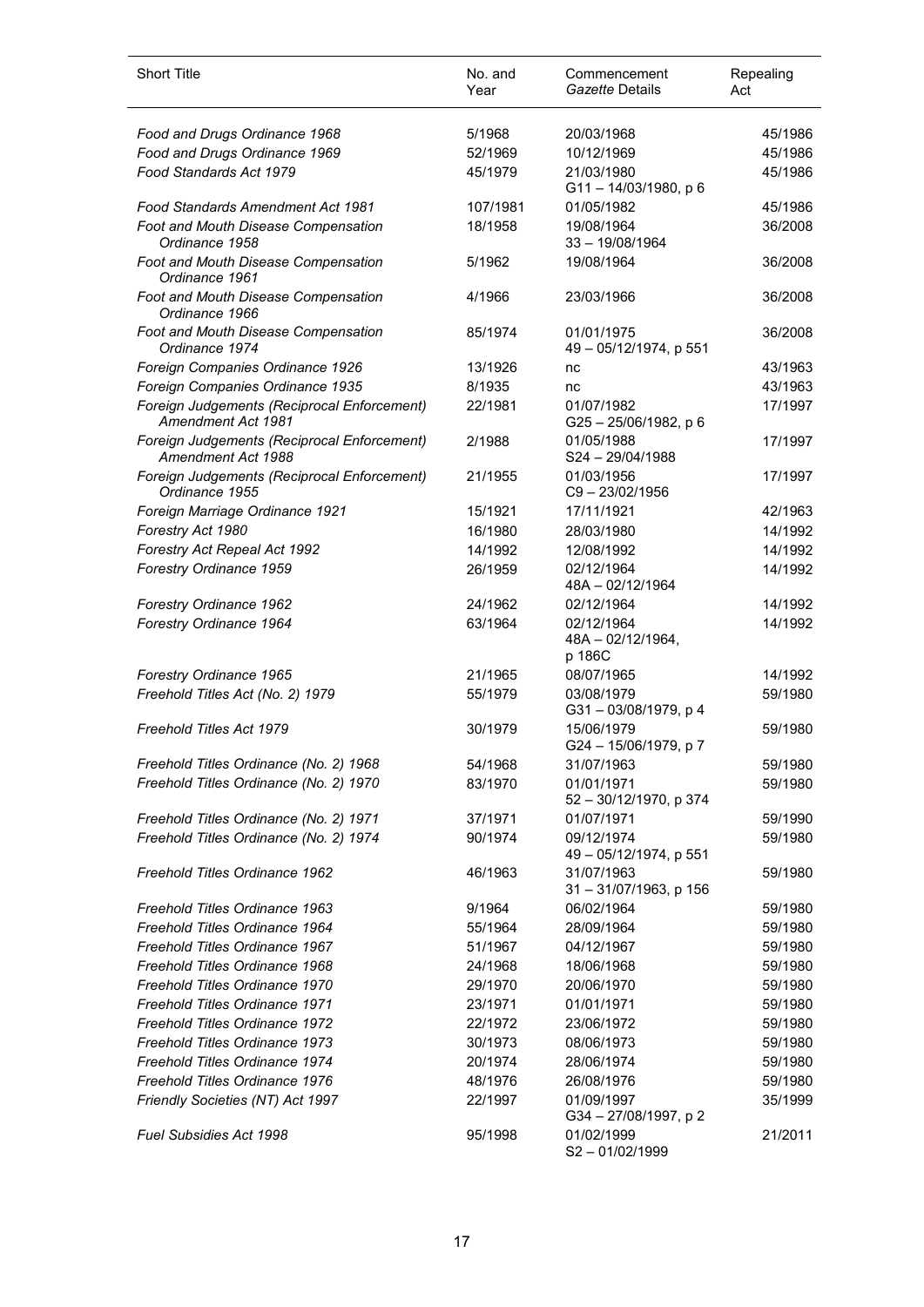| <b>Short Title</b>                                                | No. and<br>Year | Commencement<br>Gazette Details           | Repealing<br>Act |
|-------------------------------------------------------------------|-----------------|-------------------------------------------|------------------|
| Food and Drugs Ordinance 1968                                     | 5/1968          | 20/03/1968                                | 45/1986          |
| Food and Drugs Ordinance 1969                                     | 52/1969         | 10/12/1969                                | 45/1986          |
| Food Standards Act 1979                                           | 45/1979         | 21/03/1980<br>$G11 - 14/03/1980$ , p 6    | 45/1986          |
| Food Standards Amendment Act 1981                                 | 107/1981        | 01/05/1982                                | 45/1986          |
| Foot and Mouth Disease Compensation<br>Ordinance 1958             | 18/1958         | 19/08/1964<br>$33 - 19/08/1964$           | 36/2008          |
| Foot and Mouth Disease Compensation<br>Ordinance 1961             | 5/1962          | 19/08/1964                                | 36/2008          |
| Foot and Mouth Disease Compensation<br>Ordinance 1966             | 4/1966          | 23/03/1966                                | 36/2008          |
| Foot and Mouth Disease Compensation<br>Ordinance 1974             | 85/1974         | 01/01/1975<br>49 - 05/12/1974, p 551      | 36/2008          |
| Foreign Companies Ordinance 1926                                  | 13/1926         | nc                                        | 43/1963          |
| Foreign Companies Ordinance 1935                                  | 8/1935          | nc                                        | 43/1963          |
| Foreign Judgements (Reciprocal Enforcement)<br>Amendment Act 1981 | 22/1981         | 01/07/1982<br>G25-25/06/1982, p 6         | 17/1997          |
| Foreign Judgements (Reciprocal Enforcement)<br>Amendment Act 1988 | 2/1988          | 01/05/1988<br>S24-29/04/1988              | 17/1997          |
| Foreign Judgements (Reciprocal Enforcement)<br>Ordinance 1955     | 21/1955         | 01/03/1956<br>C9-23/02/1956               | 17/1997          |
| Foreign Marriage Ordinance 1921                                   | 15/1921         | 17/11/1921                                | 42/1963          |
| Forestry Act 1980                                                 | 16/1980         | 28/03/1980                                | 14/1992          |
| Forestry Act Repeal Act 1992                                      | 14/1992         | 12/08/1992                                | 14/1992          |
| Forestry Ordinance 1959                                           | 26/1959         | 02/12/1964<br>48A-02/12/1964              | 14/1992          |
| Forestry Ordinance 1962                                           | 24/1962         | 02/12/1964                                | 14/1992          |
| Forestry Ordinance 1964                                           | 63/1964         | 02/12/1964<br>48A - 02/12/1964,<br>p 186C | 14/1992          |
| Forestry Ordinance 1965                                           | 21/1965         | 08/07/1965                                | 14/1992          |
| Freehold Titles Act (No. 2) 1979                                  | 55/1979         | 03/08/1979<br>G31-03/08/1979, p 4         | 59/1980          |
| Freehold Titles Act 1979                                          | 30/1979         | 15/06/1979<br>G24 - 15/06/1979, p 7       | 59/1980          |
| Freehold Titles Ordinance (No. 2) 1968                            | 54/1968         | 31/07/1963                                | 59/1980          |
| Freehold Titles Ordinance (No. 2) 1970                            | 83/1970         | 01/01/1971<br>52 - 30/12/1970, p 374      | 59/1980          |
| Freehold Titles Ordinance (No. 2) 1971                            | 37/1971         | 01/07/1971                                | 59/1990          |
| Freehold Titles Ordinance (No. 2) 1974                            | 90/1974         | 09/12/1974<br>49 - 05/12/1974, p 551      | 59/1980          |
| Freehold Titles Ordinance 1962                                    | 46/1963         | 31/07/1963<br>31-31/07/1963, p 156        | 59/1980          |
| Freehold Titles Ordinance 1963                                    | 9/1964          | 06/02/1964                                | 59/1980          |
| Freehold Titles Ordinance 1964                                    | 55/1964         | 28/09/1964                                | 59/1980          |
| Freehold Titles Ordinance 1967                                    | 51/1967         | 04/12/1967                                | 59/1980          |
| Freehold Titles Ordinance 1968                                    | 24/1968         | 18/06/1968                                | 59/1980          |
| Freehold Titles Ordinance 1970                                    | 29/1970         | 20/06/1970                                | 59/1980          |
| Freehold Titles Ordinance 1971                                    | 23/1971         | 01/01/1971                                | 59/1980          |
| Freehold Titles Ordinance 1972                                    | 22/1972         | 23/06/1972                                | 59/1980          |
| Freehold Titles Ordinance 1973                                    | 30/1973         | 08/06/1973                                | 59/1980          |
| Freehold Titles Ordinance 1974                                    | 20/1974         | 28/06/1974                                | 59/1980          |
| Freehold Titles Ordinance 1976                                    | 48/1976         | 26/08/1976                                | 59/1980          |
| Friendly Societies (NT) Act 1997                                  | 22/1997         | 01/09/1997<br>G34 - 27/08/1997, p 2       | 35/1999          |
| Fuel Subsidies Act 1998                                           | 95/1998         | 01/02/1999<br>S2-01/02/1999               | 21/2011          |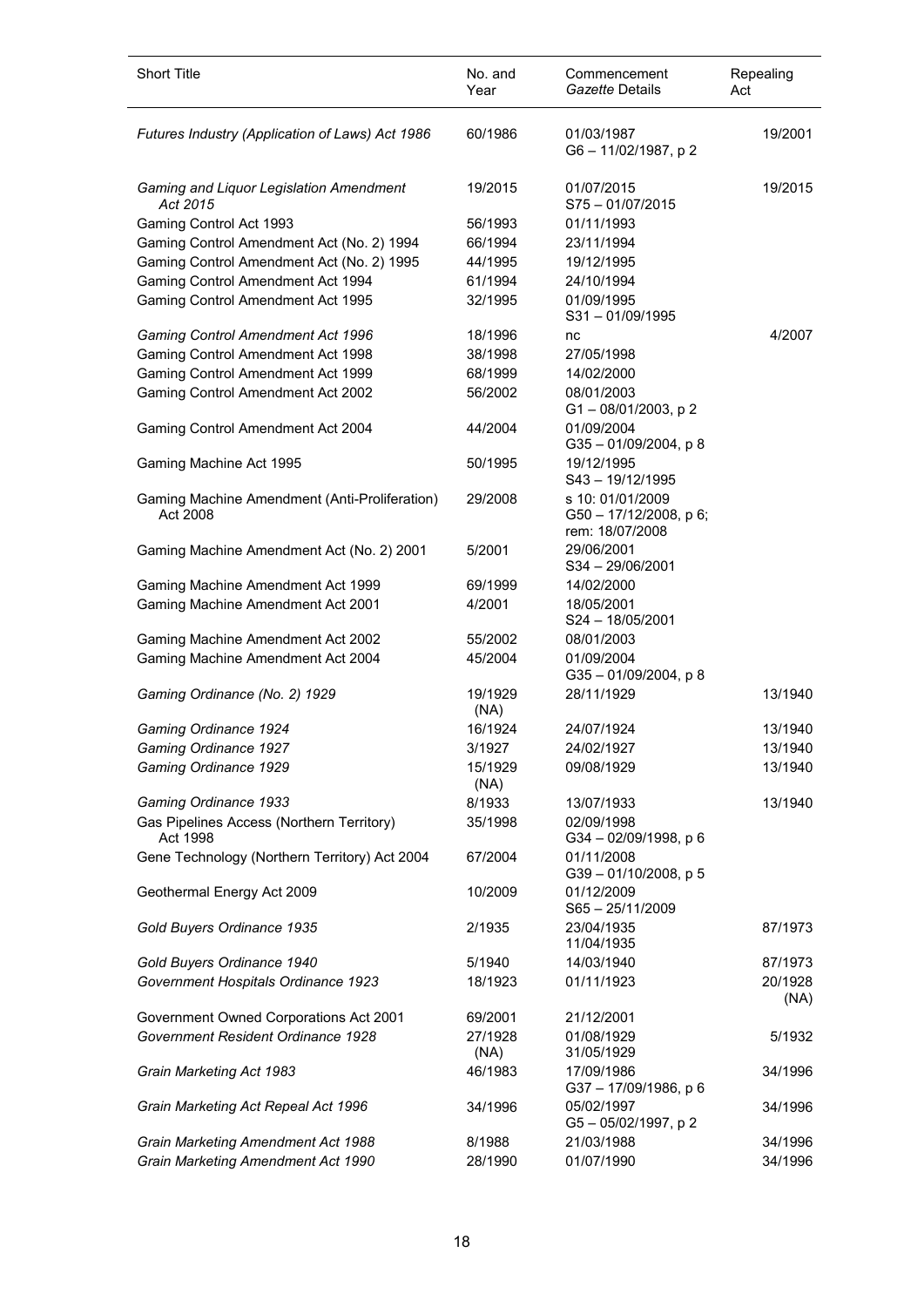| Short Title                                               | No. and<br>Year | Commencement<br>Gazette Details                               | Repealing<br>Act |
|-----------------------------------------------------------|-----------------|---------------------------------------------------------------|------------------|
| Futures Industry (Application of Laws) Act 1986           | 60/1986         | 01/03/1987<br>G6-11/02/1987, p2                               | 19/2001          |
| Gaming and Liquor Legislation Amendment<br>Act 2015       | 19/2015         | 01/07/2015<br>S75-01/07/2015                                  | 19/2015          |
| Gaming Control Act 1993                                   | 56/1993         | 01/11/1993                                                    |                  |
| Gaming Control Amendment Act (No. 2) 1994                 | 66/1994         | 23/11/1994                                                    |                  |
| Gaming Control Amendment Act (No. 2) 1995                 | 44/1995         | 19/12/1995                                                    |                  |
| Gaming Control Amendment Act 1994                         | 61/1994         | 24/10/1994                                                    |                  |
| Gaming Control Amendment Act 1995                         | 32/1995         | 01/09/1995<br>$S31 - 01/09/1995$                              |                  |
| Gaming Control Amendment Act 1996                         | 18/1996         | nc                                                            | 4/2007           |
| Gaming Control Amendment Act 1998                         | 38/1998         | 27/05/1998                                                    |                  |
| Gaming Control Amendment Act 1999                         | 68/1999         | 14/02/2000                                                    |                  |
| Gaming Control Amendment Act 2002                         | 56/2002         | 08/01/2003<br>G1-08/01/2003, p2                               |                  |
| Gaming Control Amendment Act 2004                         | 44/2004         | 01/09/2004<br>$G35 - 01/09/2004$ , p 8                        |                  |
| Gaming Machine Act 1995                                   | 50/1995         | 19/12/1995<br>$S43 - 19/12/1995$                              |                  |
| Gaming Machine Amendment (Anti-Proliferation)<br>Act 2008 | 29/2008         | s 10: 01/01/2009<br>G50 - 17/12/2008, p 6;<br>rem: 18/07/2008 |                  |
| Gaming Machine Amendment Act (No. 2) 2001                 | 5/2001          | 29/06/2001<br>S34-29/06/2001                                  |                  |
| Gaming Machine Amendment Act 1999                         | 69/1999         | 14/02/2000                                                    |                  |
| Gaming Machine Amendment Act 2001                         | 4/2001          | 18/05/2001<br>S24 - 18/05/2001                                |                  |
| Gaming Machine Amendment Act 2002                         | 55/2002         | 08/01/2003                                                    |                  |
| Gaming Machine Amendment Act 2004                         | 45/2004         | 01/09/2004<br>G35-01/09/2004, p8                              |                  |
| Gaming Ordinance (No. 2) 1929                             | 19/1929<br>(NA) | 28/11/1929                                                    | 13/1940          |
| Gaming Ordinance 1924                                     | 16/1924         | 24/07/1924                                                    | 13/1940          |
| Gaming Ordinance 1927                                     | 3/1927          | 24/02/1927                                                    | 13/1940          |
| Gaming Ordinance 1929                                     | 15/1929<br>(NA) | 09/08/1929                                                    | 13/1940          |
| Gaming Ordinance 1933                                     | 8/1933          | 13/07/1933                                                    | 13/1940          |
| Gas Pipelines Access (Northern Territory)<br>Act 1998     | 35/1998         | 02/09/1998<br>G34-02/09/1998, p 6                             |                  |
| Gene Technology (Northern Territory) Act 2004             | 67/2004         | 01/11/2008<br>G39-01/10/2008, p 5                             |                  |
| Geothermal Energy Act 2009                                | 10/2009         | 01/12/2009<br>$S65 - 25/11/2009$                              |                  |
| Gold Buyers Ordinance 1935                                | 2/1935          | 23/04/1935<br>11/04/1935                                      | 87/1973          |
| Gold Buyers Ordinance 1940                                | 5/1940          | 14/03/1940                                                    | 87/1973          |
| Government Hospitals Ordinance 1923                       | 18/1923         | 01/11/1923                                                    | 20/1928<br>(NA)  |
| Government Owned Corporations Act 2001                    | 69/2001         | 21/12/2001                                                    |                  |
| Government Resident Ordinance 1928                        | 27/1928<br>(NA) | 01/08/1929<br>31/05/1929                                      | 5/1932           |
| Grain Marketing Act 1983                                  | 46/1983         | 17/09/1986<br>G37-17/09/1986, p 6                             | 34/1996          |
| Grain Marketing Act Repeal Act 1996                       | 34/1996         | 05/02/1997<br>G5-05/02/1997, p2                               | 34/1996          |
| Grain Marketing Amendment Act 1988                        | 8/1988          | 21/03/1988                                                    | 34/1996          |
| Grain Marketing Amendment Act 1990                        | 28/1990         | 01/07/1990                                                    | 34/1996          |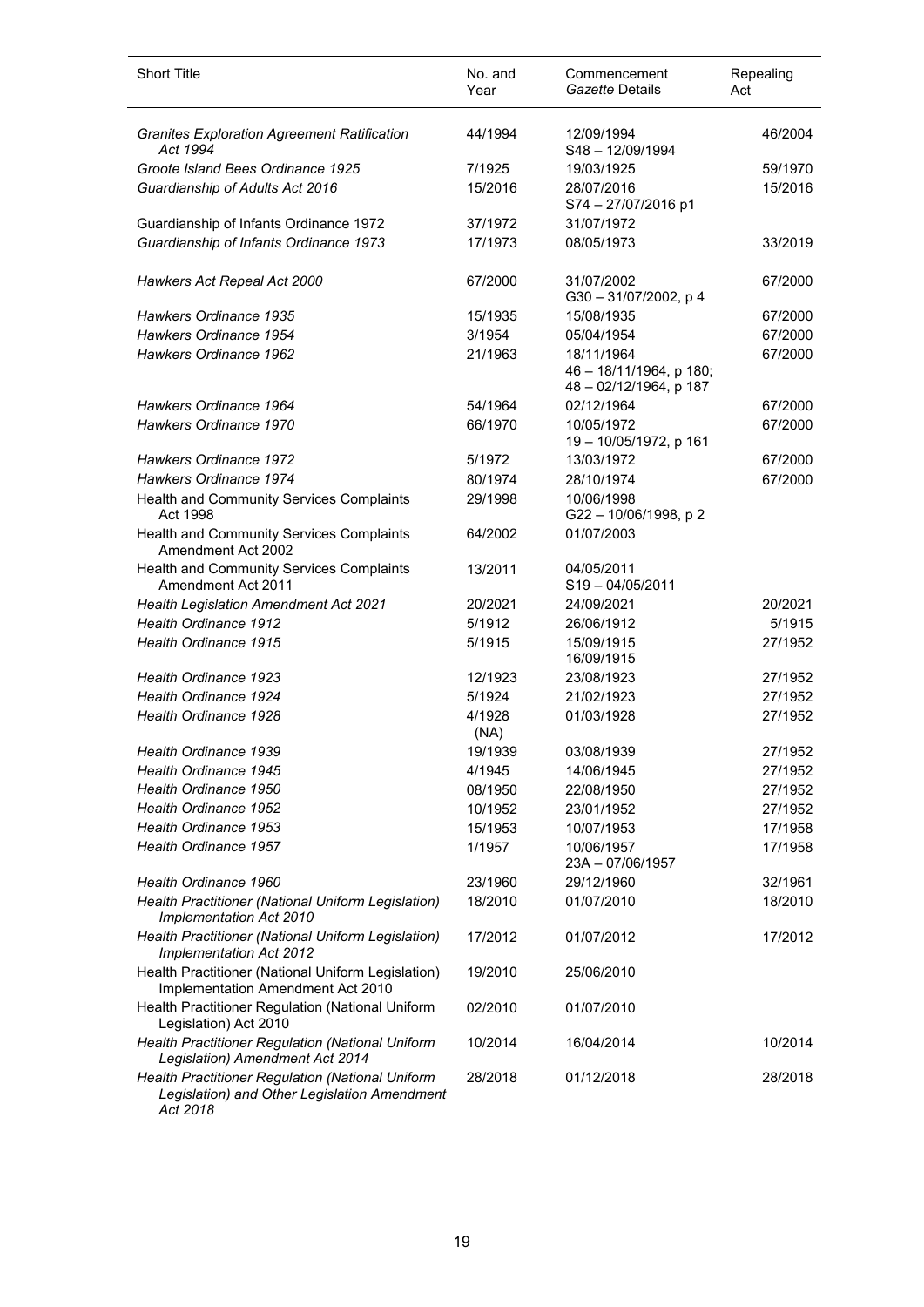| <b>Short Title</b>                                                                               | No. and<br>Year | Commencement<br>Gazette Details                                 | Repealing<br>Act |
|--------------------------------------------------------------------------------------------------|-----------------|-----------------------------------------------------------------|------------------|
| <b>Granites Exploration Agreement Ratification</b><br>Act 1994                                   | 44/1994         | 12/09/1994<br>S48 - 12/09/1994                                  | 46/2004          |
| Groote Island Bees Ordinance 1925                                                                | 7/1925          | 19/03/1925                                                      | 59/1970          |
| Guardianship of Adults Act 2016                                                                  | 15/2016         | 28/07/2016<br>S74-27/07/2016 p1                                 | 15/2016          |
| Guardianship of Infants Ordinance 1972                                                           | 37/1972         | 31/07/1972                                                      |                  |
| Guardianship of Infants Ordinance 1973                                                           | 17/1973         | 08/05/1973                                                      | 33/2019          |
| Hawkers Act Repeal Act 2000                                                                      | 67/2000         | 31/07/2002<br>G30-31/07/2002, p 4                               | 67/2000          |
| Hawkers Ordinance 1935                                                                           | 15/1935         | 15/08/1935                                                      | 67/2000          |
| Hawkers Ordinance 1954                                                                           | 3/1954          | 05/04/1954                                                      | 67/2000          |
| Hawkers Ordinance 1962                                                                           | 21/1963         | 18/11/1964<br>46 - 18/11/1964, p 180;<br>48 - 02/12/1964, p 187 | 67/2000          |
| Hawkers Ordinance 1964                                                                           | 54/1964         | 02/12/1964                                                      | 67/2000          |
| Hawkers Ordinance 1970                                                                           | 66/1970         | 10/05/1972<br>19 - 10/05/1972, p 161                            | 67/2000          |
| Hawkers Ordinance 1972                                                                           | 5/1972          | 13/03/1972                                                      | 67/2000          |
| Hawkers Ordinance 1974                                                                           | 80/1974         | 28/10/1974                                                      | 67/2000          |
| Health and Community Services Complaints<br>Act 1998                                             | 29/1998         | 10/06/1998<br>G22 - 10/06/1998, p 2                             |                  |
| Health and Community Services Complaints<br>Amendment Act 2002                                   | 64/2002         | 01/07/2003                                                      |                  |
| Health and Community Services Complaints<br>Amendment Act 2011                                   | 13/2011         | 04/05/2011<br>$S19 - 04/05/2011$                                |                  |
| Health Legislation Amendment Act 2021                                                            | 20/2021         | 24/09/2021                                                      | 20/2021          |
| <b>Health Ordinance 1912</b>                                                                     | 5/1912          | 26/06/1912                                                      | 5/1915           |
| Health Ordinance 1915                                                                            | 5/1915          | 15/09/1915<br>16/09/1915                                        | 27/1952          |
| <b>Health Ordinance 1923</b>                                                                     | 12/1923         | 23/08/1923                                                      | 27/1952          |
| Health Ordinance 1924                                                                            | 5/1924          | 21/02/1923                                                      | 27/1952          |
| Health Ordinance 1928                                                                            | 4/1928<br>(NA)  | 01/03/1928                                                      | 27/1952          |
| Health Ordinance 1939                                                                            | 19/1939         | 03/08/1939                                                      | 27/1952          |
| Health Ordinance 1945                                                                            | 4/1945          | 14/06/1945                                                      | 27/1952          |
| Health Ordinance 1950                                                                            | 08/1950         | 22/08/1950                                                      | 27/1952          |
| Health Ordinance 1952                                                                            | 10/1952         | 23/01/1952                                                      | 27/1952          |
| Health Ordinance 1953                                                                            | 15/1953         | 10/07/1953                                                      | 17/1958          |
| Health Ordinance 1957                                                                            | 1/1957          | 10/06/1957<br>23A-07/06/1957                                    | 17/1958          |
| Health Ordinance 1960                                                                            | 23/1960         | 29/12/1960                                                      | 32/1961          |
| Health Practitioner (National Uniform Legislation)<br>Implementation Act 2010                    | 18/2010         | 01/07/2010                                                      | 18/2010          |
| Health Practitioner (National Uniform Legislation)<br>Implementation Act 2012                    | 17/2012         | 01/07/2012                                                      | 17/2012          |
| Health Practitioner (National Uniform Legislation)<br>Implementation Amendment Act 2010          | 19/2010         | 25/06/2010                                                      |                  |
| Health Practitioner Regulation (National Uniform<br>Legislation) Act 2010                        | 02/2010         | 01/07/2010                                                      |                  |
| Health Practitioner Regulation (National Uniform<br>Legislation) Amendment Act 2014              | 10/2014         | 16/04/2014                                                      | 10/2014          |
| Health Practitioner Regulation (National Uniform<br>Legislation) and Other Legislation Amendment | 28/2018         | 01/12/2018                                                      | 28/2018          |

*Act 2018*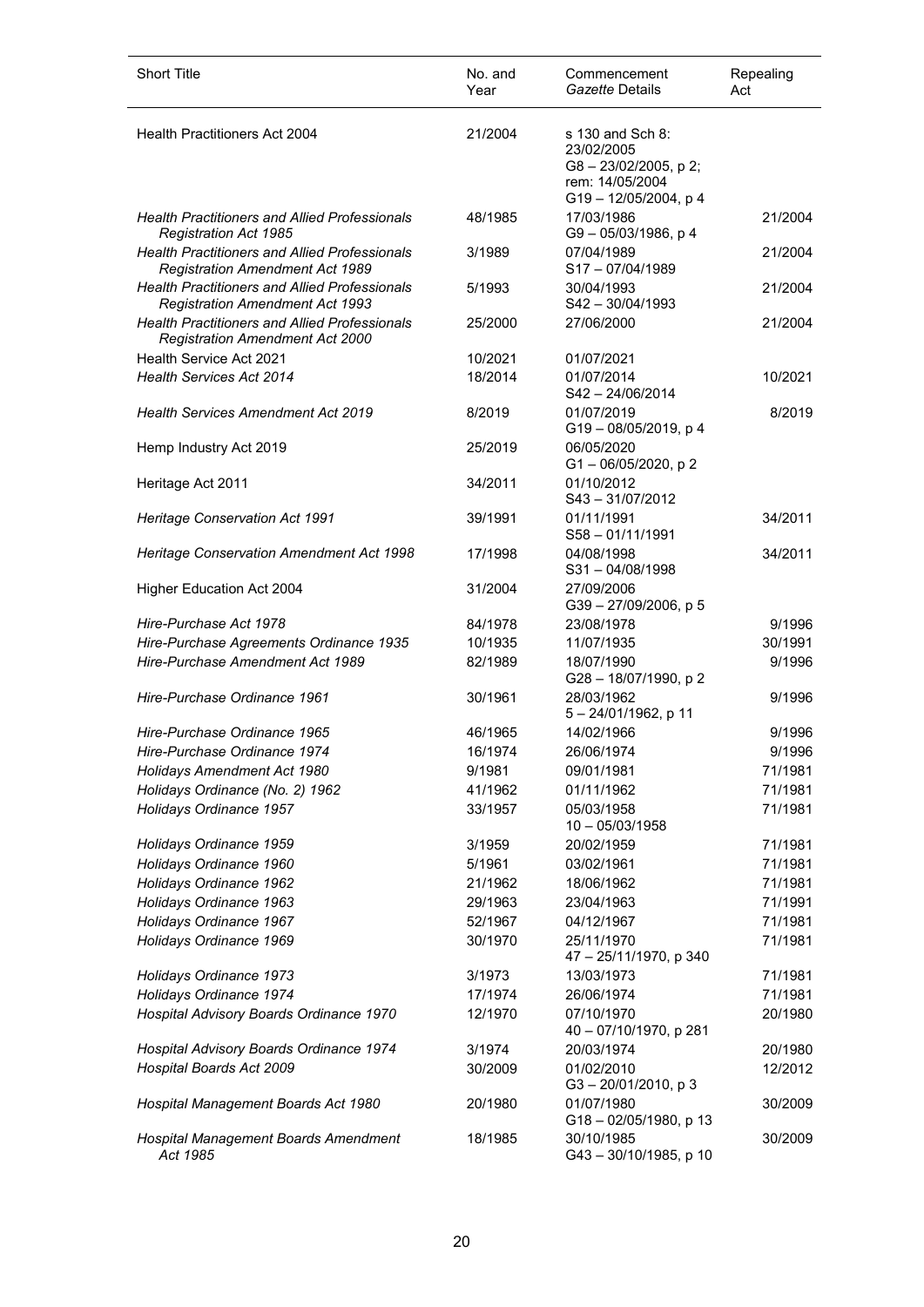| <b>Short Title</b>                                                                             | No. and<br>Year | Commencement<br>Gazette Details                                                                        | Repealing<br>Act |
|------------------------------------------------------------------------------------------------|-----------------|--------------------------------------------------------------------------------------------------------|------------------|
| <b>Health Practitioners Act 2004</b>                                                           | 21/2004         | s 130 and Sch 8:<br>23/02/2005<br>$G8 - 23/02/2005$ , p 2;<br>rem: 14/05/2004<br>G19 - 12/05/2004, p 4 |                  |
| <b>Health Practitioners and Allied Professionals</b><br><b>Registration Act 1985</b>           | 48/1985         | 17/03/1986<br>G9-05/03/1986, p4                                                                        | 21/2004          |
| <b>Health Practitioners and Allied Professionals</b><br><b>Registration Amendment Act 1989</b> | 3/1989          | 07/04/1989<br>S17-07/04/1989                                                                           | 21/2004          |
| <b>Health Practitioners and Allied Professionals</b><br><b>Registration Amendment Act 1993</b> | 5/1993          | 30/04/1993<br>S42-30/04/1993                                                                           | 21/2004          |
| <b>Health Practitioners and Allied Professionals</b><br><b>Registration Amendment Act 2000</b> | 25/2000         | 27/06/2000                                                                                             | 21/2004          |
| Health Service Act 2021                                                                        | 10/2021         | 01/07/2021                                                                                             |                  |
| <b>Health Services Act 2014</b>                                                                | 18/2014         | 01/07/2014<br>S42-24/06/2014                                                                           | 10/2021          |
| <b>Health Services Amendment Act 2019</b>                                                      | 8/2019          | 01/07/2019<br>G19-08/05/2019, p 4                                                                      | 8/2019           |
| Hemp Industry Act 2019                                                                         | 25/2019         | 06/05/2020<br>$G1 - 06/05/2020$ , p 2                                                                  |                  |
| Heritage Act 2011                                                                              | 34/2011         | 01/10/2012<br>$S43 - 31/07/2012$                                                                       |                  |
| Heritage Conservation Act 1991                                                                 | 39/1991         | 01/11/1991<br>$S58 - 01/11/1991$                                                                       | 34/2011          |
| Heritage Conservation Amendment Act 1998                                                       | 17/1998         | 04/08/1998<br>$S31 - 04/08/1998$                                                                       | 34/2011          |
| Higher Education Act 2004                                                                      | 31/2004         | 27/09/2006<br>G39-27/09/2006, p 5                                                                      |                  |
| Hire-Purchase Act 1978                                                                         | 84/1978         | 23/08/1978                                                                                             | 9/1996           |
| Hire-Purchase Agreements Ordinance 1935                                                        | 10/1935         | 11/07/1935                                                                                             | 30/1991          |
| Hire-Purchase Amendment Act 1989                                                               | 82/1989         | 18/07/1990<br>G28-18/07/1990, p2                                                                       | 9/1996           |
| Hire-Purchase Ordinance 1961                                                                   | 30/1961         | 28/03/1962<br>5-24/01/1962, p 11                                                                       | 9/1996           |
| Hire-Purchase Ordinance 1965                                                                   | 46/1965         | 14/02/1966                                                                                             | 9/1996           |
| Hire-Purchase Ordinance 1974                                                                   | 16/1974         | 26/06/1974                                                                                             | 9/1996           |
| Holidays Amendment Act 1980                                                                    | 9/1981          | 09/01/1981                                                                                             | 71/1981          |
| Holidays Ordinance (No. 2) 1962                                                                | 41/1962         | 01/11/1962                                                                                             | 71/1981          |
| Holidays Ordinance 1957                                                                        | 33/1957         | 05/03/1958<br>$10 - 05/03/1958$                                                                        | 71/1981          |
| Holidays Ordinance 1959                                                                        | 3/1959          | 20/02/1959                                                                                             | 71/1981          |
| Holidays Ordinance 1960                                                                        | 5/1961          | 03/02/1961                                                                                             | 71/1981          |
| Holidays Ordinance 1962                                                                        | 21/1962         | 18/06/1962                                                                                             | 71/1981          |
| Holidays Ordinance 1963                                                                        | 29/1963         | 23/04/1963                                                                                             | 71/1991          |
| Holidays Ordinance 1967                                                                        | 52/1967         | 04/12/1967                                                                                             | 71/1981          |
| Holidays Ordinance 1969                                                                        | 30/1970         | 25/11/1970<br>47 - 25/11/1970, p 340                                                                   | 71/1981          |
| Holidays Ordinance 1973                                                                        | 3/1973          | 13/03/1973                                                                                             | 71/1981          |
| Holidays Ordinance 1974                                                                        | 17/1974         | 26/06/1974                                                                                             | 71/1981          |
| Hospital Advisory Boards Ordinance 1970                                                        | 12/1970         | 07/10/1970<br>40 - 07/10/1970, p 281                                                                   | 20/1980          |
| Hospital Advisory Boards Ordinance 1974                                                        | 3/1974          | 20/03/1974                                                                                             | 20/1980          |
| Hospital Boards Act 2009                                                                       | 30/2009         | 01/02/2010<br>$G3 - 20/01/2010$ , p 3                                                                  | 12/2012          |
| Hospital Management Boards Act 1980                                                            | 20/1980         | 01/07/1980<br>G18-02/05/1980, p 13                                                                     | 30/2009          |
| Hospital Management Boards Amendment<br>Act 1985                                               | 18/1985         | 30/10/1985<br>G43-30/10/1985, p 10                                                                     | 30/2009          |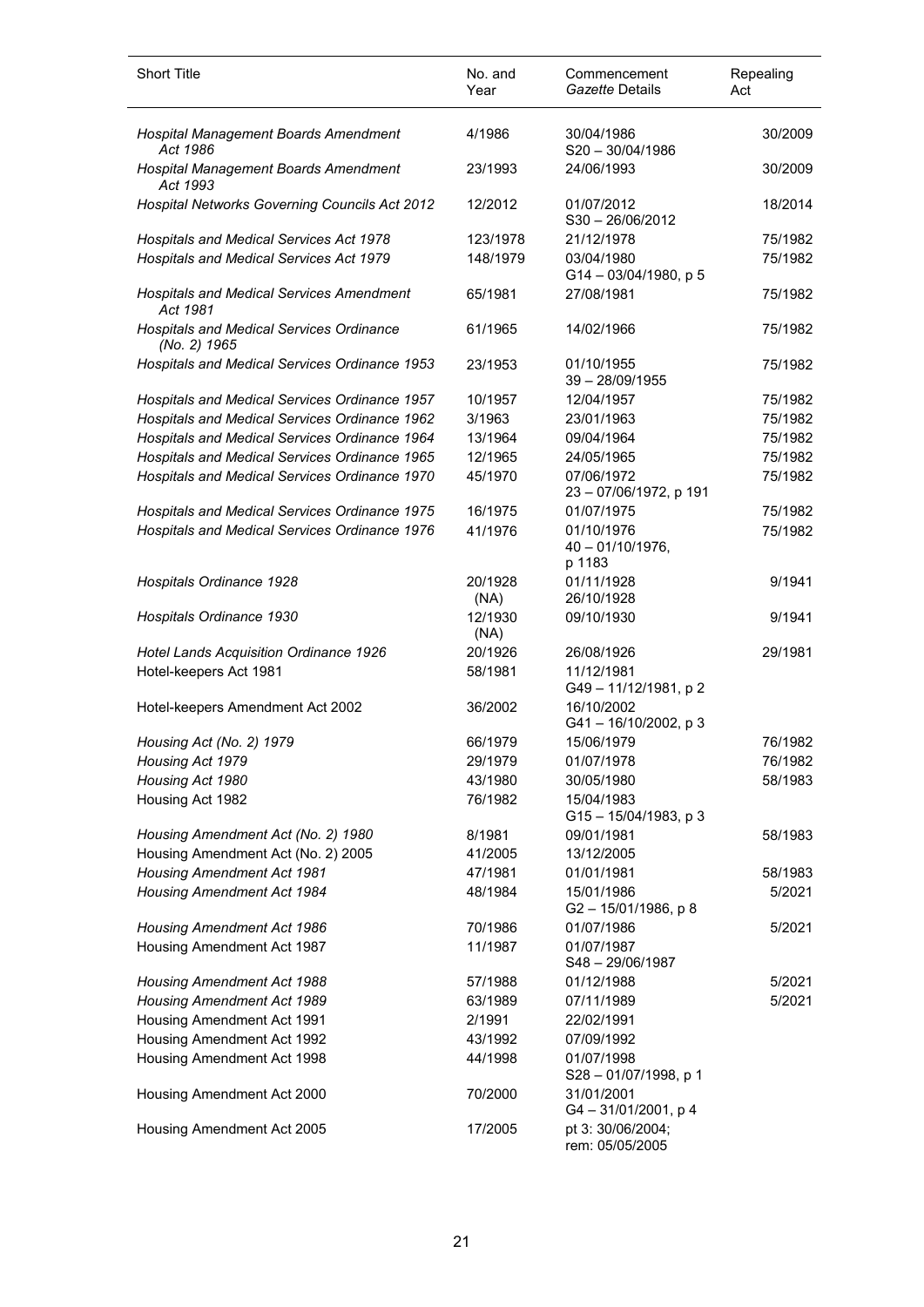| <b>Short Title</b>                                          | No. and<br>Year | Commencement<br>Gazette Details             | Repealing<br>Act |
|-------------------------------------------------------------|-----------------|---------------------------------------------|------------------|
| Hospital Management Boards Amendment<br>Act 1986            | 4/1986          | 30/04/1986<br>$S20 - 30/04/1986$            | 30/2009          |
| Hospital Management Boards Amendment<br>Act 1993            | 23/1993         | 24/06/1993                                  | 30/2009          |
| Hospital Networks Governing Councils Act 2012               | 12/2012         | 01/07/2012<br>$S30 - 26/06/2012$            | 18/2014          |
| Hospitals and Medical Services Act 1978                     | 123/1978        | 21/12/1978                                  | 75/1982          |
| Hospitals and Medical Services Act 1979                     | 148/1979        | 03/04/1980<br>G14-03/04/1980, p 5           | 75/1982          |
| <b>Hospitals and Medical Services Amendment</b><br>Act 1981 | 65/1981         | 27/08/1981                                  | 75/1982          |
| Hospitals and Medical Services Ordinance<br>(No. 2) 1965    | 61/1965         | 14/02/1966                                  | 75/1982          |
| Hospitals and Medical Services Ordinance 1953               | 23/1953         | 01/10/1955<br>$39 - 28/09/1955$             | 75/1982          |
| Hospitals and Medical Services Ordinance 1957               | 10/1957         | 12/04/1957                                  | 75/1982          |
| Hospitals and Medical Services Ordinance 1962               | 3/1963          | 23/01/1963                                  | 75/1982          |
| Hospitals and Medical Services Ordinance 1964               | 13/1964         | 09/04/1964                                  | 75/1982          |
| Hospitals and Medical Services Ordinance 1965               | 12/1965         | 24/05/1965                                  | 75/1982          |
| Hospitals and Medical Services Ordinance 1970               | 45/1970         | 07/06/1972<br>23 - 07/06/1972, p 191        | 75/1982          |
| Hospitals and Medical Services Ordinance 1975               | 16/1975         | 01/07/1975                                  | 75/1982          |
| Hospitals and Medical Services Ordinance 1976               | 41/1976         | 01/10/1976<br>$40 - 01/10/1976$ ,<br>p 1183 | 75/1982          |
| Hospitals Ordinance 1928                                    | 20/1928<br>(NA) | 01/11/1928<br>26/10/1928                    | 9/1941           |
| Hospitals Ordinance 1930                                    | 12/1930<br>(NA) | 09/10/1930                                  | 9/1941           |
| Hotel Lands Acquisition Ordinance 1926                      | 20/1926         | 26/08/1926                                  | 29/1981          |
| Hotel-keepers Act 1981                                      | 58/1981         | 11/12/1981<br>G49-11/12/1981, p2            |                  |
| Hotel-keepers Amendment Act 2002                            | 36/2002         | 16/10/2002<br>G41-16/10/2002, p 3           |                  |
| Housing Act (No. 2) 1979                                    | 66/1979         | 15/06/1979                                  | 76/1982          |
| Housing Act 1979                                            | 29/1979         | 01/07/1978                                  | 76/1982          |
| Housing Act 1980                                            | 43/1980         | 30/05/1980                                  | 58/1983          |
| Housing Act 1982                                            | 76/1982         | 15/04/1983<br>G15-15/04/1983, p 3           |                  |
| Housing Amendment Act (No. 2) 1980                          | 8/1981          | 09/01/1981                                  | 58/1983          |
| Housing Amendment Act (No. 2) 2005                          | 41/2005         | 13/12/2005                                  |                  |
| <b>Housing Amendment Act 1981</b>                           | 47/1981         | 01/01/1981                                  | 58/1983          |
| <b>Housing Amendment Act 1984</b>                           | 48/1984         | 15/01/1986<br>G2-15/01/1986, p8             | 5/2021           |
| <b>Housing Amendment Act 1986</b>                           | 70/1986         | 01/07/1986                                  | 5/2021           |
| Housing Amendment Act 1987                                  | 11/1987         | 01/07/1987<br>S48-29/06/1987                |                  |
| <b>Housing Amendment Act 1988</b>                           | 57/1988         | 01/12/1988                                  | 5/2021           |
| Housing Amendment Act 1989                                  | 63/1989         | 07/11/1989                                  | 5/2021           |
| Housing Amendment Act 1991                                  | 2/1991          | 22/02/1991                                  |                  |
| Housing Amendment Act 1992                                  | 43/1992         | 07/09/1992                                  |                  |
| Housing Amendment Act 1998                                  | 44/1998         | 01/07/1998<br>S28-01/07/1998, p 1           |                  |
| Housing Amendment Act 2000                                  | 70/2000         | 31/01/2001<br>G4-31/01/2001, p4             |                  |
| Housing Amendment Act 2005                                  | 17/2005         | pt 3: 30/06/2004;<br>rem: 05/05/2005        |                  |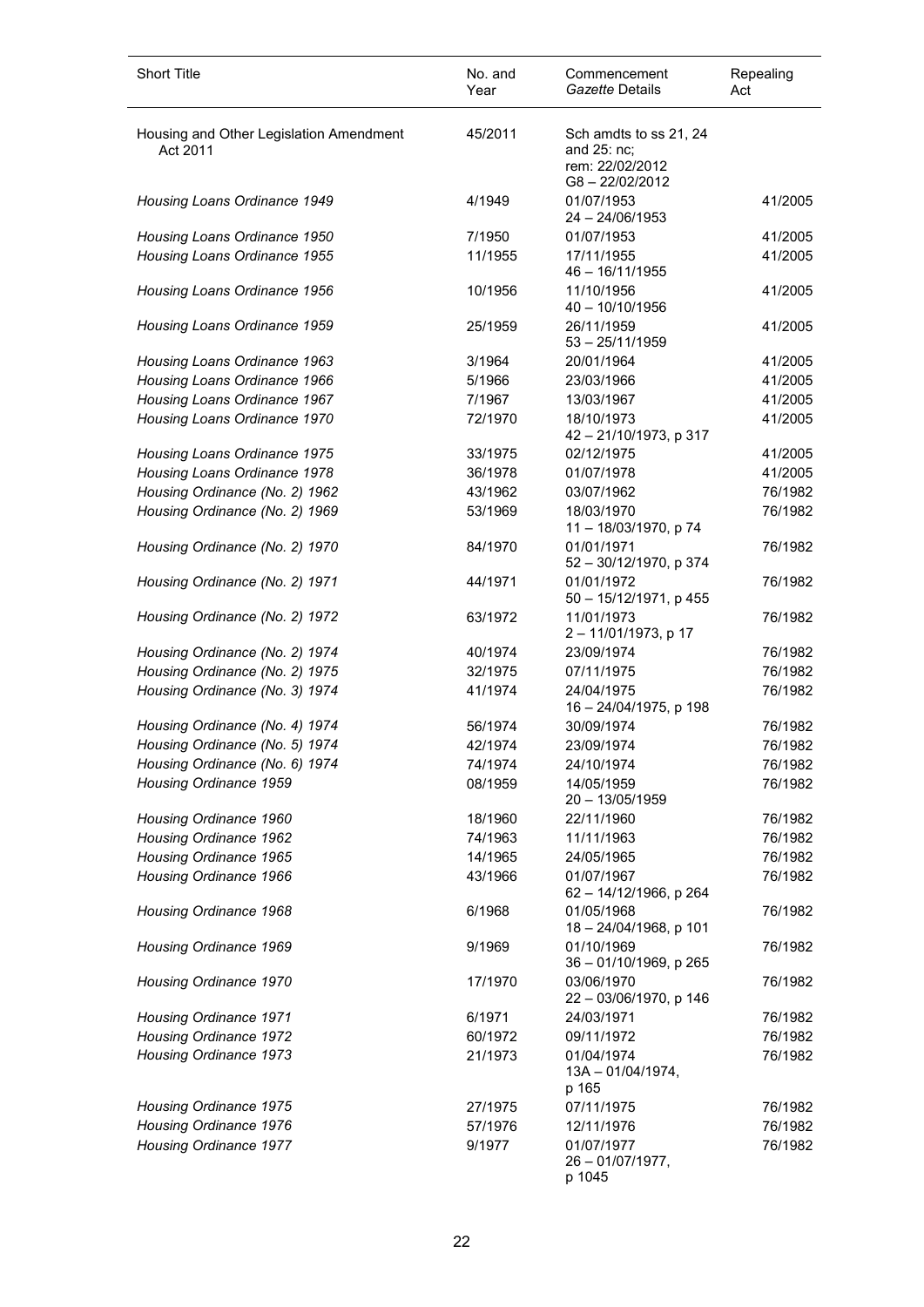| <b>Short Title</b>                                       | No. and<br>Year    | Commencement<br>Gazette Details                                           | Repealing<br>Act   |
|----------------------------------------------------------|--------------------|---------------------------------------------------------------------------|--------------------|
| Housing and Other Legislation Amendment<br>Act 2011      | 45/2011            | Sch amdts to ss 21, 24<br>and 25: nc;<br>rem: 22/02/2012<br>G8-22/02/2012 |                    |
| Housing Loans Ordinance 1949                             | 4/1949             | 01/07/1953<br>$24 - 24/06/1953$                                           | 41/2005            |
| Housing Loans Ordinance 1950                             | 7/1950             | 01/07/1953                                                                | 41/2005            |
| Housing Loans Ordinance 1955                             | 11/1955            | 17/11/1955<br>46 - 16/11/1955                                             | 41/2005            |
| Housing Loans Ordinance 1956                             | 10/1956            | 11/10/1956<br>$40 - 10/10/1956$                                           | 41/2005            |
| Housing Loans Ordinance 1959                             | 25/1959            | 26/11/1959<br>$53 - 25/11/1959$                                           | 41/2005            |
| Housing Loans Ordinance 1963                             | 3/1964             | 20/01/1964                                                                | 41/2005            |
| Housing Loans Ordinance 1966                             | 5/1966             | 23/03/1966                                                                | 41/2005            |
| Housing Loans Ordinance 1967                             | 7/1967             | 13/03/1967                                                                | 41/2005            |
| Housing Loans Ordinance 1970                             | 72/1970            | 18/10/1973<br>42 - 21/10/1973, p 317                                      | 41/2005            |
| Housing Loans Ordinance 1975                             | 33/1975            | 02/12/1975                                                                | 41/2005            |
| Housing Loans Ordinance 1978                             | 36/1978            | 01/07/1978                                                                | 41/2005            |
| Housing Ordinance (No. 2) 1962                           | 43/1962            | 03/07/1962                                                                | 76/1982            |
| Housing Ordinance (No. 2) 1969                           | 53/1969            | 18/03/1970<br>11 - 18/03/1970, p 74                                       | 76/1982            |
| Housing Ordinance (No. 2) 1970                           | 84/1970            | 01/01/1971<br>52 - 30/12/1970, p 374                                      | 76/1982            |
| Housing Ordinance (No. 2) 1971                           | 44/1971            | 01/01/1972<br>50 - 15/12/1971, p 455                                      | 76/1982            |
| Housing Ordinance (No. 2) 1972                           | 63/1972            | 11/01/1973<br>2 - 11/01/1973, p 17                                        | 76/1982            |
| Housing Ordinance (No. 2) 1974                           | 40/1974            | 23/09/1974                                                                | 76/1982            |
| Housing Ordinance (No. 2) 1975                           | 32/1975            | 07/11/1975                                                                | 76/1982            |
| Housing Ordinance (No. 3) 1974                           | 41/1974            | 24/04/1975<br>16 - 24/04/1975, p 198                                      | 76/1982            |
| Housing Ordinance (No. 4) 1974                           | 56/1974            | 30/09/1974                                                                | 76/1982            |
| Housing Ordinance (No. 5) 1974                           | 42/1974            | 23/09/1974                                                                | 76/1982            |
| Housing Ordinance (No. 6) 1974<br>Housing Ordinance 1959 | 74/1974<br>08/1959 | 24/10/1974<br>14/05/1959<br>$20 - 13/05/1959$                             | 76/1982<br>76/1982 |
| Housing Ordinance 1960                                   | 18/1960            | 22/11/1960                                                                | 76/1982            |
| Housing Ordinance 1962                                   | 74/1963            | 11/11/1963                                                                | 76/1982            |
| Housing Ordinance 1965                                   | 14/1965            | 24/05/1965                                                                | 76/1982            |
| Housing Ordinance 1966                                   | 43/1966            | 01/07/1967<br>62 - 14/12/1966, p 264                                      | 76/1982            |
| Housing Ordinance 1968                                   | 6/1968             | 01/05/1968<br>18 - 24/04/1968, p 101                                      | 76/1982            |
| Housing Ordinance 1969                                   | 9/1969             | 01/10/1969<br>36 - 01/10/1969, p 265                                      | 76/1982            |
| Housing Ordinance 1970                                   | 17/1970            | 03/06/1970<br>22 - 03/06/1970, p 146                                      | 76/1982            |
| Housing Ordinance 1971                                   | 6/1971             | 24/03/1971                                                                | 76/1982            |
| Housing Ordinance 1972                                   | 60/1972            | 09/11/1972                                                                | 76/1982            |
| Housing Ordinance 1973                                   | 21/1973            | 01/04/1974<br>$13A - 01/04/1974,$<br>p 165                                | 76/1982            |
| Housing Ordinance 1975                                   | 27/1975            | 07/11/1975                                                                | 76/1982            |
| Housing Ordinance 1976                                   | 57/1976            | 12/11/1976                                                                | 76/1982            |
| Housing Ordinance 1977                                   | 9/1977             | 01/07/1977<br>$26 - 01/07/1977$ ,<br>p 1045                               | 76/1982            |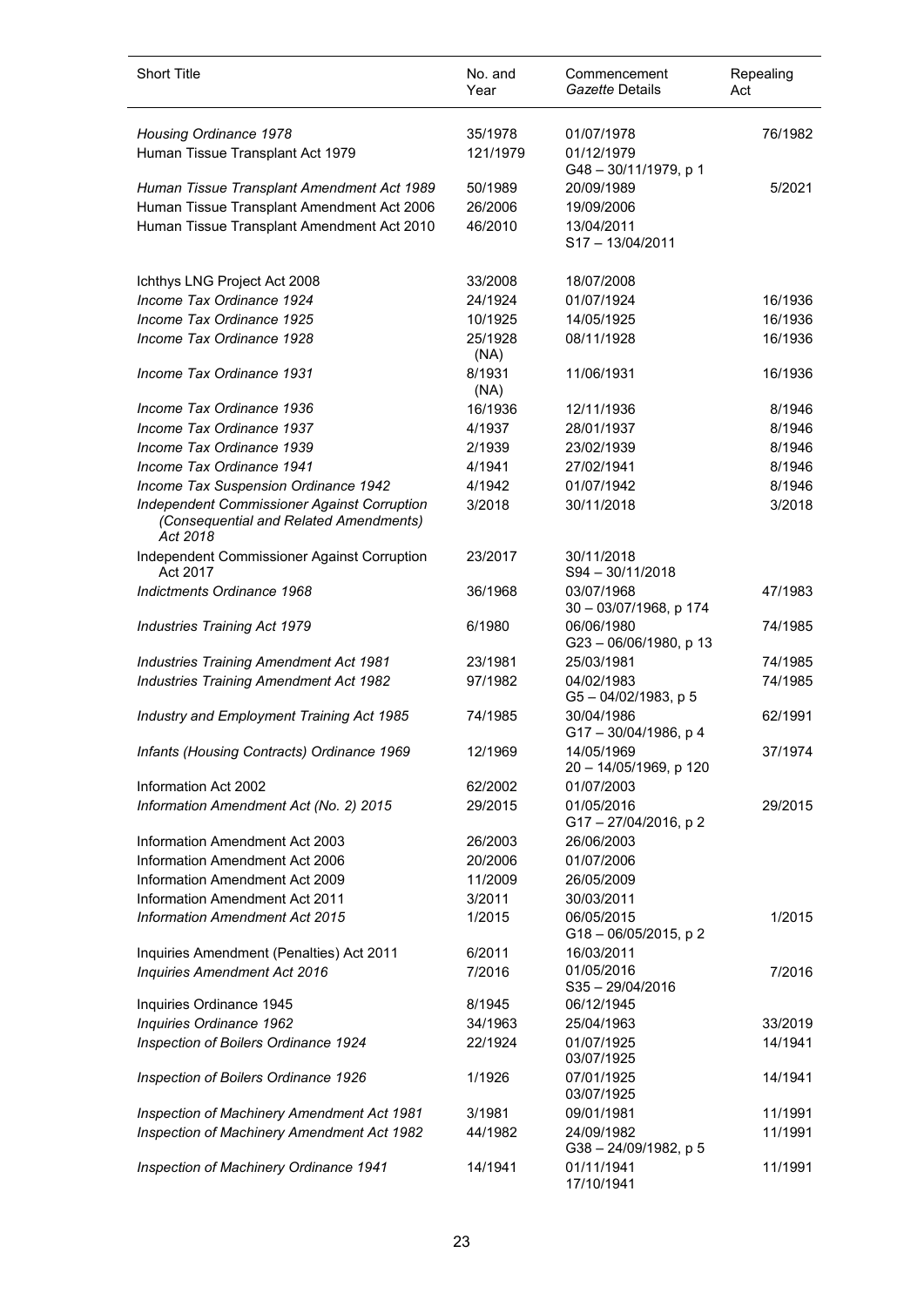| <b>Short Title</b>                                                                                       | No. and<br>Year | Commencement<br>Gazette Details        | Repealing<br>Act |
|----------------------------------------------------------------------------------------------------------|-----------------|----------------------------------------|------------------|
| Housing Ordinance 1978                                                                                   | 35/1978         | 01/07/1978                             | 76/1982          |
| Human Tissue Transplant Act 1979                                                                         | 121/1979        | 01/12/1979                             |                  |
| Human Tissue Transplant Amendment Act 1989                                                               | 50/1989         | G48-30/11/1979, p 1<br>20/09/1989      | 5/2021           |
| Human Tissue Transplant Amendment Act 2006                                                               | 26/2006         | 19/09/2006                             |                  |
| Human Tissue Transplant Amendment Act 2010                                                               | 46/2010         | 13/04/2011                             |                  |
|                                                                                                          |                 | S17-13/04/2011                         |                  |
| Ichthys LNG Project Act 2008                                                                             | 33/2008         | 18/07/2008                             |                  |
| Income Tax Ordinance 1924                                                                                | 24/1924         | 01/07/1924                             | 16/1936          |
| Income Tax Ordinance 1925                                                                                | 10/1925         | 14/05/1925                             | 16/1936          |
| Income Tax Ordinance 1928                                                                                | 25/1928<br>(NA) | 08/11/1928                             | 16/1936          |
| Income Tax Ordinance 1931                                                                                | 8/1931<br>(NA)  | 11/06/1931                             | 16/1936          |
| Income Tax Ordinance 1936                                                                                | 16/1936         | 12/11/1936                             | 8/1946           |
| Income Tax Ordinance 1937                                                                                | 4/1937          | 28/01/1937                             | 8/1946           |
| Income Tax Ordinance 1939                                                                                | 2/1939          | 23/02/1939                             | 8/1946           |
| Income Tax Ordinance 1941                                                                                | 4/1941          | 27/02/1941                             | 8/1946           |
| Income Tax Suspension Ordinance 1942                                                                     | 4/1942          | 01/07/1942                             | 8/1946           |
| <b>Independent Commissioner Against Corruption</b><br>(Consequential and Related Amendments)<br>Act 2018 | 3/2018          | 30/11/2018                             | 3/2018           |
| Independent Commissioner Against Corruption<br>Act 2017                                                  | 23/2017         | 30/11/2018<br>S94 - 30/11/2018         |                  |
| Indictments Ordinance 1968                                                                               | 36/1968         | 03/07/1968<br>30 - 03/07/1968, p 174   | 47/1983          |
| <b>Industries Training Act 1979</b>                                                                      | 6/1980          | 06/06/1980<br>G23-06/06/1980, p 13     | 74/1985          |
| <b>Industries Training Amendment Act 1981</b>                                                            | 23/1981         | 25/03/1981                             | 74/1985          |
| <b>Industries Training Amendment Act 1982</b>                                                            | 97/1982         | 04/02/1983<br>$G5 - 04/02/1983$ , p 5  | 74/1985          |
| Industry and Employment Training Act 1985                                                                | 74/1985         | 30/04/1986<br>G17-30/04/1986, p 4      | 62/1991          |
| Infants (Housing Contracts) Ordinance 1969                                                               | 12/1969         | 14/05/1969<br>20 - 14/05/1969, p 120   | 37/1974          |
| Information Act 2002                                                                                     | 62/2002         | 01/07/2003                             |                  |
| Information Amendment Act (No. 2) 2015                                                                   | 29/2015         | 01/05/2016<br>G17-27/04/2016, p2       | 29/2015          |
| Information Amendment Act 2003                                                                           | 26/2003         | 26/06/2003                             |                  |
| Information Amendment Act 2006                                                                           | 20/2006         | 01/07/2006                             |                  |
| Information Amendment Act 2009                                                                           | 11/2009         | 26/05/2009                             |                  |
| Information Amendment Act 2011                                                                           | 3/2011          | 30/03/2011                             |                  |
| <b>Information Amendment Act 2015</b>                                                                    | 1/2015          | 06/05/2015<br>G18-06/05/2015, p2       | 1/2015           |
| Inquiries Amendment (Penalties) Act 2011                                                                 | 6/2011          | 16/03/2011                             |                  |
| <b>Inquiries Amendment Act 2016</b>                                                                      | 7/2016          | 01/05/2016<br>$S35 - 29/04/2016$       | 7/2016           |
| Inquiries Ordinance 1945                                                                                 | 8/1945          | 06/12/1945                             |                  |
| Inquiries Ordinance 1962                                                                                 | 34/1963         | 25/04/1963                             | 33/2019          |
| Inspection of Boilers Ordinance 1924                                                                     | 22/1924         | 01/07/1925<br>03/07/1925               | 14/1941          |
| Inspection of Boilers Ordinance 1926                                                                     | 1/1926          | 07/01/1925<br>03/07/1925               | 14/1941          |
| Inspection of Machinery Amendment Act 1981                                                               | 3/1981          | 09/01/1981                             | 11/1991          |
| Inspection of Machinery Amendment Act 1982                                                               | 44/1982         | 24/09/1982<br>$G38 - 24/09/1982$ , p 5 | 11/1991          |
| Inspection of Machinery Ordinance 1941                                                                   | 14/1941         | 01/11/1941<br>17/10/1941               | 11/1991          |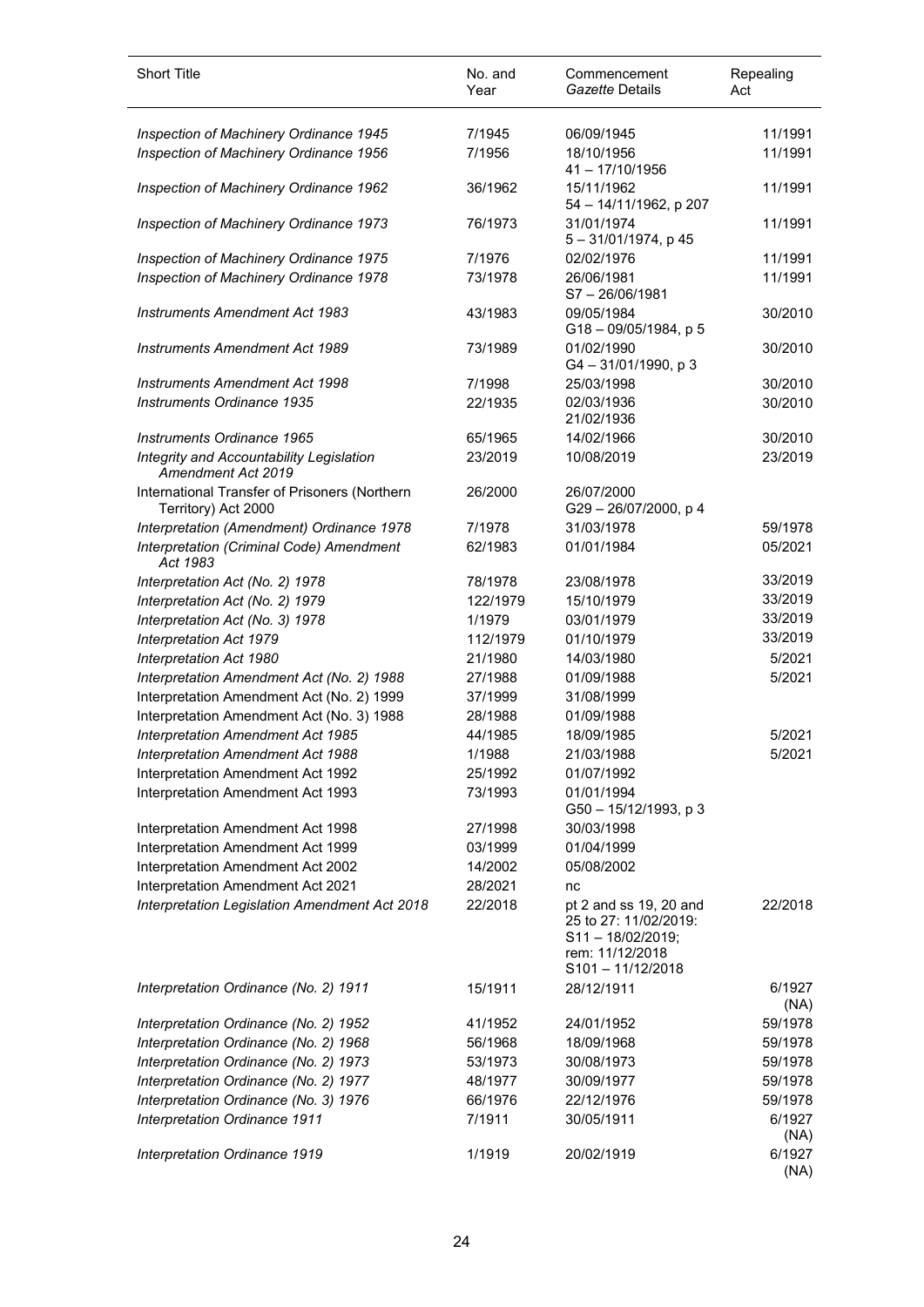| <b>Short Title</b>                                                   | No. and<br>Year | Commencement<br>Gazette Details                                                                                  | Repealing<br>Act |
|----------------------------------------------------------------------|-----------------|------------------------------------------------------------------------------------------------------------------|------------------|
| Inspection of Machinery Ordinance 1945                               | 7/1945          | 06/09/1945                                                                                                       | 11/1991          |
| Inspection of Machinery Ordinance 1956                               | 7/1956          | 18/10/1956<br>41 - 17/10/1956                                                                                    | 11/1991          |
| Inspection of Machinery Ordinance 1962                               | 36/1962         | 15/11/1962<br>54 - 14/11/1962, p 207                                                                             | 11/1991          |
| Inspection of Machinery Ordinance 1973                               | 76/1973         | 31/01/1974<br>$5 - 31/01/1974$ , p 45                                                                            | 11/1991          |
| Inspection of Machinery Ordinance 1975                               | 7/1976          | 02/02/1976                                                                                                       | 11/1991          |
| Inspection of Machinery Ordinance 1978                               | 73/1978         | 26/06/1981<br>$S7 - 26/06/1981$                                                                                  | 11/1991          |
| <b>Instruments Amendment Act 1983</b>                                | 43/1983         | 09/05/1984<br>$G18 - 09/05/1984$ , p 5                                                                           | 30/2010          |
| <b>Instruments Amendment Act 1989</b>                                | 73/1989         | 01/02/1990<br>G4-31/01/1990, p3                                                                                  | 30/2010          |
| Instruments Amendment Act 1998                                       | 7/1998          | 25/03/1998                                                                                                       | 30/2010          |
| Instruments Ordinance 1935                                           | 22/1935         | 02/03/1936<br>21/02/1936                                                                                         | 30/2010          |
| Instruments Ordinance 1965                                           | 65/1965         | 14/02/1966                                                                                                       | 30/2010          |
| Integrity and Accountability Legislation<br>Amendment Act 2019       | 23/2019         | 10/08/2019                                                                                                       | 23/2019          |
| International Transfer of Prisoners (Northern<br>Territory) Act 2000 | 26/2000         | 26/07/2000<br>G29-26/07/2000, p 4                                                                                |                  |
| Interpretation (Amendment) Ordinance 1978                            | 7/1978          | 31/03/1978                                                                                                       | 59/1978          |
| Interpretation (Criminal Code) Amendment<br>Act 1983                 | 62/1983         | 01/01/1984                                                                                                       | 05/2021          |
| Interpretation Act (No. 2) 1978                                      | 78/1978         | 23/08/1978                                                                                                       | 33/2019          |
| Interpretation Act (No. 2) 1979                                      | 122/1979        | 15/10/1979                                                                                                       | 33/2019          |
| Interpretation Act (No. 3) 1978                                      | 1/1979          | 03/01/1979                                                                                                       | 33/2019          |
| Interpretation Act 1979                                              | 112/1979        | 01/10/1979                                                                                                       | 33/2019          |
| Interpretation Act 1980                                              | 21/1980         | 14/03/1980                                                                                                       | 5/2021           |
| Interpretation Amendment Act (No. 2) 1988                            | 27/1988         | 01/09/1988                                                                                                       | 5/2021           |
| Interpretation Amendment Act (No. 2) 1999                            | 37/1999         | 31/08/1999                                                                                                       |                  |
| Interpretation Amendment Act (No. 3) 1988                            | 28/1988         | 01/09/1988                                                                                                       |                  |
| Interpretation Amendment Act 1985                                    | 44/1985         | 18/09/1985                                                                                                       | 5/2021           |
| Interpretation Amendment Act 1988                                    | 1/1988          | 21/03/1988                                                                                                       | 5/2021           |
| Interpretation Amendment Act 1992                                    | 25/1992         | 01/07/1992                                                                                                       |                  |
| Interpretation Amendment Act 1993                                    | 73/1993         | 01/01/1994<br>G50 - 15/12/1993, p 3                                                                              |                  |
| Interpretation Amendment Act 1998                                    | 27/1998         | 30/03/1998                                                                                                       |                  |
| Interpretation Amendment Act 1999                                    | 03/1999         | 01/04/1999                                                                                                       |                  |
| Interpretation Amendment Act 2002                                    | 14/2002         | 05/08/2002                                                                                                       |                  |
| Interpretation Amendment Act 2021                                    | 28/2021         | nc                                                                                                               |                  |
| Interpretation Legislation Amendment Act 2018                        | 22/2018         | pt 2 and ss 19, 20 and<br>25 to 27: 11/02/2019:<br>$S11 - 18/02/2019;$<br>rem: 11/12/2018<br>$S101 - 11/12/2018$ | 22/2018          |
| Interpretation Ordinance (No. 2) 1911                                | 15/1911         | 28/12/1911                                                                                                       | 6/1927<br>(NA)   |
| Interpretation Ordinance (No. 2) 1952                                | 41/1952         | 24/01/1952                                                                                                       | 59/1978          |
| Interpretation Ordinance (No. 2) 1968                                | 56/1968         | 18/09/1968                                                                                                       | 59/1978          |
| Interpretation Ordinance (No. 2) 1973                                | 53/1973         | 30/08/1973                                                                                                       | 59/1978          |
| Interpretation Ordinance (No. 2) 1977                                | 48/1977         | 30/09/1977                                                                                                       | 59/1978          |
| Interpretation Ordinance (No. 3) 1976                                | 66/1976         | 22/12/1976                                                                                                       | 59/1978          |
| Interpretation Ordinance 1911                                        | 7/1911          | 30/05/1911                                                                                                       | 6/1927<br>(NA)   |
| Interpretation Ordinance 1919                                        | 1/1919          | 20/02/1919                                                                                                       | 6/1927<br>(NA)   |

 $\overline{\phantom{a}}$ 

l,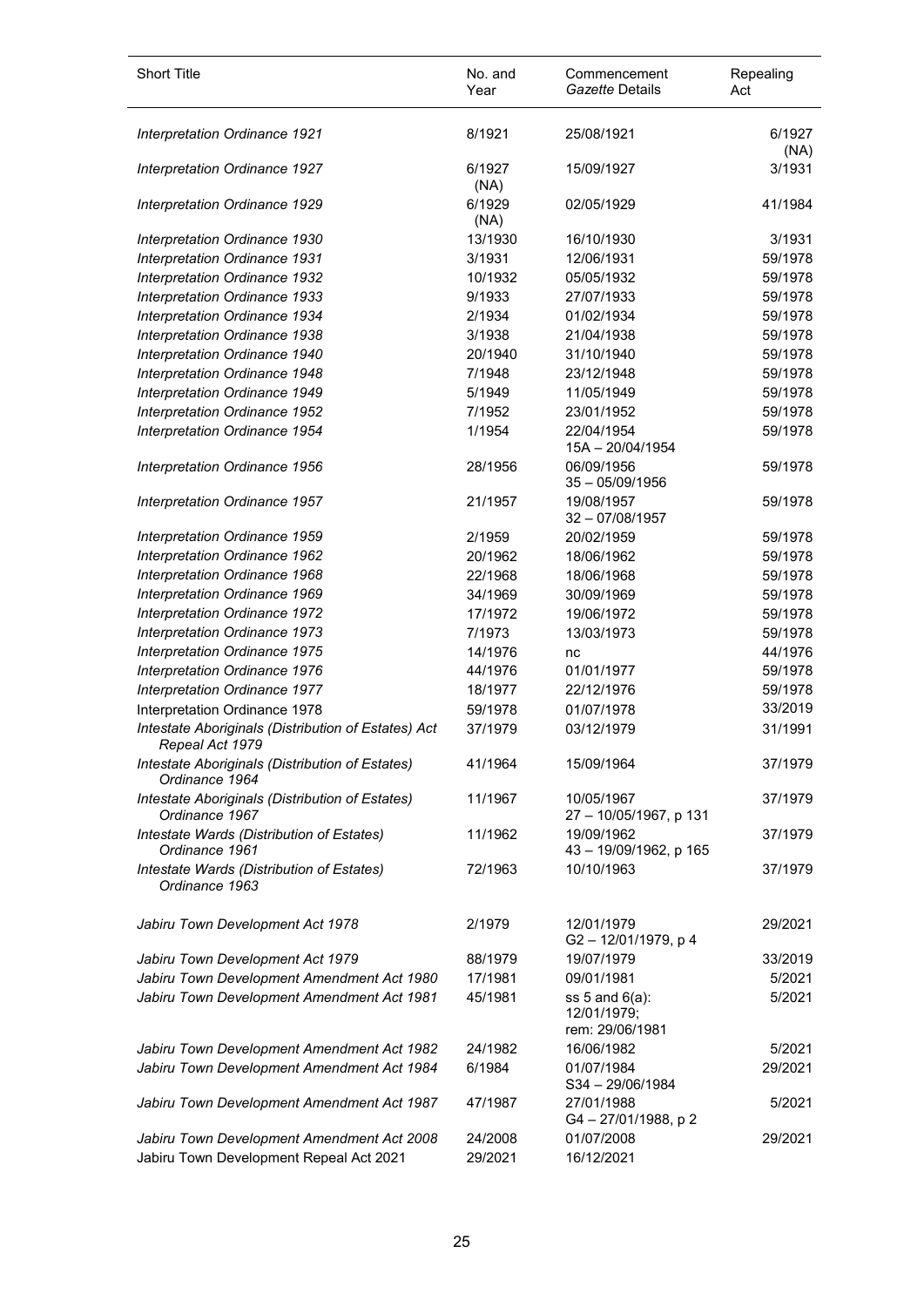| <b>Short Title</b>                                                                    | No. and<br>Year    | Commencement<br>Gazette Details                       | Repealing<br>Act |
|---------------------------------------------------------------------------------------|--------------------|-------------------------------------------------------|------------------|
| Interpretation Ordinance 1921                                                         | 8/1921             | 25/08/1921                                            | 6/1927<br>(NA)   |
| Interpretation Ordinance 1927                                                         | 6/1927<br>(NA)     | 15/09/1927                                            | 3/1931           |
| Interpretation Ordinance 1929                                                         | 6/1929<br>(NA)     | 02/05/1929                                            | 41/1984          |
| Interpretation Ordinance 1930                                                         | 13/1930            | 16/10/1930                                            | 3/1931           |
| Interpretation Ordinance 1931                                                         | 3/1931             | 12/06/1931                                            | 59/1978          |
| Interpretation Ordinance 1932                                                         | 10/1932            | 05/05/1932                                            | 59/1978          |
| Interpretation Ordinance 1933                                                         | 9/1933             | 27/07/1933                                            | 59/1978          |
| Interpretation Ordinance 1934                                                         | 2/1934             | 01/02/1934                                            | 59/1978          |
| Interpretation Ordinance 1938                                                         | 3/1938             | 21/04/1938                                            | 59/1978          |
| Interpretation Ordinance 1940                                                         | 20/1940            | 31/10/1940                                            | 59/1978          |
| Interpretation Ordinance 1948                                                         | 7/1948             | 23/12/1948                                            | 59/1978          |
| Interpretation Ordinance 1949                                                         | 5/1949             | 11/05/1949                                            | 59/1978          |
| Interpretation Ordinance 1952                                                         | 7/1952             | 23/01/1952                                            | 59/1978          |
| Interpretation Ordinance 1954                                                         | 1/1954             | 22/04/1954<br>15A - 20/04/1954                        | 59/1978          |
| Interpretation Ordinance 1956                                                         | 28/1956            | 06/09/1956<br>$35 - 05/09/1956$                       | 59/1978          |
| Interpretation Ordinance 1957                                                         | 21/1957            | 19/08/1957<br>$32 - 07/08/1957$                       | 59/1978          |
| Interpretation Ordinance 1959                                                         | 2/1959             | 20/02/1959                                            | 59/1978          |
| Interpretation Ordinance 1962                                                         | 20/1962            | 18/06/1962                                            | 59/1978          |
| Interpretation Ordinance 1968                                                         | 22/1968            | 18/06/1968                                            | 59/1978          |
| Interpretation Ordinance 1969                                                         | 34/1969            | 30/09/1969                                            | 59/1978          |
| Interpretation Ordinance 1972                                                         | 17/1972            | 19/06/1972                                            | 59/1978          |
| Interpretation Ordinance 1973                                                         | 7/1973             | 13/03/1973                                            | 59/1978          |
| Interpretation Ordinance 1975                                                         | 14/1976            | nc                                                    | 44/1976          |
| Interpretation Ordinance 1976                                                         | 44/1976            | 01/01/1977                                            | 59/1978          |
| Interpretation Ordinance 1977                                                         | 18/1977            | 22/12/1976                                            | 59/1978          |
| Interpretation Ordinance 1978                                                         | 59/1978            | 01/07/1978                                            | 33/2019          |
| Intestate Aboriginals (Distribution of Estates) Act<br>Repeal Act 1979                | 37/1979            | 03/12/1979                                            | 31/1991          |
| Intestate Aboriginals (Distribution of Estates)<br>Ordinance 1964                     | 41/1964            | 15/09/1964                                            | 37/1979          |
| Intestate Aboriginals (Distribution of Estates)<br>Ordinance 1967                     | 11/1967            | 10/05/1967<br>27 - 10/05/1967, p 131                  | 37/1979          |
| Intestate Wards (Distribution of Estates)<br>Ordinance 1961                           | 11/1962            | 19/09/1962<br>43 - 19/09/1962, p 165                  | 37/1979          |
| Intestate Wards (Distribution of Estates)<br>Ordinance 1963                           | 72/1963            | 10/10/1963                                            | 37/1979          |
| Jabiru Town Development Act 1978                                                      | 2/1979             | 12/01/1979<br>G2-12/01/1979, p4                       | 29/2021          |
| Jabiru Town Development Act 1979                                                      | 88/1979            | 19/07/1979                                            | 33/2019          |
| Jabiru Town Development Amendment Act 1980                                            | 17/1981            | 09/01/1981                                            | 5/2021           |
| Jabiru Town Development Amendment Act 1981                                            | 45/1981            | ss $5$ and $6(a)$ :<br>12/01/1979;<br>rem: 29/06/1981 | 5/2021           |
| Jabiru Town Development Amendment Act 1982                                            | 24/1982            | 16/06/1982                                            | 5/2021           |
| Jabiru Town Development Amendment Act 1984                                            | 6/1984             | 01/07/1984<br>S34-29/06/1984                          | 29/2021          |
| Jabiru Town Development Amendment Act 1987                                            | 47/1987            | 27/01/1988<br>G4-27/01/1988, p2                       | 5/2021           |
| Jabiru Town Development Amendment Act 2008<br>Jabiru Town Development Repeal Act 2021 | 24/2008<br>29/2021 | 01/07/2008<br>16/12/2021                              | 29/2021          |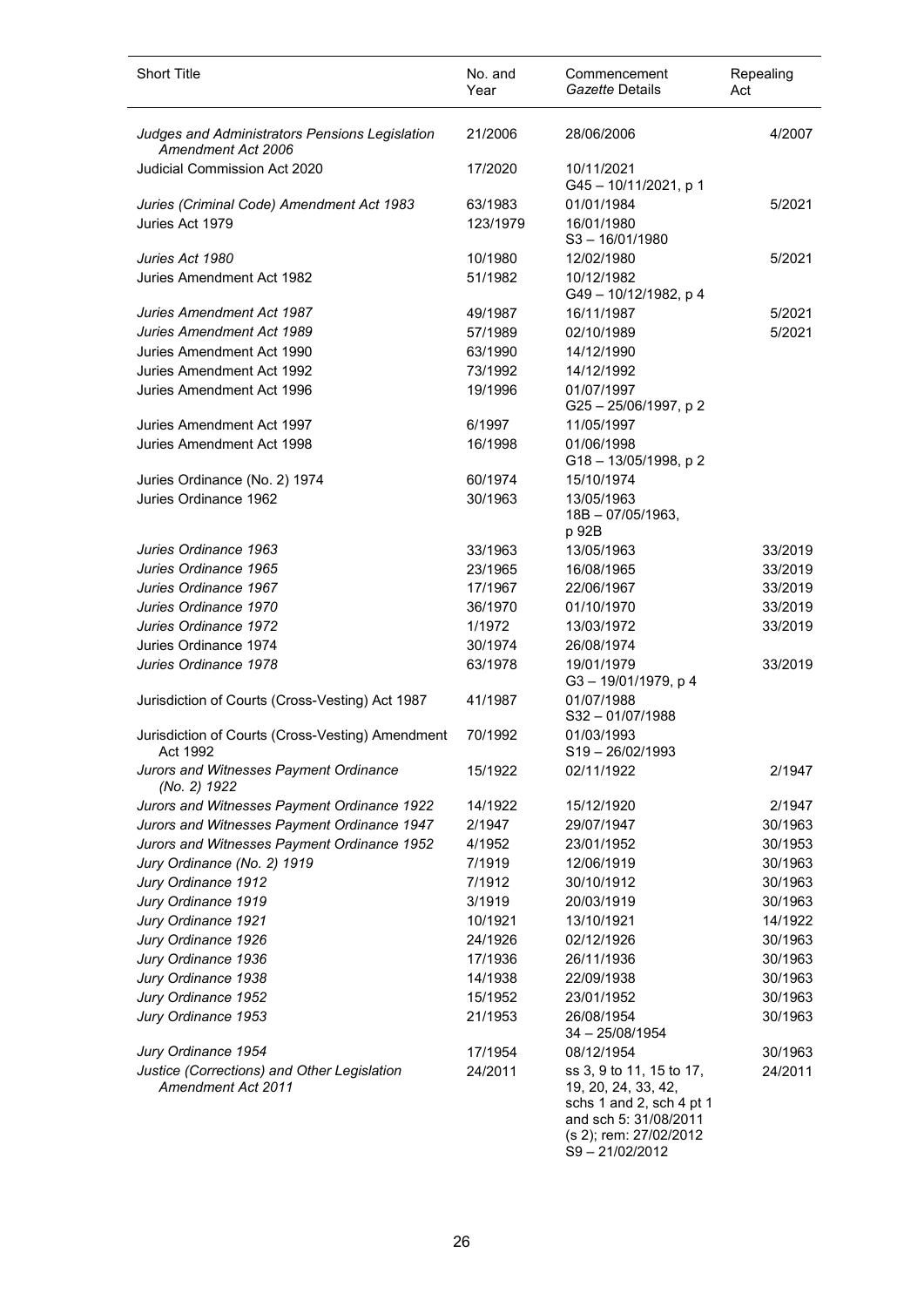| <b>Short Title</b>                                                   | No. and<br>Year    | Commencement<br>Gazette Details                                                                                                                 | Repealing<br>Act   |
|----------------------------------------------------------------------|--------------------|-------------------------------------------------------------------------------------------------------------------------------------------------|--------------------|
| Judges and Administrators Pensions Legislation<br>Amendment Act 2006 | 21/2006            | 28/06/2006                                                                                                                                      | 4/2007             |
| <b>Judicial Commission Act 2020</b>                                  | 17/2020            | 10/11/2021<br>G45-10/11/2021, p 1                                                                                                               |                    |
| Juries (Criminal Code) Amendment Act 1983                            | 63/1983            | 01/01/1984                                                                                                                                      | 5/2021             |
| Juries Act 1979                                                      | 123/1979           | 16/01/1980<br>$S3 - 16/01/1980$                                                                                                                 |                    |
| Juries Act 1980                                                      | 10/1980            | 12/02/1980                                                                                                                                      | 5/2021             |
| Juries Amendment Act 1982                                            | 51/1982            | 10/12/1982<br>G49 - 10/12/1982, p 4                                                                                                             |                    |
| Juries Amendment Act 1987                                            | 49/1987            | 16/11/1987                                                                                                                                      | 5/2021             |
| Juries Amendment Act 1989                                            | 57/1989            | 02/10/1989                                                                                                                                      | 5/2021             |
| Juries Amendment Act 1990                                            | 63/1990            | 14/12/1990                                                                                                                                      |                    |
| Juries Amendment Act 1992                                            | 73/1992            | 14/12/1992                                                                                                                                      |                    |
| Juries Amendment Act 1996                                            | 19/1996            | 01/07/1997<br>G25-25/06/1997, p2                                                                                                                |                    |
| Juries Amendment Act 1997                                            | 6/1997             | 11/05/1997                                                                                                                                      |                    |
| Juries Amendment Act 1998                                            | 16/1998            | 01/06/1998<br>G18-13/05/1998, p2                                                                                                                |                    |
| Juries Ordinance (No. 2) 1974                                        | 60/1974            | 15/10/1974                                                                                                                                      |                    |
| Juries Ordinance 1962                                                | 30/1963            | 13/05/1963<br>$18B - 07/05/1963$ ,<br>p 92B                                                                                                     |                    |
| Juries Ordinance 1963                                                | 33/1963            | 13/05/1963                                                                                                                                      | 33/2019            |
| Juries Ordinance 1965                                                | 23/1965            | 16/08/1965                                                                                                                                      | 33/2019            |
| Juries Ordinance 1967                                                | 17/1967            | 22/06/1967                                                                                                                                      | 33/2019            |
| Juries Ordinance 1970                                                | 36/1970            | 01/10/1970                                                                                                                                      | 33/2019            |
| Juries Ordinance 1972                                                | 1/1972             | 13/03/1972                                                                                                                                      | 33/2019            |
| Juries Ordinance 1974                                                | 30/1974            | 26/08/1974                                                                                                                                      |                    |
| Juries Ordinance 1978                                                | 63/1978            | 19/01/1979<br>G3-19/01/1979, p4                                                                                                                 | 33/2019            |
| Jurisdiction of Courts (Cross-Vesting) Act 1987                      | 41/1987            | 01/07/1988<br>$S32 - 01/07/1988$                                                                                                                |                    |
| Jurisdiction of Courts (Cross-Vesting) Amendment<br>Act 1992         | 70/1992            | 01/03/1993<br>$S19 - 26/02/1993$                                                                                                                |                    |
| Jurors and Witnesses Payment Ordinance<br>(No. 2) 1922               | 15/1922            | 02/11/1922                                                                                                                                      | 2/1947             |
| Jurors and Witnesses Payment Ordinance 1922                          | 14/1922            | 15/12/1920                                                                                                                                      | 2/1947             |
| Jurors and Witnesses Payment Ordinance 1947                          | 2/1947             | 29/07/1947                                                                                                                                      | 30/1963            |
| Jurors and Witnesses Payment Ordinance 1952                          | 4/1952             | 23/01/1952                                                                                                                                      | 30/1953            |
| Jury Ordinance (No. 2) 1919                                          | 7/1919             | 12/06/1919                                                                                                                                      | 30/1963            |
| Jury Ordinance 1912                                                  | 7/1912             | 30/10/1912                                                                                                                                      | 30/1963            |
| Jury Ordinance 1919                                                  | 3/1919             | 20/03/1919                                                                                                                                      | 30/1963            |
| Jury Ordinance 1921                                                  | 10/1921            | 13/10/1921                                                                                                                                      | 14/1922            |
| Jury Ordinance 1926                                                  | 24/1926            | 02/12/1926                                                                                                                                      | 30/1963            |
| Jury Ordinance 1936                                                  | 17/1936            | 26/11/1936                                                                                                                                      | 30/1963            |
| Jury Ordinance 1938<br>Jury Ordinance 1952                           | 14/1938<br>15/1952 | 22/09/1938<br>23/01/1952                                                                                                                        | 30/1963<br>30/1963 |
| Jury Ordinance 1953                                                  | 21/1953            | 26/08/1954<br>34 - 25/08/1954                                                                                                                   | 30/1963            |
| Jury Ordinance 1954                                                  | 17/1954            | 08/12/1954                                                                                                                                      | 30/1963            |
| Justice (Corrections) and Other Legislation<br>Amendment Act 2011    | 24/2011            | ss 3, 9 to 11, 15 to 17,<br>19, 20, 24, 33, 42,<br>schs 1 and 2, sch 4 pt 1<br>and sch 5: 31/08/2011<br>(s 2); rem: 27/02/2012<br>S9-21/02/2012 | 24/2011            |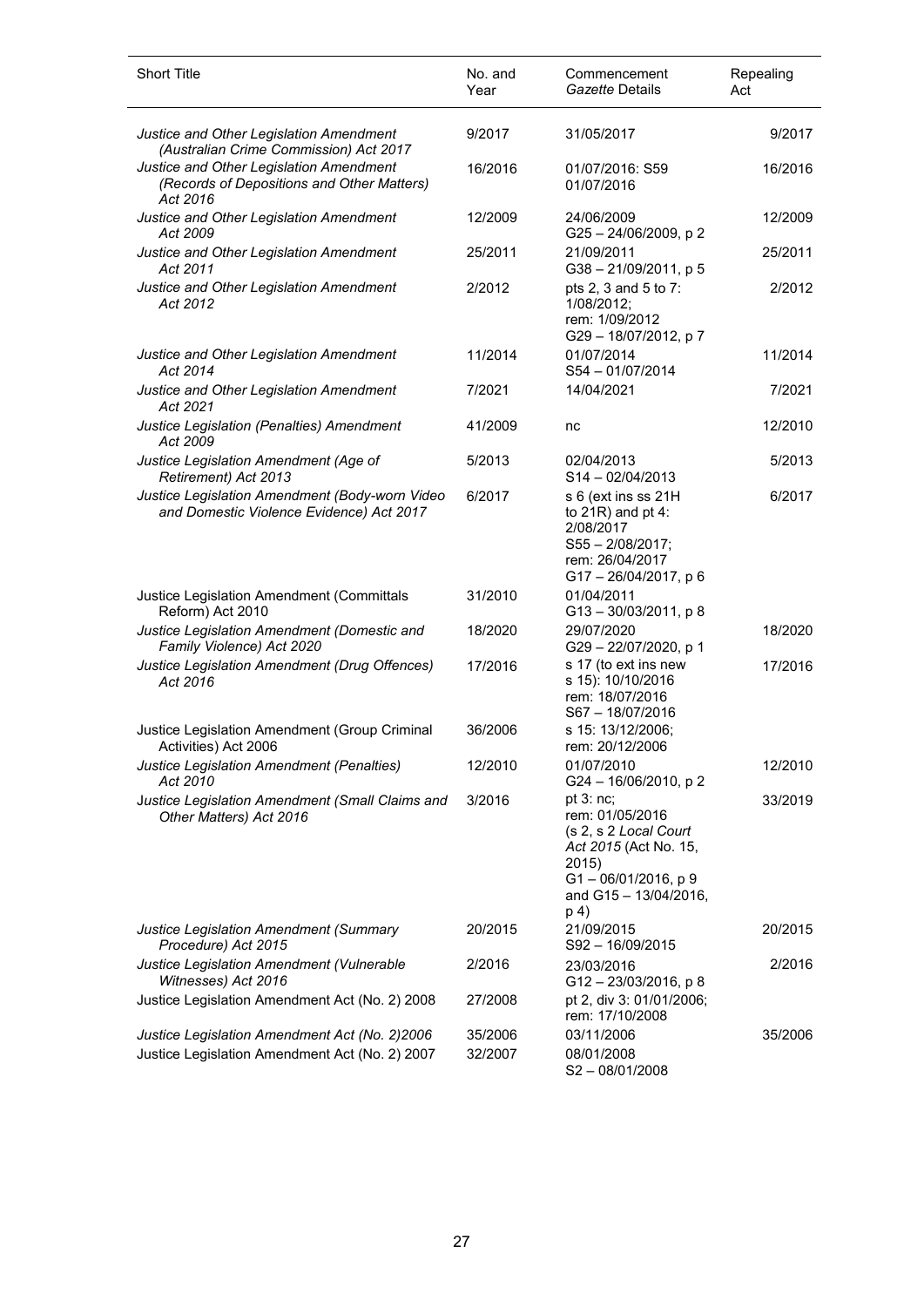| <b>Short Title</b>                                                                                | No. and<br>Year | Commencement<br>Gazette Details                                                                                                                       | Repealing<br>Act |
|---------------------------------------------------------------------------------------------------|-----------------|-------------------------------------------------------------------------------------------------------------------------------------------------------|------------------|
| Justice and Other Legislation Amendment<br>(Australian Crime Commission) Act 2017                 | 9/2017          | 31/05/2017                                                                                                                                            | 9/2017           |
| Justice and Other Legislation Amendment<br>(Records of Depositions and Other Matters)<br>Act 2016 | 16/2016         | 01/07/2016: S59<br>01/07/2016                                                                                                                         | 16/2016          |
| Justice and Other Legislation Amendment<br>Act 2009                                               | 12/2009         | 24/06/2009<br>G25-24/06/2009, p2                                                                                                                      | 12/2009          |
| Justice and Other Legislation Amendment<br>Act 2011                                               | 25/2011         | 21/09/2011<br>G38-21/09/2011, p 5                                                                                                                     | 25/2011          |
| Justice and Other Legislation Amendment<br>Act 2012                                               | 2/2012          | pts 2, 3 and 5 to 7:<br>1/08/2012;<br>rem: 1/09/2012<br>G29-18/07/2012, p7                                                                            | 2/2012           |
| Justice and Other Legislation Amendment<br>Act 2014                                               | 11/2014         | 01/07/2014<br>S54-01/07/2014                                                                                                                          | 11/2014          |
| Justice and Other Legislation Amendment<br>Act 2021                                               | 7/2021          | 14/04/2021                                                                                                                                            | 7/2021           |
| Justice Legislation (Penalties) Amendment<br>Act 2009                                             | 41/2009         | nc                                                                                                                                                    | 12/2010          |
| Justice Legislation Amendment (Age of<br>Retirement) Act 2013                                     | 5/2013          | 02/04/2013<br>$S14 - 02/04/2013$                                                                                                                      | 5/2013           |
| Justice Legislation Amendment (Body-worn Video<br>and Domestic Violence Evidence) Act 2017        | 6/2017          | s 6 (ext ins ss 21H<br>to $21R$ ) and pt 4:<br>2/08/2017<br>$S55 - 2/08/2017$ ;<br>rem: 26/04/2017<br>G17-26/04/2017, p 6                             | 6/2017           |
| Justice Legislation Amendment (Committals<br>Reform) Act 2010                                     | 31/2010         | 01/04/2011<br>G13-30/03/2011, p8                                                                                                                      |                  |
| Justice Legislation Amendment (Domestic and<br>Family Violence) Act 2020                          | 18/2020         | 29/07/2020<br>G29-22/07/2020, p 1                                                                                                                     | 18/2020          |
| Justice Legislation Amendment (Drug Offences)<br>Act 2016                                         | 17/2016         | s 17 (to ext ins new<br>s 15): 10/10/2016<br>rem: 18/07/2016<br>S67-18/07/2016                                                                        | 17/2016          |
| Justice Legislation Amendment (Group Criminal<br>Activities) Act 2006                             | 36/2006         | s 15: 13/12/2006;<br>rem: 20/12/2006                                                                                                                  |                  |
| Justice Legislation Amendment (Penalties)<br>Act 2010                                             | 12/2010         | 01/07/2010<br>G24 - 16/06/2010, p 2                                                                                                                   | 12/2010          |
| Justice Legislation Amendment (Small Claims and<br>Other Matters) Act 2016                        | 3/2016          | pt $3:nc$ ;<br>rem: 01/05/2016<br>(s 2, s 2 Local Court<br>Act 2015 (Act No. 15,<br>2015)<br>$G1 - 06/01/2016$ , p 9<br>and G15 - 13/04/2016,<br>p 4) | 33/2019          |
| Justice Legislation Amendment (Summary<br>Procedure) Act 2015                                     | 20/2015         | 21/09/2015<br>S92-16/09/2015                                                                                                                          | 20/2015          |
| Justice Legislation Amendment (Vulnerable<br>Witnesses) Act 2016                                  | 2/2016          | 23/03/2016<br>G12-23/03/2016, p8                                                                                                                      | 2/2016           |
| Justice Legislation Amendment Act (No. 2) 2008                                                    | 27/2008         | pt 2, div 3: 01/01/2006;<br>rem: 17/10/2008                                                                                                           |                  |
| Justice Legislation Amendment Act (No. 2)2006                                                     | 35/2006         | 03/11/2006                                                                                                                                            | 35/2006          |
| Justice Legislation Amendment Act (No. 2) 2007                                                    | 32/2007         | 08/01/2008<br>$S2 - 08/01/2008$                                                                                                                       |                  |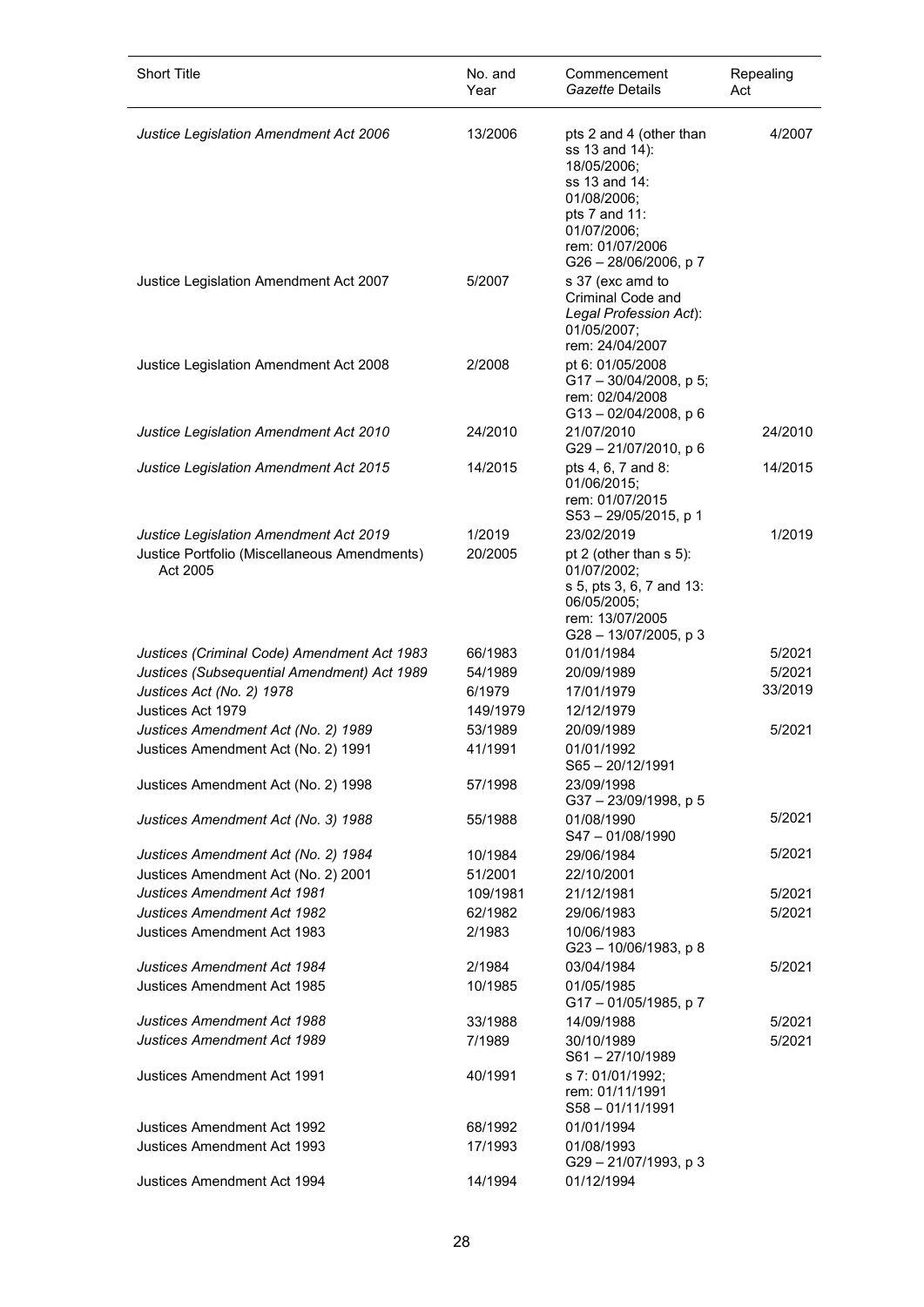| <b>Short Title</b>                                                                                 | No. and<br>Year   | Commencement<br>Gazette Details                                                                                                                                      | Repealing<br>Act |
|----------------------------------------------------------------------------------------------------|-------------------|----------------------------------------------------------------------------------------------------------------------------------------------------------------------|------------------|
| Justice Legislation Amendment Act 2006                                                             | 13/2006           | pts 2 and 4 (other than<br>ss 13 and 14):<br>18/05/2006;<br>ss 13 and 14:<br>01/08/2006;<br>pts 7 and 11:<br>01/07/2006;<br>rem: 01/07/2006<br>G26 - 28/06/2006, p 7 | 4/2007           |
| Justice Legislation Amendment Act 2007                                                             | 5/2007            | s 37 (exc amd to<br>Criminal Code and<br>Legal Profession Act):<br>01/05/2007;<br>rem: 24/04/2007                                                                    |                  |
| Justice Legislation Amendment Act 2008                                                             | 2/2008            | pt 6: 01/05/2008<br>$G17 - 30/04/2008$ , p 5;<br>rem: 02/04/2008<br>G13-02/04/2008, p 6                                                                              |                  |
| Justice Legislation Amendment Act 2010                                                             | 24/2010           | 21/07/2010<br>G29-21/07/2010, p 6                                                                                                                                    | 24/2010          |
| <b>Justice Legislation Amendment Act 2015</b>                                                      | 14/2015           | pts 4, 6, 7 and 8:<br>01/06/2015:<br>rem: 01/07/2015<br>S53-29/05/2015, p 1                                                                                          | 14/2015          |
| Justice Legislation Amendment Act 2019<br>Justice Portfolio (Miscellaneous Amendments)<br>Act 2005 | 1/2019<br>20/2005 | 23/02/2019<br>pt 2 (other than s 5):<br>01/07/2002;<br>s 5, pts 3, 6, 7 and 13:<br>06/05/2005;<br>rem: 13/07/2005<br>G28 - 13/07/2005, p 3                           | 1/2019           |
| Justices (Criminal Code) Amendment Act 1983                                                        | 66/1983           | 01/01/1984                                                                                                                                                           | 5/2021           |
| Justices (Subsequential Amendment) Act 1989                                                        | 54/1989           | 20/09/1989                                                                                                                                                           | 5/2021           |
| Justices Act (No. 2) 1978                                                                          | 6/1979            | 17/01/1979                                                                                                                                                           | 33/2019          |
| Justices Act 1979                                                                                  | 149/1979          | 12/12/1979                                                                                                                                                           |                  |
| Justices Amendment Act (No. 2) 1989                                                                | 53/1989           | 20/09/1989                                                                                                                                                           | 5/2021           |
| Justices Amendment Act (No. 2) 1991                                                                | 41/1991           | 01/01/1992<br>$S65 - 20/12/1991$                                                                                                                                     |                  |
| Justices Amendment Act (No. 2) 1998                                                                | 57/1998           | 23/09/1998<br>G37-23/09/1998, p 5                                                                                                                                    |                  |
| Justices Amendment Act (No. 3) 1988                                                                | 55/1988           | 01/08/1990<br>S47-01/08/1990                                                                                                                                         | 5/2021           |
| Justices Amendment Act (No. 2) 1984                                                                | 10/1984           | 29/06/1984                                                                                                                                                           | 5/2021           |
| Justices Amendment Act (No. 2) 2001                                                                | 51/2001           | 22/10/2001                                                                                                                                                           |                  |
| <b>Justices Amendment Act 1981</b>                                                                 | 109/1981          | 21/12/1981                                                                                                                                                           | 5/2021           |
| <b>Justices Amendment Act 1982</b>                                                                 | 62/1982           | 29/06/1983                                                                                                                                                           | 5/2021           |
| Justices Amendment Act 1983                                                                        | 2/1983            | 10/06/1983<br>$G23 - 10/06/1983$ , p 8                                                                                                                               |                  |
| <b>Justices Amendment Act 1984</b>                                                                 | 2/1984            | 03/04/1984                                                                                                                                                           | 5/2021           |
| Justices Amendment Act 1985                                                                        | 10/1985           | 01/05/1985<br>G17-01/05/1985, p 7                                                                                                                                    |                  |
| Justices Amendment Act 1988                                                                        | 33/1988           | 14/09/1988                                                                                                                                                           | 5/2021           |
| <b>Justices Amendment Act 1989</b>                                                                 | 7/1989            | 30/10/1989<br>$S61 - 27/10/1989$                                                                                                                                     | 5/2021           |
| Justices Amendment Act 1991                                                                        | 40/1991           | s 7: 01/01/1992;<br>rem: 01/11/1991<br>$S58 - 01/11/1991$                                                                                                            |                  |
| Justices Amendment Act 1992                                                                        | 68/1992           | 01/01/1994                                                                                                                                                           |                  |
| Justices Amendment Act 1993                                                                        | 17/1993           | 01/08/1993<br>G29 - 21/07/1993, p 3                                                                                                                                  |                  |
| Justices Amendment Act 1994                                                                        | 14/1994           | 01/12/1994                                                                                                                                                           |                  |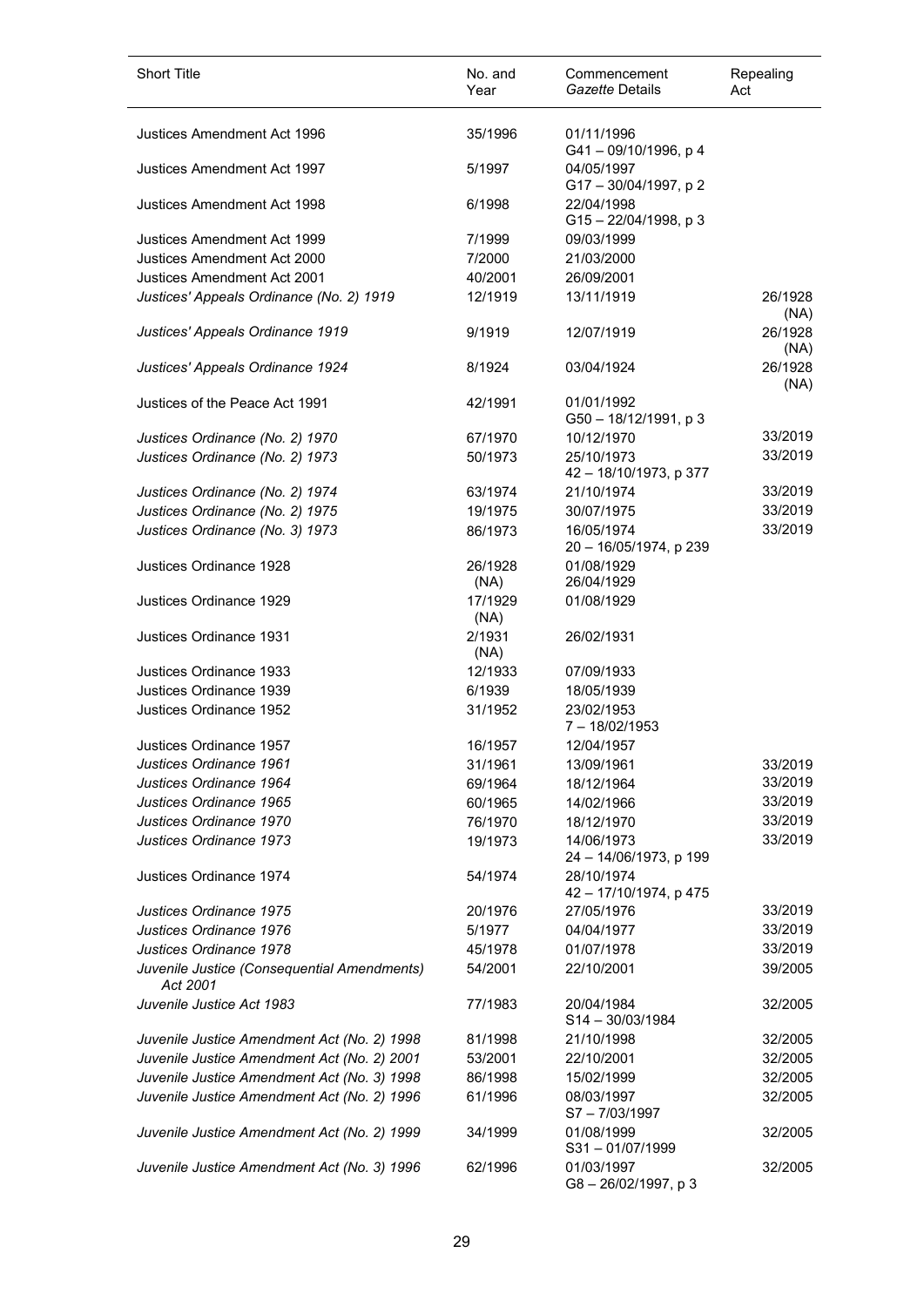| <b>Short Title</b>                                      | No. and<br>Year | Commencement<br>Gazette Details        | Repealing<br>Act        |
|---------------------------------------------------------|-----------------|----------------------------------------|-------------------------|
| Justices Amendment Act 1996                             | 35/1996         | 01/11/1996<br>G41-09/10/1996, p 4      |                         |
| Justices Amendment Act 1997                             | 5/1997          | 04/05/1997<br>G17-30/04/1997, p2       |                         |
| Justices Amendment Act 1998                             | 6/1998          | 22/04/1998<br>$G15 - 22/04/1998$ , p 3 |                         |
| Justices Amendment Act 1999                             | 7/1999          | 09/03/1999                             |                         |
| Justices Amendment Act 2000                             | 7/2000          | 21/03/2000                             |                         |
| Justices Amendment Act 2001                             | 40/2001         | 26/09/2001                             |                         |
| Justices' Appeals Ordinance (No. 2) 1919                | 12/1919         | 13/11/1919                             | 26/1928                 |
| Justices' Appeals Ordinance 1919                        | 9/1919          | 12/07/1919                             | (NA)<br>26/1928<br>(NA) |
| Justices' Appeals Ordinance 1924                        | 8/1924          | 03/04/1924                             | 26/1928<br>(NA)         |
| Justices of the Peace Act 1991                          | 42/1991         | 01/01/1992<br>G50 - 18/12/1991, p 3    |                         |
| Justices Ordinance (No. 2) 1970                         | 67/1970         | 10/12/1970                             | 33/2019                 |
| Justices Ordinance (No. 2) 1973                         | 50/1973         | 25/10/1973                             | 33/2019                 |
|                                                         |                 | 42 - 18/10/1973, p 377                 |                         |
| Justices Ordinance (No. 2) 1974                         | 63/1974         | 21/10/1974                             | 33/2019                 |
| Justices Ordinance (No. 2) 1975                         | 19/1975         | 30/07/1975                             | 33/2019                 |
| Justices Ordinance (No. 3) 1973                         | 86/1973         | 16/05/1974<br>20 - 16/05/1974, p 239   | 33/2019                 |
| Justices Ordinance 1928                                 | 26/1928<br>(NA) | 01/08/1929<br>26/04/1929               |                         |
| Justices Ordinance 1929                                 | 17/1929<br>(NA) | 01/08/1929                             |                         |
| Justices Ordinance 1931                                 | 2/1931<br>(NA)  | 26/02/1931                             |                         |
| Justices Ordinance 1933                                 | 12/1933         | 07/09/1933                             |                         |
| Justices Ordinance 1939                                 | 6/1939          | 18/05/1939                             |                         |
| Justices Ordinance 1952                                 | 31/1952         | 23/02/1953<br>$7 - 18/02/1953$         |                         |
| Justices Ordinance 1957                                 | 16/1957         | 12/04/1957                             |                         |
| Justices Ordinance 1961                                 | 31/1961         | 13/09/1961                             | 33/2019                 |
| Justices Ordinance 1964                                 | 69/1964         | 18/12/1964                             | 33/2019                 |
| Justices Ordinance 1965                                 | 60/1965         | 14/02/1966                             | 33/2019                 |
| Justices Ordinance 1970                                 | 76/1970         | 18/12/1970                             | 33/2019                 |
| Justices Ordinance 1973                                 | 19/1973         | 14/06/1973<br>24 - 14/06/1973, p 199   | 33/2019                 |
| Justices Ordinance 1974                                 | 54/1974         | 28/10/1974<br>42 - 17/10/1974, p 475   |                         |
| Justices Ordinance 1975                                 | 20/1976         | 27/05/1976                             | 33/2019                 |
| Justices Ordinance 1976                                 | 5/1977          | 04/04/1977                             | 33/2019                 |
| Justices Ordinance 1978                                 | 45/1978         | 01/07/1978                             | 33/2019                 |
| Juvenile Justice (Consequential Amendments)<br>Act 2001 | 54/2001         | 22/10/2001                             | 39/2005                 |
| Juvenile Justice Act 1983                               | 77/1983         | 20/04/1984<br>$S14 - 30/03/1984$       | 32/2005                 |
| Juvenile Justice Amendment Act (No. 2) 1998             | 81/1998         | 21/10/1998                             | 32/2005                 |
| Juvenile Justice Amendment Act (No. 2) 2001             | 53/2001         | 22/10/2001                             | 32/2005                 |
| Juvenile Justice Amendment Act (No. 3) 1998             | 86/1998         | 15/02/1999                             | 32/2005                 |
| Juvenile Justice Amendment Act (No. 2) 1996             | 61/1996         | 08/03/1997<br>S7-7/03/1997             | 32/2005                 |
| Juvenile Justice Amendment Act (No. 2) 1999             | 34/1999         | 01/08/1999<br>S31-01/07/1999           | 32/2005                 |
| Juvenile Justice Amendment Act (No. 3) 1996             | 62/1996         | 01/03/1997<br>G8-26/02/1997, p3        | 32/2005                 |

l,